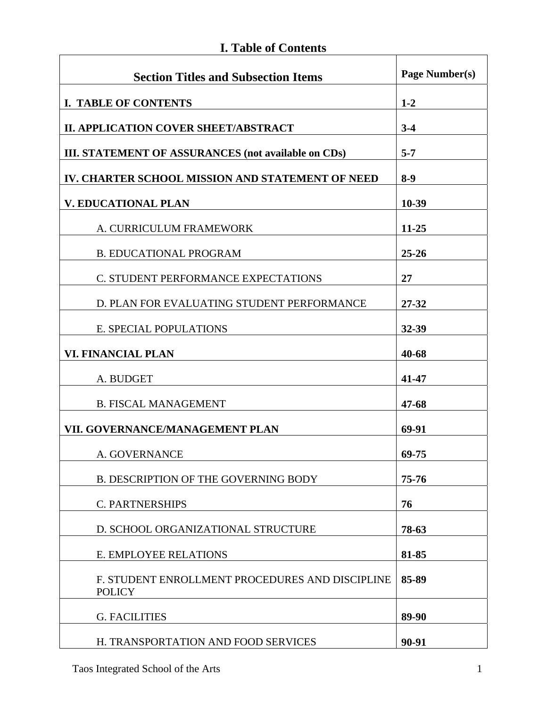# **I. Table of Contents**

| <b>Section Titles and Subsection Items</b>                       | Page Number(s) |
|------------------------------------------------------------------|----------------|
| <b>I. TABLE OF CONTENTS</b>                                      | $1 - 2$        |
| <b>II. APPLICATION COVER SHEET/ABSTRACT</b>                      | $3-4$          |
| III. STATEMENT OF ASSURANCES (not available on CDs)              | $5 - 7$        |
| IV. CHARTER SCHOOL MISSION AND STATEMENT OF NEED                 | $8-9$          |
| <b>V. EDUCATIONAL PLAN</b>                                       | 10-39          |
| A. CURRICULUM FRAMEWORK                                          | $11 - 25$      |
| <b>B. EDUCATIONAL PROGRAM</b>                                    | $25 - 26$      |
| C. STUDENT PERFORMANCE EXPECTATIONS                              | 27             |
| D. PLAN FOR EVALUATING STUDENT PERFORMANCE                       | 27-32          |
| E. SPECIAL POPULATIONS                                           | 32-39          |
| <b>VI. FINANCIAL PLAN</b>                                        | 40-68          |
| A. BUDGET                                                        | 41-47          |
| <b>B. FISCAL MANAGEMENT</b>                                      | 47-68          |
| VII. GOVERNANCE/MANAGEMENT PLAN                                  | 69-91          |
| A. GOVERNANCE                                                    | 69-75          |
| <b>B. DESCRIPTION OF THE GOVERNING BODY</b>                      | 75-76          |
| <b>C. PARTNERSHIPS</b>                                           | 76             |
| D. SCHOOL ORGANIZATIONAL STRUCTURE                               | 78-63          |
| E. EMPLOYEE RELATIONS                                            | 81-85          |
| F. STUDENT ENROLLMENT PROCEDURES AND DISCIPLINE<br><b>POLICY</b> | 85-89          |
| <b>G. FACILITIES</b>                                             | 89-90          |
| H. TRANSPORTATION AND FOOD SERVICES                              | 90-91          |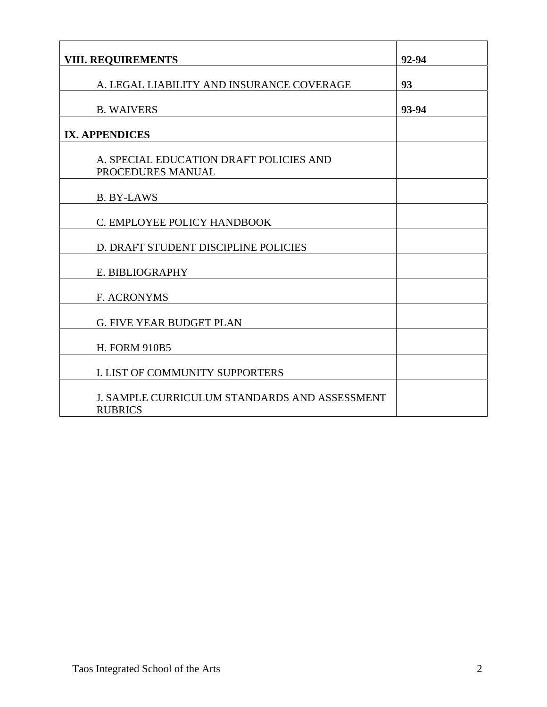| <b>VIII. REQUIREMENTS</b>                                       | 92-94 |
|-----------------------------------------------------------------|-------|
|                                                                 |       |
| A. LEGAL LIABILITY AND INSURANCE COVERAGE                       | 93    |
| <b>B. WAIVERS</b>                                               | 93-94 |
| <b>IX. APPENDICES</b>                                           |       |
| A. SPECIAL EDUCATION DRAFT POLICIES AND<br>PROCEDURES MANUAL    |       |
| <b>B. BY-LAWS</b>                                               |       |
| C. EMPLOYEE POLICY HANDBOOK                                     |       |
| D. DRAFT STUDENT DISCIPLINE POLICIES                            |       |
| E. BIBLIOGRAPHY                                                 |       |
| <b>F. ACRONYMS</b>                                              |       |
| <b>G. FIVE YEAR BUDGET PLAN</b>                                 |       |
| <b>H. FORM 910B5</b>                                            |       |
| I. LIST OF COMMUNITY SUPPORTERS                                 |       |
| J. SAMPLE CURRICULUM STANDARDS AND ASSESSMENT<br><b>RUBRICS</b> |       |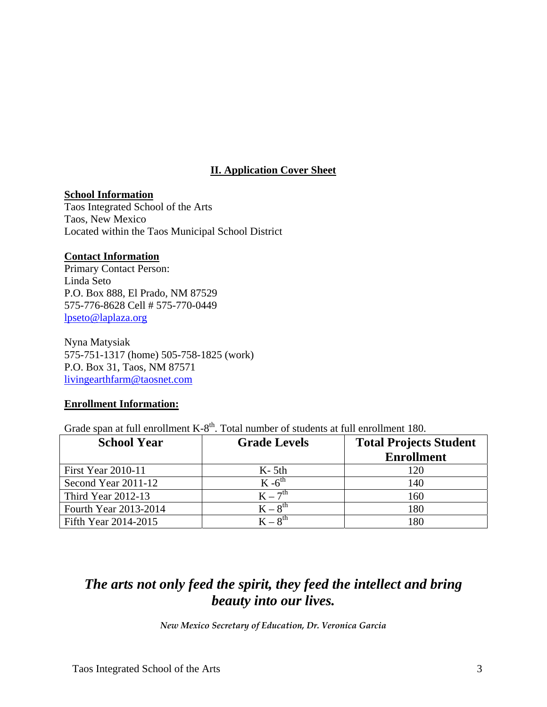# **II. Application Cover Sheet**

#### **School Information**

Taos Integrated School of the Arts Taos, New Mexico Located within the Taos Municipal School District

#### **Contact Information**

Primary Contact Person: Linda Seto P.O. Box 888, El Prado, NM 87529 575-776-8628 Cell # 575-770-0449 lpseto@laplaza.org

 Nyna Matysiak 575-751-1317 (home) 505-758-1825 (work) P.O. Box 31, Taos, NM 87571 livingearthfarm@taosnet.com

#### **Enrollment Information:**

Grade span at full enrollment  $K-8<sup>th</sup>$ . Total number of students at full enrollment 180.

| <b>School Year</b>        | <b>Grade Levels</b> | <b>Total Projects Student</b> |  |
|---------------------------|---------------------|-------------------------------|--|
|                           |                     | <b>Enrollment</b>             |  |
| <b>First Year 2010-11</b> | $K-5th$             | 120                           |  |
| Second Year 2011-12       | $K -6^{th}$         | 140                           |  |
| <b>Third Year 2012-13</b> | $K = 7^{th}$        | 160                           |  |
| Fourth Year 2013-2014     | $K - 8^{th}$        | 180                           |  |
| Fifth Year 2014-2015      | $K = 8^{th}$        | 180                           |  |

# *The arts not only feed the spirit, they feed the intellect and bring beauty into our lives.*

*New Mexico Secretary of Education, Dr. Veronica Garcia*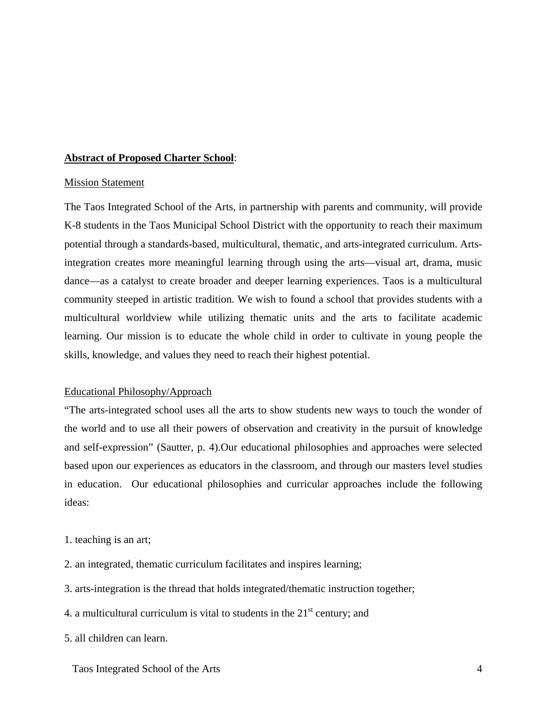#### **Abstract of Proposed Charter School**:

#### Mission Statement

The Taos Integrated School of the Arts, in partnership with parents and community, will provide K-8 students in the Taos Municipal School District with the opportunity to reach their maximum potential through a standards-based, multicultural, thematic, and arts-integrated curriculum. Artsintegration creates more meaningful learning through using the arts—visual art, drama, music dance—as a catalyst to create broader and deeper learning experiences. Taos is a multicultural community steeped in artistic tradition. We wish to found a school that provides students with a multicultural worldview while utilizing thematic units and the arts to facilitate academic learning. Our mission is to educate the whole child in order to cultivate in young people the skills, knowledge, and values they need to reach their highest potential.

#### Educational Philosophy/Approach

"The arts-integrated school uses all the arts to show students new ways to touch the wonder of the world and to use all their powers of observation and creativity in the pursuit of knowledge and self-expression" (Sautter, p. 4).Our educational philosophies and approaches were selected based upon our experiences as educators in the classroom, and through our masters level studies in education. Our educational philosophies and curricular approaches include the following ideas:

- 1. teaching is an art;
- 2. an integrated, thematic curriculum facilitates and inspires learning;
- 3. arts-integration is the thread that holds integrated/thematic instruction together;
- 4. a multicultural curriculum is vital to students in the  $21<sup>st</sup>$  century; and
- 5. all children can learn.

Taos Integrated School of the Arts 4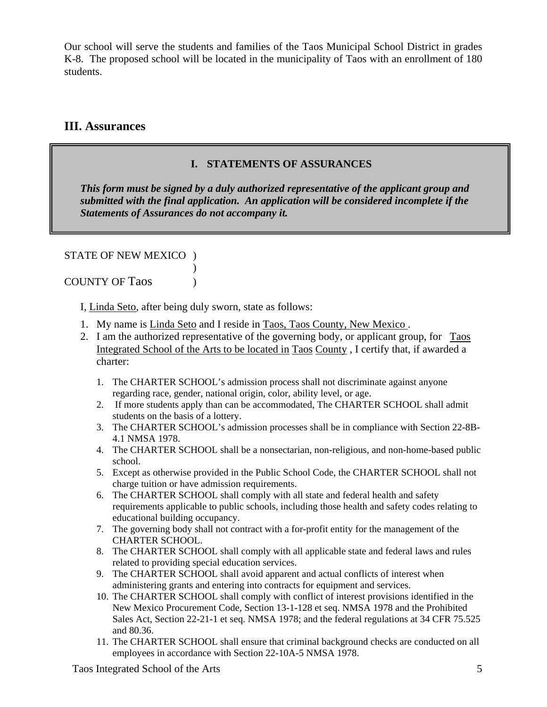Our school will serve the students and families of the Taos Municipal School District in grades K-8. The proposed school will be located in the municipality of Taos with an enrollment of 180 students.

# **III. Assurances**

# **I. STATEMENTS OF ASSURANCES**

*This form must be signed by a duly authorized representative of the applicant group and submitted with the final application. An application will be considered incomplete if the Statements of Assurances do not accompany it.* 

STATE OF NEW MEXICO )  $\overline{\phantom{a}}$ 

COUNTY OF Taos )

I, Linda Seto, after being duly sworn, state as follows:

- 1. My name is Linda Seto and I reside in Taos, Taos County, New Mexico .
- 2. I am the authorized representative of the governing body, or applicant group, for Taos Integrated School of the Arts to be located in Taos County , I certify that, if awarded a charter:
	- 1. The CHARTER SCHOOL's admission process shall not discriminate against anyone regarding race, gender, national origin, color, ability level, or age.
	- 2. If more students apply than can be accommodated, The CHARTER SCHOOL shall admit students on the basis of a lottery.
	- 3. The CHARTER SCHOOL's admission processes shall be in compliance with Section 22-8B-4.1 NMSA 1978.
	- 4. The CHARTER SCHOOL shall be a nonsectarian, non-religious, and non-home-based public school.
	- 5. Except as otherwise provided in the Public School Code, the CHARTER SCHOOL shall not charge tuition or have admission requirements.
	- 6. The CHARTER SCHOOL shall comply with all state and federal health and safety requirements applicable to public schools, including those health and safety codes relating to educational building occupancy.
	- 7. The governing body shall not contract with a for-profit entity for the management of the CHARTER SCHOOL.
	- 8. The CHARTER SCHOOL shall comply with all applicable state and federal laws and rules related to providing special education services.
	- 9. The CHARTER SCHOOL shall avoid apparent and actual conflicts of interest when administering grants and entering into contracts for equipment and services.
	- 10. The CHARTER SCHOOL shall comply with conflict of interest provisions identified in the New Mexico Procurement Code, Section 13-1-128 et seq. NMSA 1978 and the Prohibited Sales Act, Section 22-21-1 et seq. NMSA 1978; and the federal regulations at 34 CFR 75.525 and 80.36.
	- 11. The CHARTER SCHOOL shall ensure that criminal background checks are conducted on all employees in accordance with Section 22-10A-5 NMSA 1978.

Taos Integrated School of the Arts 5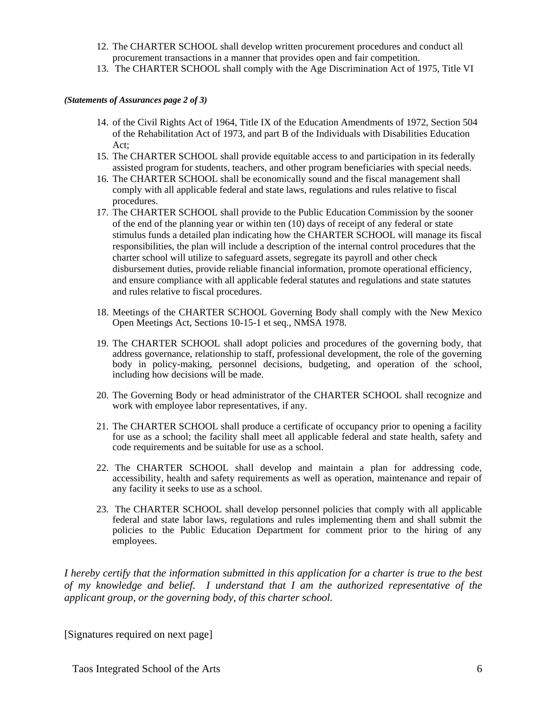- 12. The CHARTER SCHOOL shall develop written procurement procedures and conduct all procurement transactions in a manner that provides open and fair competition.
- 13. The CHARTER SCHOOL shall comply with the Age Discrimination Act of 1975, Title VI

#### *(Statements of Assurances page 2 of 3)*

- 14. of the Civil Rights Act of 1964, Title IX of the Education Amendments of 1972, Section 504 of the Rehabilitation Act of 1973, and part B of the Individuals with Disabilities Education Act;
- 15. The CHARTER SCHOOL shall provide equitable access to and participation in its federally assisted program for students, teachers, and other program beneficiaries with special needs.
- 16. The CHARTER SCHOOL shall be economically sound and the fiscal management shall comply with all applicable federal and state laws, regulations and rules relative to fiscal procedures.
- 17. The CHARTER SCHOOL shall provide to the Public Education Commission by the sooner of the end of the planning year or within ten (10) days of receipt of any federal or state stimulus funds a detailed plan indicating how the CHARTER SCHOOL will manage its fiscal responsibilities, the plan will include a description of the internal control procedures that the charter school will utilize to safeguard assets, segregate its payroll and other check disbursement duties, provide reliable financial information, promote operational efficiency, and ensure compliance with all applicable federal statutes and regulations and state statutes and rules relative to fiscal procedures.
- 18. Meetings of the CHARTER SCHOOL Governing Body shall comply with the New Mexico Open Meetings Act, Sections 10-15-1 et seq., NMSA 1978.
- 19. The CHARTER SCHOOL shall adopt policies and procedures of the governing body, that address governance, relationship to staff, professional development, the role of the governing body in policy-making, personnel decisions, budgeting, and operation of the school, including how decisions will be made.
- 20. The Governing Body or head administrator of the CHARTER SCHOOL shall recognize and work with employee labor representatives, if any.
- 21. The CHARTER SCHOOL shall produce a certificate of occupancy prior to opening a facility for use as a school; the facility shall meet all applicable federal and state health, safety and code requirements and be suitable for use as a school.
- 22. The CHARTER SCHOOL shall develop and maintain a plan for addressing code, accessibility, health and safety requirements as well as operation, maintenance and repair of any facility it seeks to use as a school.
- 23. The CHARTER SCHOOL shall develop personnel policies that comply with all applicable federal and state labor laws, regulations and rules implementing them and shall submit the policies to the Public Education Department for comment prior to the hiring of any employees.

*I hereby certify that the information submitted in this application for a charter is true to the best of my knowledge and belief. I understand that I am the authorized representative of the applicant group, or the governing body, of this charter school.* 

[Signatures required on next page]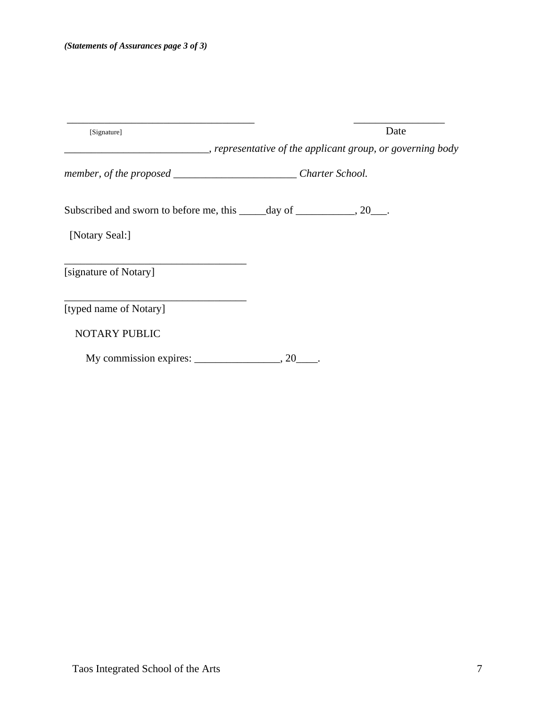| [Signature]                                                                | Date                                                                     |
|----------------------------------------------------------------------------|--------------------------------------------------------------------------|
|                                                                            | ______________, representative of the applicant group, or governing body |
| member, of the proposed ______________________________Charter School.      |                                                                          |
| Subscribed and sworn to before me, this ______ day of ____________, 20___. |                                                                          |
| [Notary Seal:]                                                             |                                                                          |
| [signature of Notary]                                                      |                                                                          |
| [typed name of Notary]                                                     |                                                                          |
| <b>NOTARY PUBLIC</b>                                                       |                                                                          |
| My commission expires:                                                     | .20                                                                      |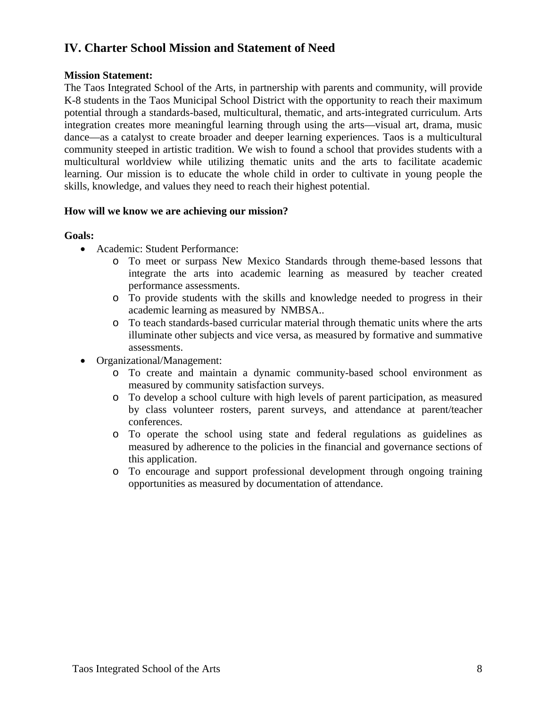# **IV. Charter School Mission and Statement of Need**

## **Mission Statement:**

The Taos Integrated School of the Arts, in partnership with parents and community, will provide K-8 students in the Taos Municipal School District with the opportunity to reach their maximum potential through a standards-based, multicultural, thematic, and arts-integrated curriculum. Arts integration creates more meaningful learning through using the arts—visual art, drama, music dance—as a catalyst to create broader and deeper learning experiences. Taos is a multicultural community steeped in artistic tradition. We wish to found a school that provides students with a multicultural worldview while utilizing thematic units and the arts to facilitate academic learning. Our mission is to educate the whole child in order to cultivate in young people the skills, knowledge, and values they need to reach their highest potential.

## **How will we know we are achieving our mission?**

## **Goals:**

- Academic: Student Performance:
	- o To meet or surpass New Mexico Standards through theme-based lessons that integrate the arts into academic learning as measured by teacher created performance assessments.
	- o To provide students with the skills and knowledge needed to progress in their academic learning as measured by NMBSA..
	- o To teach standards-based curricular material through thematic units where the arts illuminate other subjects and vice versa, as measured by formative and summative assessments.
- Organizational/Management:
	- o To create and maintain a dynamic community-based school environment as measured by community satisfaction surveys.
	- o To develop a school culture with high levels of parent participation, as measured by class volunteer rosters, parent surveys, and attendance at parent/teacher conferences.
	- o To operate the school using state and federal regulations as guidelines as measured by adherence to the policies in the financial and governance sections of this application.
	- o To encourage and support professional development through ongoing training opportunities as measured by documentation of attendance.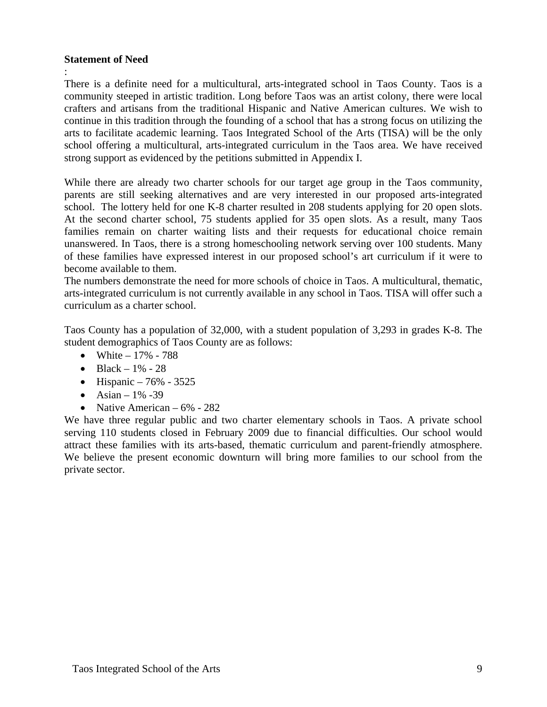## **Statement of Need**

:

There is a definite need for a multicultural, arts-integrated school in Taos County. Taos is a community steeped in artistic tradition. Long before Taos was an artist colony, there were local crafters and artisans from the traditional Hispanic and Native American cultures. We wish to continue in this tradition through the founding of a school that has a strong focus on utilizing the arts to facilitate academic learning. Taos Integrated School of the Arts (TISA) will be the only school offering a multicultural, arts-integrated curriculum in the Taos area. We have received strong support as evidenced by the petitions submitted in Appendix I.

While there are already two charter schools for our target age group in the Taos community, parents are still seeking alternatives and are very interested in our proposed arts-integrated school. The lottery held for one K-8 charter resulted in 208 students applying for 20 open slots. At the second charter school, 75 students applied for 35 open slots. As a result, many Taos families remain on charter waiting lists and their requests for educational choice remain unanswered. In Taos, there is a strong homeschooling network serving over 100 students. Many of these families have expressed interest in our proposed school's art curriculum if it were to become available to them.

The numbers demonstrate the need for more schools of choice in Taos. A multicultural, thematic, arts-integrated curriculum is not currently available in any school in Taos. TISA will offer such a curriculum as a charter school.

Taos County has a population of 32,000, with a student population of 3,293 in grades K-8. The student demographics of Taos County are as follows:

- White  $-17\%$  788
- Black  $1\%$  28
- Hispanic  $76\%$  3525
- Asian  $1\%$  -39
- Native American  $6\%$  282

We have three regular public and two charter elementary schools in Taos. A private school serving 110 students closed in February 2009 due to financial difficulties. Our school would attract these families with its arts-based, thematic curriculum and parent-friendly atmosphere. We believe the present economic downturn will bring more families to our school from the private sector.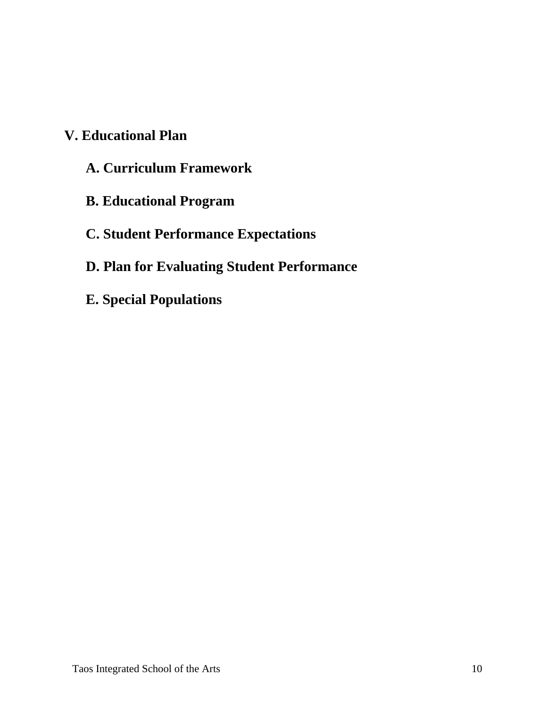# **V. Educational Plan**

- **A. Curriculum Framework**
- **B. Educational Program**

# **C. Student Performance Expectations**

# **D. Plan for Evaluating Student Performance**

**E. Special Populations**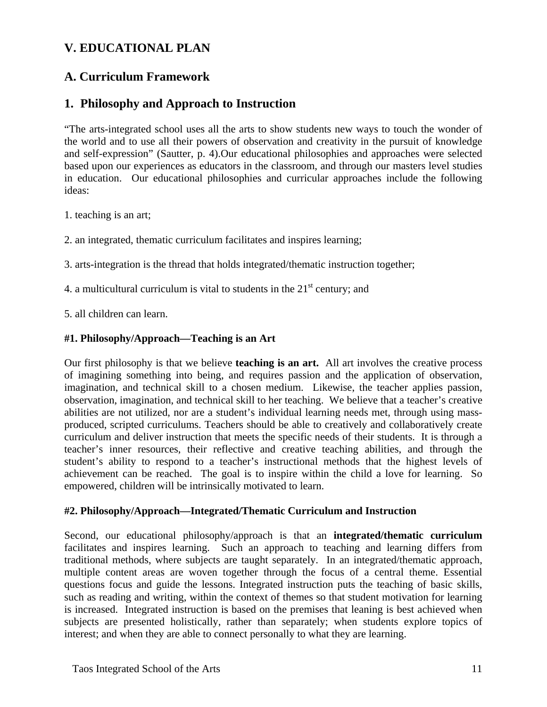# **V. EDUCATIONAL PLAN**

# **A. Curriculum Framework**

# **1. Philosophy and Approach to Instruction**

"The arts-integrated school uses all the arts to show students new ways to touch the wonder of the world and to use all their powers of observation and creativity in the pursuit of knowledge and self-expression" (Sautter, p. 4).Our educational philosophies and approaches were selected based upon our experiences as educators in the classroom, and through our masters level studies in education. Our educational philosophies and curricular approaches include the following ideas:

1. teaching is an art;

2. an integrated, thematic curriculum facilitates and inspires learning;

3. arts-integration is the thread that holds integrated/thematic instruction together;

4. a multicultural curriculum is vital to students in the  $21<sup>st</sup>$  century; and

5. all children can learn.

# **#1. Philosophy/Approach—Teaching is an Art**

Our first philosophy is that we believe **teaching is an art.** All art involves the creative process of imagining something into being, and requires passion and the application of observation, imagination, and technical skill to a chosen medium. Likewise, the teacher applies passion, observation, imagination, and technical skill to her teaching. We believe that a teacher's creative abilities are not utilized, nor are a student's individual learning needs met, through using massproduced, scripted curriculums. Teachers should be able to creatively and collaboratively create curriculum and deliver instruction that meets the specific needs of their students. It is through a teacher's inner resources, their reflective and creative teaching abilities, and through the student's ability to respond to a teacher's instructional methods that the highest levels of achievement can be reached. The goal is to inspire within the child a love for learning. So empowered, children will be intrinsically motivated to learn.

#### **#2. Philosophy/Approach—Integrated/Thematic Curriculum and Instruction**

Second, our educational philosophy/approach is that an **integrated/thematic curriculum**  facilitates and inspires learning. Such an approach to teaching and learning differs from traditional methods, where subjects are taught separately. In an integrated/thematic approach, multiple content areas are woven together through the focus of a central theme. Essential questions focus and guide the lessons. Integrated instruction puts the teaching of basic skills, such as reading and writing, within the context of themes so that student motivation for learning is increased. Integrated instruction is based on the premises that leaning is best achieved when subjects are presented holistically, rather than separately; when students explore topics of interest; and when they are able to connect personally to what they are learning.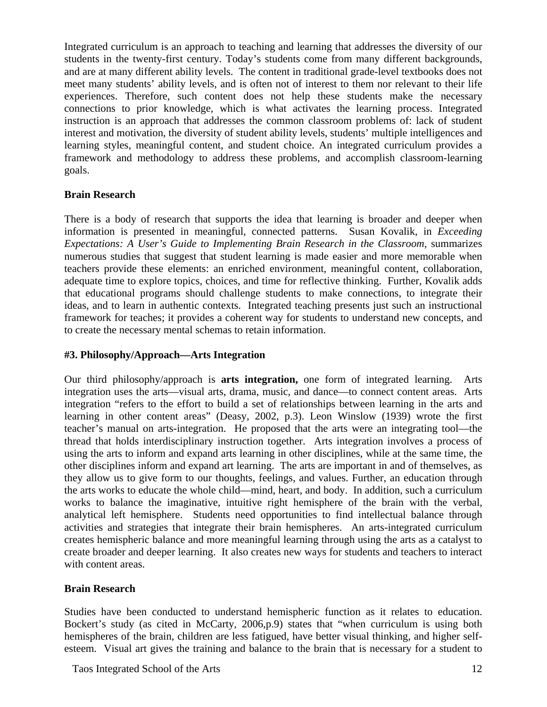Integrated curriculum is an approach to teaching and learning that addresses the diversity of our students in the twenty-first century. Today's students come from many different backgrounds, and are at many different ability levels. The content in traditional grade-level textbooks does not meet many students' ability levels, and is often not of interest to them nor relevant to their life experiences. Therefore, such content does not help these students make the necessary connections to prior knowledge, which is what activates the learning process. Integrated instruction is an approach that addresses the common classroom problems of: lack of student interest and motivation, the diversity of student ability levels, students' multiple intelligences and learning styles, meaningful content, and student choice. An integrated curriculum provides a framework and methodology to address these problems, and accomplish classroom-learning goals.

## **Brain Research**

There is a body of research that supports the idea that learning is broader and deeper when information is presented in meaningful, connected patterns. Susan Kovalik, in *Exceeding Expectations: A User's Guide to Implementing Brain Research in the Classroom, summarizes* numerous studies that suggest that student learning is made easier and more memorable when teachers provide these elements: an enriched environment, meaningful content, collaboration, adequate time to explore topics, choices, and time for reflective thinking. Further, Kovalik adds that educational programs should challenge students to make connections, to integrate their ideas, and to learn in authentic contexts. Integrated teaching presents just such an instructional framework for teaches; it provides a coherent way for students to understand new concepts, and to create the necessary mental schemas to retain information.

#### **#3. Philosophy/Approach—Arts Integration**

Our third philosophy/approach is **arts integration,** one form of integrated learning. Arts integration uses the arts—visual arts, drama, music, and dance—to connect content areas. Arts integration "refers to the effort to build a set of relationships between learning in the arts and learning in other content areas" (Deasy, 2002, p.3). Leon Winslow (1939) wrote the first teacher's manual on arts-integration. He proposed that the arts were an integrating tool—the thread that holds interdisciplinary instruction together. Arts integration involves a process of using the arts to inform and expand arts learning in other disciplines, while at the same time, the other disciplines inform and expand art learning. The arts are important in and of themselves, as they allow us to give form to our thoughts, feelings, and values. Further, an education through the arts works to educate the whole child—mind, heart, and body. In addition, such a curriculum works to balance the imaginative, intuitive right hemisphere of the brain with the verbal, analytical left hemisphere. Students need opportunities to find intellectual balance through activities and strategies that integrate their brain hemispheres. An arts-integrated curriculum creates hemispheric balance and more meaningful learning through using the arts as a catalyst to create broader and deeper learning. It also creates new ways for students and teachers to interact with content areas.

# **Brain Research**

Studies have been conducted to understand hemispheric function as it relates to education. Bockert's study (as cited in McCarty, 2006,p.9) states that "when curriculum is using both hemispheres of the brain, children are less fatigued, have better visual thinking, and higher selfesteem. Visual art gives the training and balance to the brain that is necessary for a student to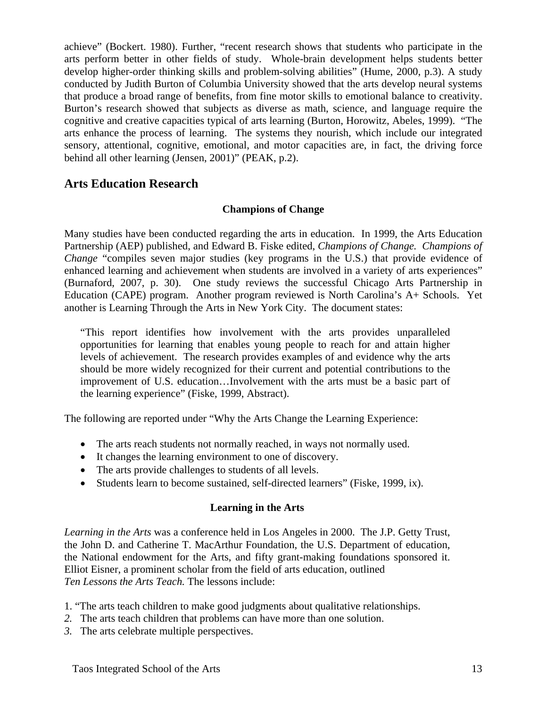achieve" (Bockert. 1980). Further, "recent research shows that students who participate in the arts perform better in other fields of study. Whole-brain development helps students better develop higher-order thinking skills and problem-solving abilities" (Hume, 2000, p.3). A study conducted by Judith Burton of Columbia University showed that the arts develop neural systems that produce a broad range of benefits, from fine motor skills to emotional balance to creativity. Burton's research showed that subjects as diverse as math, science, and language require the cognitive and creative capacities typical of arts learning (Burton, Horowitz, Abeles, 1999). "The arts enhance the process of learning. The systems they nourish, which include our integrated sensory, attentional, cognitive, emotional, and motor capacities are, in fact, the driving force behind all other learning (Jensen, 2001)" (PEAK, p.2).

# **Arts Education Research**

## **Champions of Change**

Many studies have been conducted regarding the arts in education. In 1999, the Arts Education Partnership (AEP) published, and Edward B. Fiske edited, *Champions of Change. Champions of Change* "compiles seven major studies (key programs in the U.S.) that provide evidence of enhanced learning and achievement when students are involved in a variety of arts experiences" (Burnaford, 2007, p. 30). One study reviews the successful Chicago Arts Partnership in Education (CAPE) program. Another program reviewed is North Carolina's A+ Schools. Yet another is Learning Through the Arts in New York City. The document states:

 "This report identifies how involvement with the arts provides unparalleled opportunities for learning that enables young people to reach for and attain higher levels of achievement. The research provides examples of and evidence why the arts should be more widely recognized for their current and potential contributions to the improvement of U.S. education…Involvement with the arts must be a basic part of the learning experience" (Fiske, 1999, Abstract).

The following are reported under "Why the Arts Change the Learning Experience:

- The arts reach students not normally reached, in ways not normally used.
- It changes the learning environment to one of discovery.
- The arts provide challenges to students of all levels.
- Students learn to become sustained, self-directed learners" (Fiske, 1999, ix).

# **Learning in the Arts**

*Learning in the Arts* was a conference held in Los Angeles in 2000. The J.P. Getty Trust, the John D. and Catherine T. MacArthur Foundation, the U.S. Department of education, the National endowment for the Arts, and fifty grant-making foundations sponsored it. Elliot Eisner, a prominent scholar from the field of arts education, outlined *Ten Lessons the Arts Teach.* The lessons include:

- 1. "The arts teach children to make good judgments about qualitative relationships.
- *2.* The arts teach children that problems can have more than one solution.
- *3.* The arts celebrate multiple perspectives.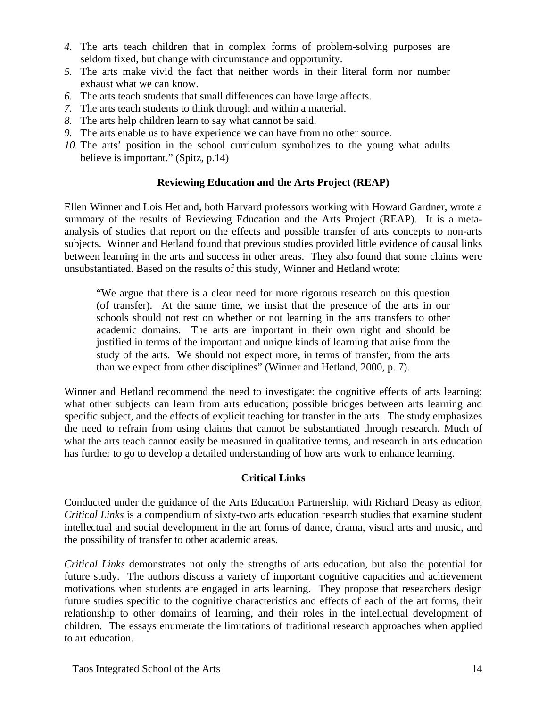- *4.* The arts teach children that in complex forms of problem-solving purposes are seldom fixed, but change with circumstance and opportunity.
- *5.* The arts make vivid the fact that neither words in their literal form nor number exhaust what we can know.
- *6.* The arts teach students that small differences can have large affects.
- *7.* The arts teach students to think through and within a material.
- *8.* The arts help children learn to say what cannot be said.
- *9.* The arts enable us to have experience we can have from no other source.
- *10.* The arts' position in the school curriculum symbolizes to the young what adults believe is important." (Spitz, p.14)

## **Reviewing Education and the Arts Project (REAP)**

Ellen Winner and Lois Hetland, both Harvard professors working with Howard Gardner, wrote a summary of the results of Reviewing Education and the Arts Project (REAP). It is a metaanalysis of studies that report on the effects and possible transfer of arts concepts to non-arts subjects. Winner and Hetland found that previous studies provided little evidence of causal links between learning in the arts and success in other areas. They also found that some claims were unsubstantiated. Based on the results of this study, Winner and Hetland wrote:

"We argue that there is a clear need for more rigorous research on this question (of transfer). At the same time, we insist that the presence of the arts in our schools should not rest on whether or not learning in the arts transfers to other academic domains. The arts are important in their own right and should be justified in terms of the important and unique kinds of learning that arise from the study of the arts. We should not expect more, in terms of transfer, from the arts than we expect from other disciplines" (Winner and Hetland, 2000, p. 7).

Winner and Hetland recommend the need to investigate: the cognitive effects of arts learning; what other subjects can learn from arts education; possible bridges between arts learning and specific subject, and the effects of explicit teaching for transfer in the arts. The study emphasizes the need to refrain from using claims that cannot be substantiated through research. Much of what the arts teach cannot easily be measured in qualitative terms, and research in arts education has further to go to develop a detailed understanding of how arts work to enhance learning.

#### **Critical Links**

Conducted under the guidance of the Arts Education Partnership, with Richard Deasy as editor, *Critical Links* is a compendium of sixty-two arts education research studies that examine student intellectual and social development in the art forms of dance, drama, visual arts and music, and the possibility of transfer to other academic areas.

*Critical Links* demonstrates not only the strengths of arts education, but also the potential for future study. The authors discuss a variety of important cognitive capacities and achievement motivations when students are engaged in arts learning. They propose that researchers design future studies specific to the cognitive characteristics and effects of each of the art forms, their relationship to other domains of learning, and their roles in the intellectual development of children. The essays enumerate the limitations of traditional research approaches when applied to art education.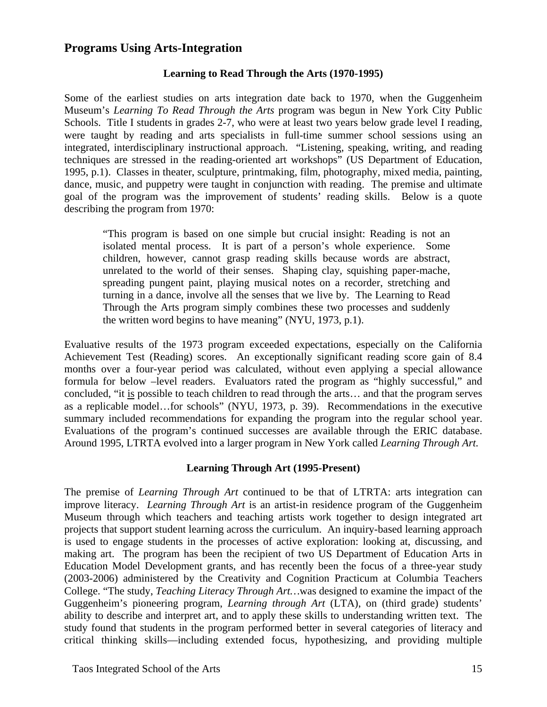# **Programs Using Arts-Integration**

# **Learning to Read Through the Arts (1970-1995)**

Some of the earliest studies on arts integration date back to 1970, when the Guggenheim Museum's *Learning To Read Through the Arts* program was begun in New York City Public Schools. Title I students in grades 2-7, who were at least two years below grade level I reading, were taught by reading and arts specialists in full-time summer school sessions using an integrated, interdisciplinary instructional approach. "Listening, speaking, writing, and reading techniques are stressed in the reading-oriented art workshops" (US Department of Education, 1995, p.1). Classes in theater, sculpture, printmaking, film, photography, mixed media, painting, dance, music, and puppetry were taught in conjunction with reading. The premise and ultimate goal of the program was the improvement of students' reading skills. Below is a quote describing the program from 1970:

"This program is based on one simple but crucial insight: Reading is not an isolated mental process. It is part of a person's whole experience. Some children, however, cannot grasp reading skills because words are abstract, unrelated to the world of their senses. Shaping clay, squishing paper-mache, spreading pungent paint, playing musical notes on a recorder, stretching and turning in a dance, involve all the senses that we live by. The Learning to Read Through the Arts program simply combines these two processes and suddenly the written word begins to have meaning" (NYU, 1973, p.1).

Evaluative results of the 1973 program exceeded expectations, especially on the California Achievement Test (Reading) scores. An exceptionally significant reading score gain of 8.4 months over a four-year period was calculated, without even applying a special allowance formula for below –level readers. Evaluators rated the program as "highly successful," and concluded, "it is possible to teach children to read through the arts… and that the program serves as a replicable model…for schools" (NYU, 1973, p. 39). Recommendations in the executive summary included recommendations for expanding the program into the regular school year. Evaluations of the program's continued successes are available through the ERIC database. Around 1995, LTRTA evolved into a larger program in New York called *Learning Through Art.* 

#### **Learning Through Art (1995-Present)**

The premise of *Learning Through Art* continued to be that of LTRTA: arts integration can improve literacy. *Learning Through Art* is an artist-in residence program of the Guggenheim Museum through which teachers and teaching artists work together to design integrated art projects that support student learning across the curriculum. An inquiry-based learning approach is used to engage students in the processes of active exploration: looking at, discussing, and making art. The program has been the recipient of two US Department of Education Arts in Education Model Development grants, and has recently been the focus of a three-year study (2003-2006) administered by the Creativity and Cognition Practicum at Columbia Teachers College. "The study, *Teaching Literacy Through Art…*was designed to examine the impact of the Guggenheim's pioneering program, *Learning through Art* (LTA), on (third grade) students' ability to describe and interpret art, and to apply these skills to understanding written text. The study found that students in the program performed better in several categories of literacy and critical thinking skills—including extended focus, hypothesizing, and providing multiple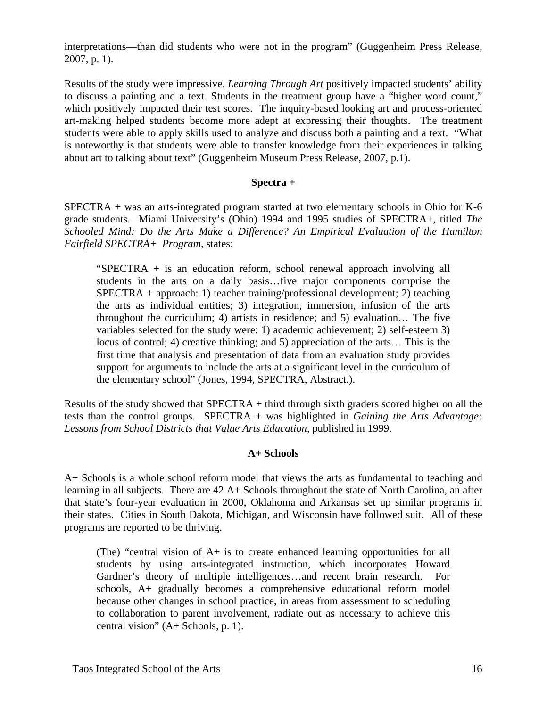interpretations—than did students who were not in the program" (Guggenheim Press Release, 2007, p. 1).

Results of the study were impressive. *Learning Through Art* positively impacted students' ability to discuss a painting and a text. Students in the treatment group have a "higher word count," which positively impacted their test scores. The inquiry-based looking art and process-oriented art-making helped students become more adept at expressing their thoughts. The treatment students were able to apply skills used to analyze and discuss both a painting and a text. "What is noteworthy is that students were able to transfer knowledge from their experiences in talking about art to talking about text" (Guggenheim Museum Press Release, 2007, p.1).

## **Spectra +**

SPECTRA + was an arts-integrated program started at two elementary schools in Ohio for K-6 grade students. Miami University's (Ohio) 1994 and 1995 studies of SPECTRA+, titled *The Schooled Mind: Do the Arts Make a Difference? An Empirical Evaluation of the Hamilton Fairfield SPECTRA+ Program,* states:

"SPECTRA + is an education reform, school renewal approach involving all students in the arts on a daily basis…five major components comprise the SPECTRA + approach: 1) teacher training/professional development; 2) teaching the arts as individual entities; 3) integration, immersion, infusion of the arts throughout the curriculum; 4) artists in residence; and 5) evaluation… The five variables selected for the study were: 1) academic achievement; 2) self-esteem 3) locus of control; 4) creative thinking; and 5) appreciation of the arts… This is the first time that analysis and presentation of data from an evaluation study provides support for arguments to include the arts at a significant level in the curriculum of the elementary school" (Jones, 1994, SPECTRA, Abstract.).

Results of the study showed that SPECTRA + third through sixth graders scored higher on all the tests than the control groups. SPECTRA + was highlighted in *Gaining the Arts Advantage:*  Lessons from School Districts that Value Arts Education, published in 1999.

#### **A+ Schools**

A+ Schools is a whole school reform model that views the arts as fundamental to teaching and learning in all subjects. There are 42 A+ Schools throughout the state of North Carolina, an after that state's four-year evaluation in 2000, Oklahoma and Arkansas set up similar programs in their states. Cities in South Dakota, Michigan, and Wisconsin have followed suit. All of these programs are reported to be thriving.

(The) "central vision of A+ is to create enhanced learning opportunities for all students by using arts-integrated instruction, which incorporates Howard Gardner's theory of multiple intelligences…and recent brain research. For schools, A+ gradually becomes a comprehensive educational reform model because other changes in school practice, in areas from assessment to scheduling to collaboration to parent involvement, radiate out as necessary to achieve this central vision" (A+ Schools, p. 1).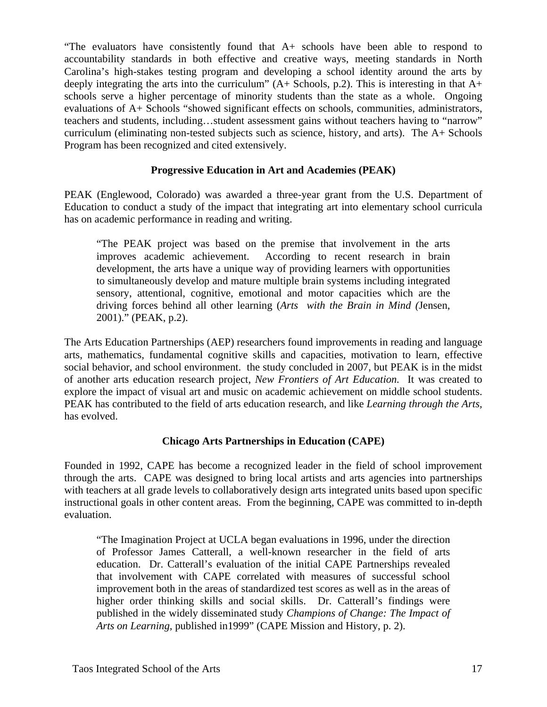"The evaluators have consistently found that A+ schools have been able to respond to accountability standards in both effective and creative ways, meeting standards in North Carolina's high-stakes testing program and developing a school identity around the arts by deeply integrating the arts into the curriculum" (A+ Schools, p.2). This is interesting in that A+ schools serve a higher percentage of minority students than the state as a whole. Ongoing evaluations of A+ Schools "showed significant effects on schools, communities, administrators, teachers and students, including…student assessment gains without teachers having to "narrow" curriculum (eliminating non-tested subjects such as science, history, and arts). The A+ Schools Program has been recognized and cited extensively.

# **Progressive Education in Art and Academies (PEAK)**

PEAK (Englewood, Colorado) was awarded a three-year grant from the U.S. Department of Education to conduct a study of the impact that integrating art into elementary school curricula has on academic performance in reading and writing.

"The PEAK project was based on the premise that involvement in the arts improves academic achievement. According to recent research in brain development, the arts have a unique way of providing learners with opportunities to simultaneously develop and mature multiple brain systems including integrated sensory, attentional, cognitive, emotional and motor capacities which are the driving forces behind all other learning (*Arts with the Brain in Mind (*Jensen, 2001)." (PEAK, p.2).

The Arts Education Partnerships (AEP) researchers found improvements in reading and language arts, mathematics, fundamental cognitive skills and capacities, motivation to learn, effective social behavior, and school environment. the study concluded in 2007, but PEAK is in the midst of another arts education research project, *New Frontiers of Art Education.* It was created to explore the impact of visual art and music on academic achievement on middle school students. PEAK has contributed to the field of arts education research, and like *Learning through the Arts,*  has evolved.

# **Chicago Arts Partnerships in Education (CAPE)**

Founded in 1992, CAPE has become a recognized leader in the field of school improvement through the arts. CAPE was designed to bring local artists and arts agencies into partnerships with teachers at all grade levels to collaboratively design arts integrated units based upon specific instructional goals in other content areas. From the beginning, CAPE was committed to in-depth evaluation.

"The Imagination Project at UCLA began evaluations in 1996, under the direction of Professor James Catterall, a well-known researcher in the field of arts education. Dr. Catterall's evaluation of the initial CAPE Partnerships revealed that involvement with CAPE correlated with measures of successful school improvement both in the areas of standardized test scores as well as in the areas of higher order thinking skills and social skills. Dr. Catterall's findings were published in the widely disseminated study *Champions of Change: The Impact of Arts on Learning,* published in1999" (CAPE Mission and History, p. 2).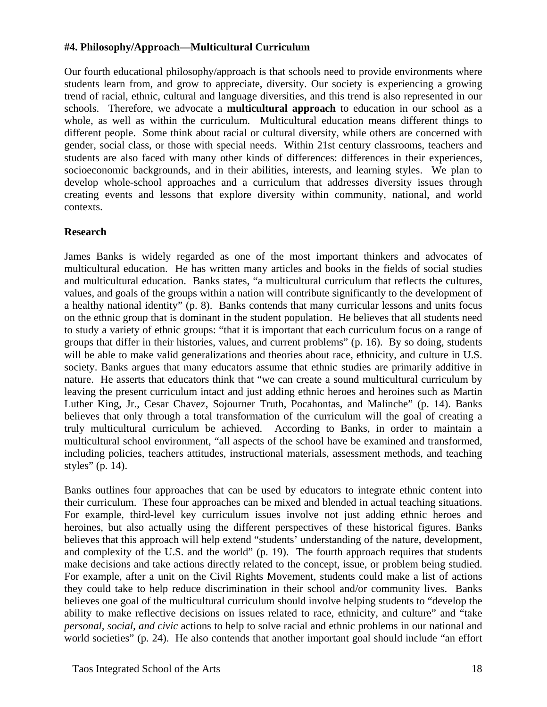# **#4. Philosophy/Approach—Multicultural Curriculum**

Our fourth educational philosophy/approach is that schools need to provide environments where students learn from, and grow to appreciate, diversity. Our society is experiencing a growing trend of racial, ethnic, cultural and language diversities, and this trend is also represented in our schools. Therefore, we advocate a **multicultural approach** to education in our school as a whole, as well as within the curriculum. Multicultural education means different things to different people. Some think about racial or cultural diversity, while others are concerned with gender, social class, or those with special needs. Within 21st century classrooms, teachers and students are also faced with many other kinds of differences: differences in their experiences, socioeconomic backgrounds, and in their abilities, interests, and learning styles. We plan to develop whole-school approaches and a curriculum that addresses diversity issues through creating events and lessons that explore diversity within community, national, and world contexts.

## **Research**

James Banks is widely regarded as one of the most important thinkers and advocates of multicultural education. He has written many articles and books in the fields of social studies and multicultural education. Banks states, "a multicultural curriculum that reflects the cultures, values, and goals of the groups within a nation will contribute significantly to the development of a healthy national identity" (p. 8). Banks contends that many curricular lessons and units focus on the ethnic group that is dominant in the student population. He believes that all students need to study a variety of ethnic groups: "that it is important that each curriculum focus on a range of groups that differ in their histories, values, and current problems" (p. 16). By so doing, students will be able to make valid generalizations and theories about race, ethnicity, and culture in U.S. society. Banks argues that many educators assume that ethnic studies are primarily additive in nature. He asserts that educators think that "we can create a sound multicultural curriculum by leaving the present curriculum intact and just adding ethnic heroes and heroines such as Martin Luther King, Jr., Cesar Chavez, Sojourner Truth, Pocahontas, and Malinche" (p. 14). Banks believes that only through a total transformation of the curriculum will the goal of creating a truly multicultural curriculum be achieved. According to Banks, in order to maintain a multicultural school environment, "all aspects of the school have be examined and transformed, including policies, teachers attitudes, instructional materials, assessment methods, and teaching styles" (p. 14).

Banks outlines four approaches that can be used by educators to integrate ethnic content into their curriculum. These four approaches can be mixed and blended in actual teaching situations. For example, third-level key curriculum issues involve not just adding ethnic heroes and heroines, but also actually using the different perspectives of these historical figures. Banks believes that this approach will help extend "students' understanding of the nature, development, and complexity of the U.S. and the world" (p. 19). The fourth approach requires that students make decisions and take actions directly related to the concept, issue, or problem being studied. For example, after a unit on the Civil Rights Movement, students could make a list of actions they could take to help reduce discrimination in their school and/or community lives. Banks believes one goal of the multicultural curriculum should involve helping students to "develop the ability to make reflective decisions on issues related to race, ethnicity, and culture" and "take *personal, social, and civic* actions to help to solve racial and ethnic problems in our national and world societies" (p. 24). He also contends that another important goal should include "an effort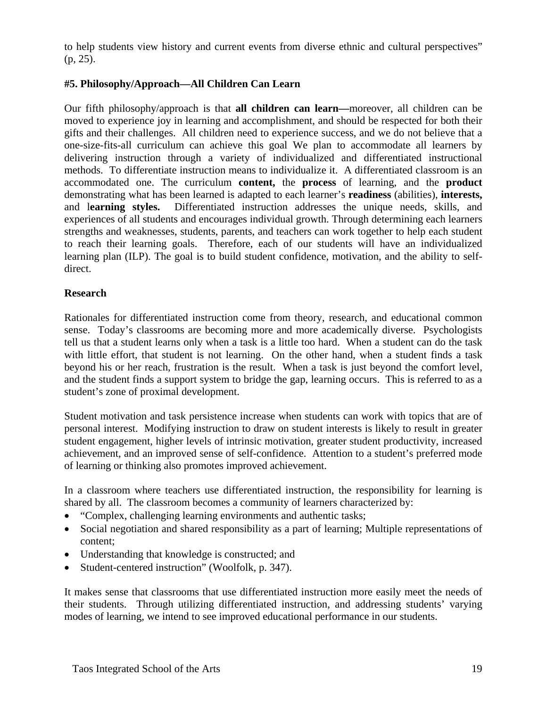to help students view history and current events from diverse ethnic and cultural perspectives" (p, 25).

# **#5. Philosophy/Approach—All Children Can Learn**

Our fifth philosophy/approach is that **all children can learn—**moreover, all children can be moved to experience joy in learning and accomplishment, and should be respected for both their gifts and their challenges. All children need to experience success, and we do not believe that a one-size-fits-all curriculum can achieve this goal We plan to accommodate all learners by delivering instruction through a variety of individualized and differentiated instructional methods. To differentiate instruction means to individualize it. A differentiated classroom is an accommodated one. The curriculum **content,** the **process** of learning, and the **product**  demonstrating what has been learned is adapted to each learner's **readiness** (abilities), **interests,**  and l**earning styles.** Differentiated instruction addresses the unique needs, skills, and experiences of all students and encourages individual growth. Through determining each learners strengths and weaknesses, students, parents, and teachers can work together to help each student to reach their learning goals. Therefore, each of our students will have an individualized learning plan (ILP). The goal is to build student confidence, motivation, and the ability to selfdirect.

## **Research**

Rationales for differentiated instruction come from theory, research, and educational common sense. Today's classrooms are becoming more and more academically diverse. Psychologists tell us that a student learns only when a task is a little too hard. When a student can do the task with little effort, that student is not learning. On the other hand, when a student finds a task beyond his or her reach, frustration is the result. When a task is just beyond the comfort level, and the student finds a support system to bridge the gap, learning occurs. This is referred to as a student's zone of proximal development.

Student motivation and task persistence increase when students can work with topics that are of personal interest. Modifying instruction to draw on student interests is likely to result in greater student engagement, higher levels of intrinsic motivation, greater student productivity, increased achievement, and an improved sense of self-confidence. Attention to a student's preferred mode of learning or thinking also promotes improved achievement.

In a classroom where teachers use differentiated instruction, the responsibility for learning is shared by all. The classroom becomes a community of learners characterized by:

- "Complex, challenging learning environments and authentic tasks;
- Social negotiation and shared responsibility as a part of learning; Multiple representations of content;
- Understanding that knowledge is constructed; and
- Student-centered instruction" (Woolfolk, p. 347).

It makes sense that classrooms that use differentiated instruction more easily meet the needs of their students. Through utilizing differentiated instruction, and addressing students' varying modes of learning, we intend to see improved educational performance in our students.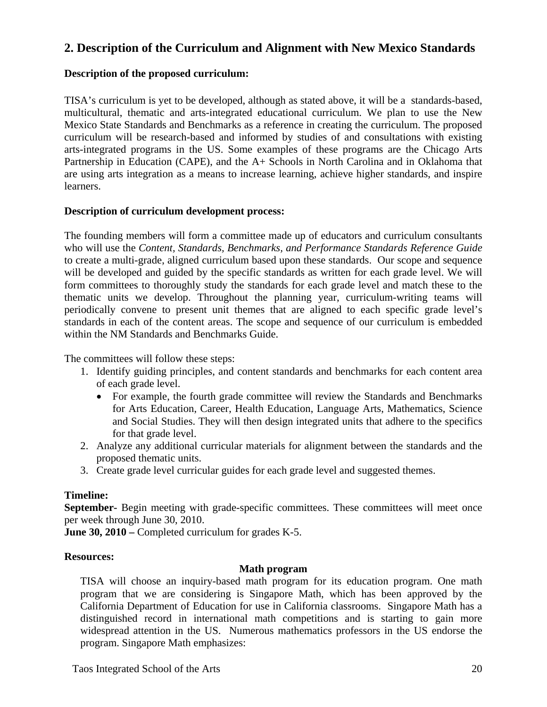# **2. Description of the Curriculum and Alignment with New Mexico Standards**

# **Description of the proposed curriculum:**

TISA's curriculum is yet to be developed, although as stated above, it will be a standards-based, multicultural, thematic and arts-integrated educational curriculum. We plan to use the New Mexico State Standards and Benchmarks as a reference in creating the curriculum. The proposed curriculum will be research-based and informed by studies of and consultations with existing arts-integrated programs in the US. Some examples of these programs are the Chicago Arts Partnership in Education (CAPE), and the A+ Schools in North Carolina and in Oklahoma that are using arts integration as a means to increase learning, achieve higher standards, and inspire learners.

#### **Description of curriculum development process:**

The founding members will form a committee made up of educators and curriculum consultants who will use the *Content, Standards, Benchmarks, and Performance Standards Reference Guide*  to create a multi-grade, aligned curriculum based upon these standards. Our scope and sequence will be developed and guided by the specific standards as written for each grade level. We will form committees to thoroughly study the standards for each grade level and match these to the thematic units we develop. Throughout the planning year, curriculum-writing teams will periodically convene to present unit themes that are aligned to each specific grade level's standards in each of the content areas. The scope and sequence of our curriculum is embedded within the NM Standards and Benchmarks Guide.

The committees will follow these steps:

- 1. Identify guiding principles, and content standards and benchmarks for each content area of each grade level.
	- For example, the fourth grade committee will review the Standards and Benchmarks for Arts Education, Career, Health Education, Language Arts, Mathematics, Science and Social Studies. They will then design integrated units that adhere to the specifics for that grade level.
- 2. Analyze any additional curricular materials for alignment between the standards and the proposed thematic units.
- 3. Create grade level curricular guides for each grade level and suggested themes.

#### **Timeline:**

**September-** Begin meeting with grade-specific committees. These committees will meet once per week through June 30, 2010.

**June 30, 2010** – Completed curriculum for grades K-5.

#### **Resources:**

#### **Math program**

TISA will choose an inquiry-based math program for its education program. One math program that we are considering is Singapore Math, which has been approved by the California Department of Education for use in California classrooms. Singapore Math has a distinguished record in international math competitions and is starting to gain more widespread attention in the US. Numerous mathematics professors in the US endorse the program. Singapore Math emphasizes: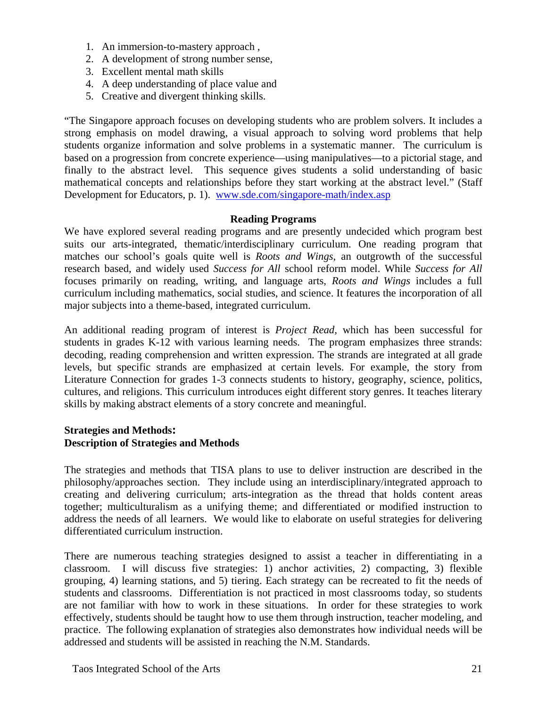- 1. An immersion-to-mastery approach ,
- 2. A development of strong number sense,
- 3. Excellent mental math skills
- 4. A deep understanding of place value and
- 5. Creative and divergent thinking skills.

"The Singapore approach focuses on developing students who are problem solvers. It includes a strong emphasis on model drawing, a visual approach to solving word problems that help students organize information and solve problems in a systematic manner. The curriculum is based on a progression from concrete experience—using manipulatives—to a pictorial stage, and finally to the abstract level. This sequence gives students a solid understanding of basic mathematical concepts and relationships before they start working at the abstract level." (Staff Development for Educators, p. 1). www.sde.com/singapore-math/index.asp

#### **Reading Programs**

We have explored several reading programs and are presently undecided which program best suits our arts-integrated, thematic/interdisciplinary curriculum. One reading program that matches our school's goals quite well is *Roots and Wings*, an outgrowth of the successful research based, and widely used *Success for All* school reform model. While *Success for All*  focuses primarily on reading, writing, and language arts, *Roots and Wings* includes a full curriculum including mathematics, social studies, and science. It features the incorporation of all major subjects into a theme-based, integrated curriculum.

An additional reading program of interest is *Project Read,* which has been successful for students in grades K-12 with various learning needs. The program emphasizes three strands: decoding, reading comprehension and written expression. The strands are integrated at all grade levels, but specific strands are emphasized at certain levels. For example, the story from Literature Connection for grades 1-3 connects students to history, geography, science, politics, cultures, and religions. This curriculum introduces eight different story genres. It teaches literary skills by making abstract elements of a story concrete and meaningful.

#### **Strategies and Methods: Description of Strategies and Methods**

The strategies and methods that TISA plans to use to deliver instruction are described in the philosophy/approaches section. They include using an interdisciplinary/integrated approach to creating and delivering curriculum; arts-integration as the thread that holds content areas together; multiculturalism as a unifying theme; and differentiated or modified instruction to address the needs of all learners. We would like to elaborate on useful strategies for delivering differentiated curriculum instruction.

There are numerous teaching strategies designed to assist a teacher in differentiating in a classroom. I will discuss five strategies: 1) anchor activities, 2) compacting, 3) flexible grouping, 4) learning stations, and 5) tiering. Each strategy can be recreated to fit the needs of students and classrooms. Differentiation is not practiced in most classrooms today, so students are not familiar with how to work in these situations. In order for these strategies to work effectively, students should be taught how to use them through instruction, teacher modeling, and practice. The following explanation of strategies also demonstrates how individual needs will be addressed and students will be assisted in reaching the N.M. Standards.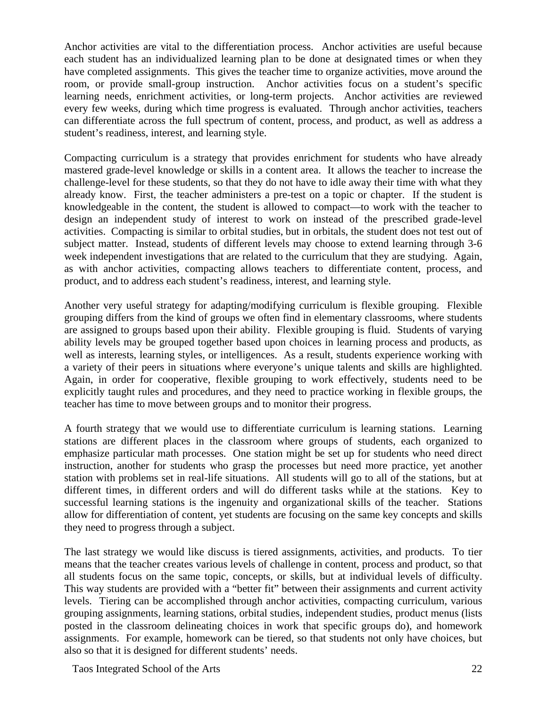Anchor activities are vital to the differentiation process. Anchor activities are useful because each student has an individualized learning plan to be done at designated times or when they have completed assignments. This gives the teacher time to organize activities, move around the room, or provide small-group instruction. Anchor activities focus on a student's specific learning needs, enrichment activities, or long-term projects. Anchor activities are reviewed every few weeks, during which time progress is evaluated. Through anchor activities, teachers can differentiate across the full spectrum of content, process, and product, as well as address a student's readiness, interest, and learning style.

Compacting curriculum is a strategy that provides enrichment for students who have already mastered grade-level knowledge or skills in a content area. It allows the teacher to increase the challenge-level for these students, so that they do not have to idle away their time with what they already know. First, the teacher administers a pre-test on a topic or chapter. If the student is knowledgeable in the content, the student is allowed to compact—to work with the teacher to design an independent study of interest to work on instead of the prescribed grade-level activities. Compacting is similar to orbital studies, but in orbitals, the student does not test out of subject matter. Instead, students of different levels may choose to extend learning through 3-6 week independent investigations that are related to the curriculum that they are studying. Again, as with anchor activities, compacting allows teachers to differentiate content, process, and product, and to address each student's readiness, interest, and learning style.

Another very useful strategy for adapting/modifying curriculum is flexible grouping. Flexible grouping differs from the kind of groups we often find in elementary classrooms, where students are assigned to groups based upon their ability. Flexible grouping is fluid. Students of varying ability levels may be grouped together based upon choices in learning process and products, as well as interests, learning styles, or intelligences. As a result, students experience working with a variety of their peers in situations where everyone's unique talents and skills are highlighted. Again, in order for cooperative, flexible grouping to work effectively, students need to be explicitly taught rules and procedures, and they need to practice working in flexible groups, the teacher has time to move between groups and to monitor their progress.

A fourth strategy that we would use to differentiate curriculum is learning stations. Learning stations are different places in the classroom where groups of students, each organized to emphasize particular math processes. One station might be set up for students who need direct instruction, another for students who grasp the processes but need more practice, yet another station with problems set in real-life situations. All students will go to all of the stations, but at different times, in different orders and will do different tasks while at the stations. Key to successful learning stations is the ingenuity and organizational skills of the teacher. Stations allow for differentiation of content, yet students are focusing on the same key concepts and skills they need to progress through a subject.

The last strategy we would like discuss is tiered assignments, activities, and products. To tier means that the teacher creates various levels of challenge in content, process and product, so that all students focus on the same topic, concepts, or skills, but at individual levels of difficulty. This way students are provided with a "better fit" between their assignments and current activity levels. Tiering can be accomplished through anchor activities, compacting curriculum, various grouping assignments, learning stations, orbital studies, independent studies, product menus (lists posted in the classroom delineating choices in work that specific groups do), and homework assignments. For example, homework can be tiered, so that students not only have choices, but also so that it is designed for different students' needs.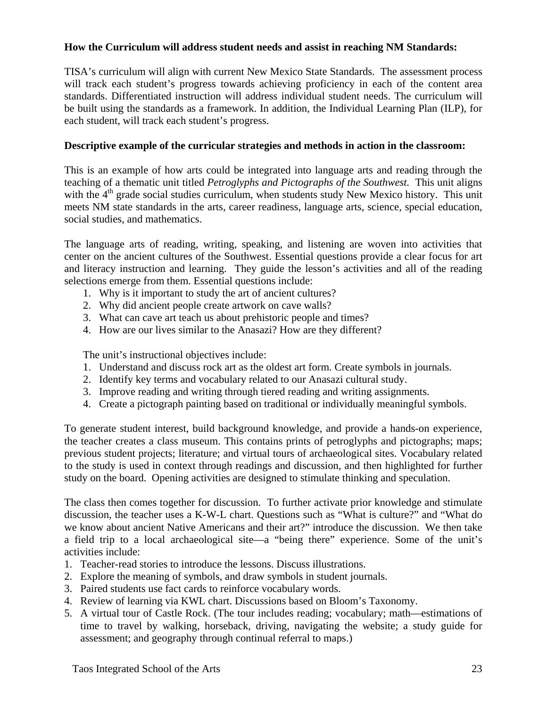# **How the Curriculum will address student needs and assist in reaching NM Standards:**

TISA's curriculum will align with current New Mexico State Standards. The assessment process will track each student's progress towards achieving proficiency in each of the content area standards. Differentiated instruction will address individual student needs. The curriculum will be built using the standards as a framework. In addition, the Individual Learning Plan (ILP), for each student, will track each student's progress.

#### **Descriptive example of the curricular strategies and methods in action in the classroom:**

This is an example of how arts could be integrated into language arts and reading through the teaching of a thematic unit titled *Petroglyphs and Pictographs of the Southwest.* This unit aligns with the  $4<sup>th</sup>$  grade social studies curriculum, when students study New Mexico history. This unit meets NM state standards in the arts, career readiness, language arts, science, special education, social studies, and mathematics.

The language arts of reading, writing, speaking, and listening are woven into activities that center on the ancient cultures of the Southwest. Essential questions provide a clear focus for art and literacy instruction and learning. They guide the lesson's activities and all of the reading selections emerge from them. Essential questions include:

- 1. Why is it important to study the art of ancient cultures?
- 2. Why did ancient people create artwork on cave walls?
- 3. What can cave art teach us about prehistoric people and times?
- 4. How are our lives similar to the Anasazi? How are they different?

The unit's instructional objectives include:

- 1. Understand and discuss rock art as the oldest art form. Create symbols in journals.
- 2. Identify key terms and vocabulary related to our Anasazi cultural study.
- 3. Improve reading and writing through tiered reading and writing assignments.
- 4. Create a pictograph painting based on traditional or individually meaningful symbols.

To generate student interest, build background knowledge, and provide a hands-on experience, the teacher creates a class museum. This contains prints of petroglyphs and pictographs; maps; previous student projects; literature; and virtual tours of archaeological sites. Vocabulary related to the study is used in context through readings and discussion, and then highlighted for further study on the board. Opening activities are designed to stimulate thinking and speculation.

The class then comes together for discussion. To further activate prior knowledge and stimulate discussion, the teacher uses a K-W-L chart. Questions such as "What is culture?" and "What do we know about ancient Native Americans and their art?" introduce the discussion. We then take a field trip to a local archaeological site—a "being there" experience. Some of the unit's activities include:

- 1. Teacher-read stories to introduce the lessons. Discuss illustrations.
- 2. Explore the meaning of symbols, and draw symbols in student journals.
- 3. Paired students use fact cards to reinforce vocabulary words.
- 4. Review of learning via KWL chart. Discussions based on Bloom's Taxonomy.
- 5. A virtual tour of Castle Rock. (The tour includes reading; vocabulary; math—estimations of time to travel by walking, horseback, driving, navigating the website; a study guide for assessment; and geography through continual referral to maps.)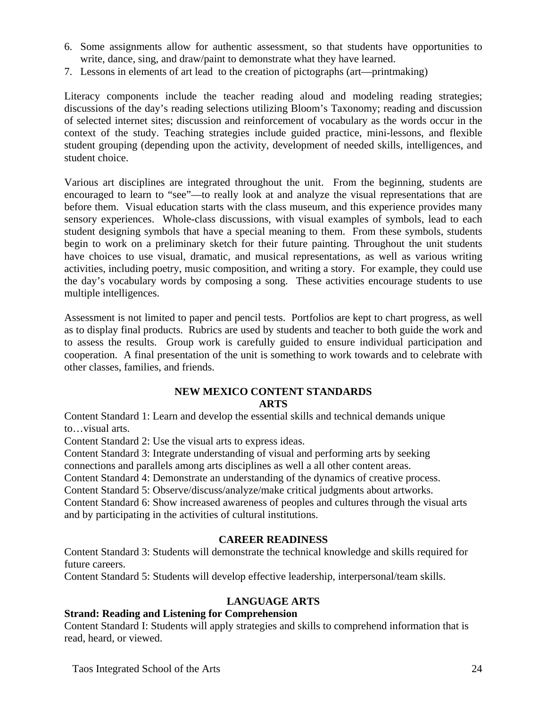- 6. Some assignments allow for authentic assessment, so that students have opportunities to write, dance, sing, and draw/paint to demonstrate what they have learned.
- 7. Lessons in elements of art lead to the creation of pictographs (art—printmaking)

Literacy components include the teacher reading aloud and modeling reading strategies; discussions of the day's reading selections utilizing Bloom's Taxonomy; reading and discussion of selected internet sites; discussion and reinforcement of vocabulary as the words occur in the context of the study. Teaching strategies include guided practice, mini-lessons, and flexible student grouping (depending upon the activity, development of needed skills, intelligences, and student choice.

Various art disciplines are integrated throughout the unit. From the beginning, students are encouraged to learn to "see"—to really look at and analyze the visual representations that are before them. Visual education starts with the class museum, and this experience provides many sensory experiences. Whole-class discussions, with visual examples of symbols, lead to each student designing symbols that have a special meaning to them. From these symbols, students begin to work on a preliminary sketch for their future painting. Throughout the unit students have choices to use visual, dramatic, and musical representations, as well as various writing activities, including poetry, music composition, and writing a story. For example, they could use the day's vocabulary words by composing a song. These activities encourage students to use multiple intelligences.

Assessment is not limited to paper and pencil tests. Portfolios are kept to chart progress, as well as to display final products. Rubrics are used by students and teacher to both guide the work and to assess the results. Group work is carefully guided to ensure individual participation and cooperation. A final presentation of the unit is something to work towards and to celebrate with other classes, families, and friends.

## **NEW MEXICO CONTENT STANDARDS ARTS**

Content Standard 1: Learn and develop the essential skills and technical demands unique to…visual arts.

Content Standard 2: Use the visual arts to express ideas.

Content Standard 3: Integrate understanding of visual and performing arts by seeking connections and parallels among arts disciplines as well a all other content areas.

Content Standard 4: Demonstrate an understanding of the dynamics of creative process.

Content Standard 5: Observe/discuss/analyze/make critical judgments about artworks.

Content Standard 6: Show increased awareness of peoples and cultures through the visual arts and by participating in the activities of cultural institutions.

# **CAREER READINESS**

Content Standard 3: Students will demonstrate the technical knowledge and skills required for future careers.

Content Standard 5: Students will develop effective leadership, interpersonal/team skills.

# **LANGUAGE ARTS**

# **Strand: Reading and Listening for Comprehension**

Content Standard I: Students will apply strategies and skills to comprehend information that is read, heard, or viewed.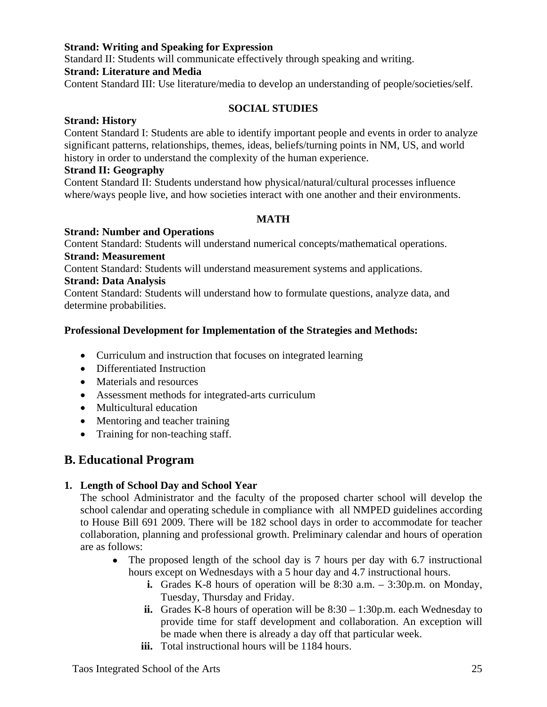# **Strand: Writing and Speaking for Expression**

Standard II: Students will communicate effectively through speaking and writing.

#### **Strand: Literature and Media**

Content Standard III: Use literature/media to develop an understanding of people/societies/self.

#### **SOCIAL STUDIES**

#### **Strand: History**

Content Standard I: Students are able to identify important people and events in order to analyze significant patterns, relationships, themes, ideas, beliefs/turning points in NM, US, and world history in order to understand the complexity of the human experience.

#### **Strand II: Geography**

Content Standard II: Students understand how physical/natural/cultural processes influence where/ways people live, and how societies interact with one another and their environments.

#### **MATH**

#### **Strand: Number and Operations**

Content Standard: Students will understand numerical concepts/mathematical operations. **Strand: Measurement** 

Content Standard: Students will understand measurement systems and applications.

#### **Strand: Data Analysis**

Content Standard: Students will understand how to formulate questions, analyze data, and determine probabilities.

#### **Professional Development for Implementation of the Strategies and Methods:**

- Curriculum and instruction that focuses on integrated learning
- Differentiated Instruction
- Materials and resources
- Assessment methods for integrated-arts curriculum
- Multicultural education
- Mentoring and teacher training
- Training for non-teaching staff.

# **B. Educational Program**

#### **1. Length of School Day and School Year**

The school Administrator and the faculty of the proposed charter school will develop the school calendar and operating schedule in compliance with all NMPED guidelines according to House Bill 691 2009. There will be 182 school days in order to accommodate for teacher collaboration, planning and professional growth. Preliminary calendar and hours of operation are as follows:

- The proposed length of the school day is 7 hours per day with 6.7 instructional hours except on Wednesdays with a 5 hour day and 4.7 instructional hours.
	- **i.** Grades K-8 hours of operation will be 8:30 a.m. 3:30p.m. on Monday, Tuesday, Thursday and Friday.
	- **ii.** Grades K-8 hours of operation will be 8:30 1:30p.m. each Wednesday to provide time for staff development and collaboration. An exception will be made when there is already a day off that particular week.
	- iii. Total instructional hours will be 1184 hours.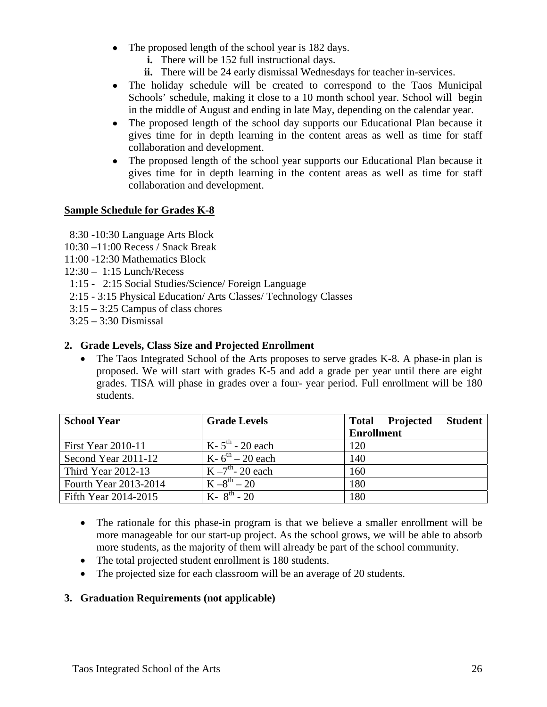- The proposed length of the school year is 182 days.
	- **i.** There will be 152 full instructional days.
	- **ii.** There will be 24 early dismissal Wednesdays for teacher in-services.
- The holiday schedule will be created to correspond to the Taos Municipal Schools' schedule, making it close to a 10 month school year. School will begin in the middle of August and ending in late May, depending on the calendar year.
- The proposed length of the school day supports our Educational Plan because it gives time for in depth learning in the content areas as well as time for staff collaboration and development.
- The proposed length of the school year supports our Educational Plan because it gives time for in depth learning in the content areas as well as time for staff collaboration and development.

# **Sample Schedule for Grades K-8**

- 8:30 -10:30 Language Arts Block
- 10:30 –11:00 Recess / Snack Break
- 11:00 -12:30 Mathematics Block
- 12:30 1:15 Lunch/Recess
- 1:15 2:15 Social Studies/Science/ Foreign Language
- 2:15 3:15 Physical Education/ Arts Classes/ Technology Classes
- 3:15 3:25 Campus of class chores
- 3:25 3:30 Dismissal

## **2. Grade Levels, Class Size and Projected Enrollment**

• The Taos Integrated School of the Arts proposes to serve grades K-8. A phase-in plan is proposed. We will start with grades K-5 and add a grade per year until there are eight grades. TISA will phase in grades over a four- year period. Full enrollment will be 180 students.

| <b>School Year</b>        | <b>Grade Levels</b>    | <b>Total Projected</b><br><b>Student</b> |
|---------------------------|------------------------|------------------------------------------|
|                           |                        | <b>Enrollment</b>                        |
| <b>First Year 2010-11</b> | $K - 5th - 20$ each    | 120                                      |
| Second Year 2011-12       | $K - 6^{th} - 20$ each | 140                                      |
| <b>Third Year 2012-13</b> | $K - 7th - 20$ each    | 160                                      |
| Fourth Year 2013-2014     | $K - 8^{th} - 20$      | 180                                      |
| Fifth Year 2014-2015      | $K - 8^{th} - 20$      | 180                                      |

- The rationale for this phase-in program is that we believe a smaller enrollment will be more manageable for our start-up project. As the school grows, we will be able to absorb more students, as the majority of them will already be part of the school community.
- The total projected student enrollment is 180 students.
- The projected size for each classroom will be an average of 20 students.

# **3. Graduation Requirements (not applicable)**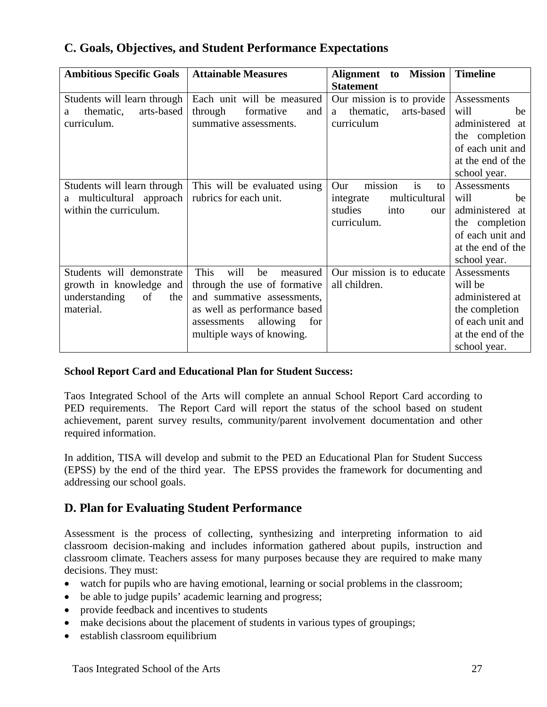| <b>Ambitious Specific Goals</b>                                                                 | <b>Attainable Measures</b>                                                                                                                                                                  | <b>Mission</b><br>Alignment<br>to<br><b>Statement</b>                                             | <b>Timeline</b>                                                                                                         |
|-------------------------------------------------------------------------------------------------|---------------------------------------------------------------------------------------------------------------------------------------------------------------------------------------------|---------------------------------------------------------------------------------------------------|-------------------------------------------------------------------------------------------------------------------------|
| Students will learn through<br>arts-based<br>thematic,<br>a<br>curriculum.                      | Each unit will be measured<br>through<br>formative<br>and<br>summative assessments.                                                                                                         | Our mission is to provide<br>thematic,<br>arts-based<br>a<br>curriculum                           | Assessments<br>will<br>be<br>administered at<br>the completion<br>of each unit and<br>at the end of the<br>school year. |
| Students will learn through<br>multicultural approach<br>within the curriculum.                 | This will be evaluated using<br>rubrics for each unit.                                                                                                                                      | is<br>mission<br>Our<br>to<br>multicultural<br>integrate<br>studies<br>into<br>our<br>curriculum. | Assessments<br>will<br>be<br>administered at<br>the completion<br>of each unit and<br>at the end of the<br>school year. |
| Students will demonstrate<br>growth in knowledge and<br>understanding<br>of<br>the<br>material. | This<br>will<br>be<br>measured<br>through the use of formative<br>and summative assessments,<br>as well as performance based<br>allowing<br>assessments<br>for<br>multiple ways of knowing. | Our mission is to educate<br>all children.                                                        | Assessments<br>will be<br>administered at<br>the completion<br>of each unit and<br>at the end of the<br>school year.    |

# **C. Goals, Objectives, and Student Performance Expectations**

# **School Report Card and Educational Plan for Student Success:**

Taos Integrated School of the Arts will complete an annual School Report Card according to PED requirements. The Report Card will report the status of the school based on student achievement, parent survey results, community/parent involvement documentation and other required information.

In addition, TISA will develop and submit to the PED an Educational Plan for Student Success (EPSS) by the end of the third year. The EPSS provides the framework for documenting and addressing our school goals.

# **D. Plan for Evaluating Student Performance**

Assessment is the process of collecting, synthesizing and interpreting information to aid classroom decision-making and includes information gathered about pupils, instruction and classroom climate. Teachers assess for many purposes because they are required to make many decisions. They must:

- watch for pupils who are having emotional, learning or social problems in the classroom;
- be able to judge pupils' academic learning and progress;
- provide feedback and incentives to students
- make decisions about the placement of students in various types of groupings;
- establish classroom equilibrium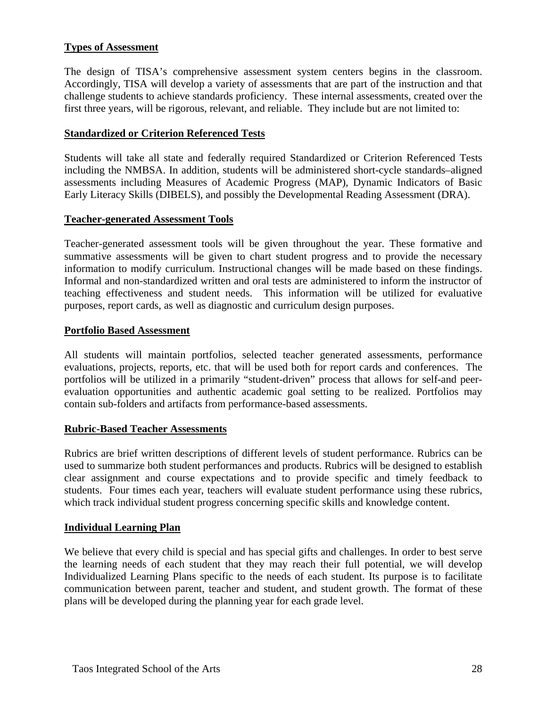# **Types of Assessment**

The design of TISA's comprehensive assessment system centers begins in the classroom. Accordingly, TISA will develop a variety of assessments that are part of the instruction and that challenge students to achieve standards proficiency. These internal assessments, created over the first three years, will be rigorous, relevant, and reliable. They include but are not limited to:

#### **Standardized or Criterion Referenced Tests**

Students will take all state and federally required Standardized or Criterion Referenced Tests including the NMBSA. In addition, students will be administered short-cycle standards–aligned assessments including Measures of Academic Progress (MAP), Dynamic Indicators of Basic Early Literacy Skills (DIBELS), and possibly the Developmental Reading Assessment (DRA).

#### **Teacher-generated Assessment Tools**

Teacher-generated assessment tools will be given throughout the year. These formative and summative assessments will be given to chart student progress and to provide the necessary information to modify curriculum. Instructional changes will be made based on these findings. Informal and non-standardized written and oral tests are administered to inform the instructor of teaching effectiveness and student needs. This information will be utilized for evaluative purposes, report cards, as well as diagnostic and curriculum design purposes.

#### **Portfolio Based Assessment**

All students will maintain portfolios, selected teacher generated assessments, performance evaluations, projects, reports, etc. that will be used both for report cards and conferences. The portfolios will be utilized in a primarily "student-driven" process that allows for self-and peerevaluation opportunities and authentic academic goal setting to be realized. Portfolios may contain sub-folders and artifacts from performance-based assessments.

#### **Rubric-Based Teacher Assessments**

Rubrics are brief written descriptions of different levels of student performance. Rubrics can be used to summarize both student performances and products. Rubrics will be designed to establish clear assignment and course expectations and to provide specific and timely feedback to students. Four times each year, teachers will evaluate student performance using these rubrics, which track individual student progress concerning specific skills and knowledge content.

#### **Individual Learning Plan**

We believe that every child is special and has special gifts and challenges. In order to best serve the learning needs of each student that they may reach their full potential, we will develop Individualized Learning Plans specific to the needs of each student. Its purpose is to facilitate communication between parent, teacher and student, and student growth. The format of these plans will be developed during the planning year for each grade level.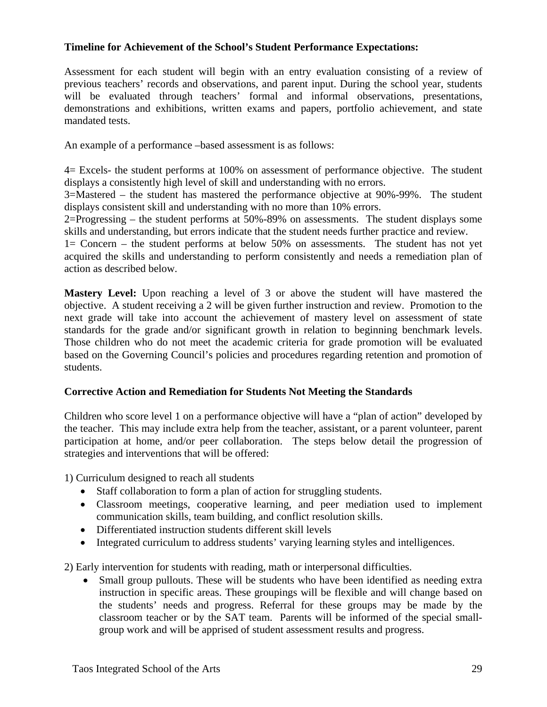# **Timeline for Achievement of the School's Student Performance Expectations:**

Assessment for each student will begin with an entry evaluation consisting of a review of previous teachers' records and observations, and parent input. During the school year, students will be evaluated through teachers' formal and informal observations, presentations, demonstrations and exhibitions, written exams and papers, portfolio achievement, and state mandated tests.

An example of a performance –based assessment is as follows:

4= Excels- the student performs at 100% on assessment of performance objective. The student displays a consistently high level of skill and understanding with no errors.

3=Mastered – the student has mastered the performance objective at 90%-99%. The student displays consistent skill and understanding with no more than 10% errors.

2=Progressing – the student performs at 50%-89% on assessments. The student displays some skills and understanding, but errors indicate that the student needs further practice and review.

1= Concern – the student performs at below 50% on assessments. The student has not yet acquired the skills and understanding to perform consistently and needs a remediation plan of action as described below.

**Mastery Level:** Upon reaching a level of 3 or above the student will have mastered the objective. A student receiving a 2 will be given further instruction and review. Promotion to the next grade will take into account the achievement of mastery level on assessment of state standards for the grade and/or significant growth in relation to beginning benchmark levels. Those children who do not meet the academic criteria for grade promotion will be evaluated based on the Governing Council's policies and procedures regarding retention and promotion of students.

#### **Corrective Action and Remediation for Students Not Meeting the Standards**

Children who score level 1 on a performance objective will have a "plan of action" developed by the teacher. This may include extra help from the teacher, assistant, or a parent volunteer, parent participation at home, and/or peer collaboration. The steps below detail the progression of strategies and interventions that will be offered:

1) Curriculum designed to reach all students

- Staff collaboration to form a plan of action for struggling students.
- Classroom meetings, cooperative learning, and peer mediation used to implement communication skills, team building, and conflict resolution skills.
- Differentiated instruction students different skill levels
- Integrated curriculum to address students' varying learning styles and intelligences.

2) Early intervention for students with reading, math or interpersonal difficulties.

• Small group pullouts. These will be students who have been identified as needing extra instruction in specific areas. These groupings will be flexible and will change based on the students' needs and progress. Referral for these groups may be made by the classroom teacher or by the SAT team. Parents will be informed of the special smallgroup work and will be apprised of student assessment results and progress.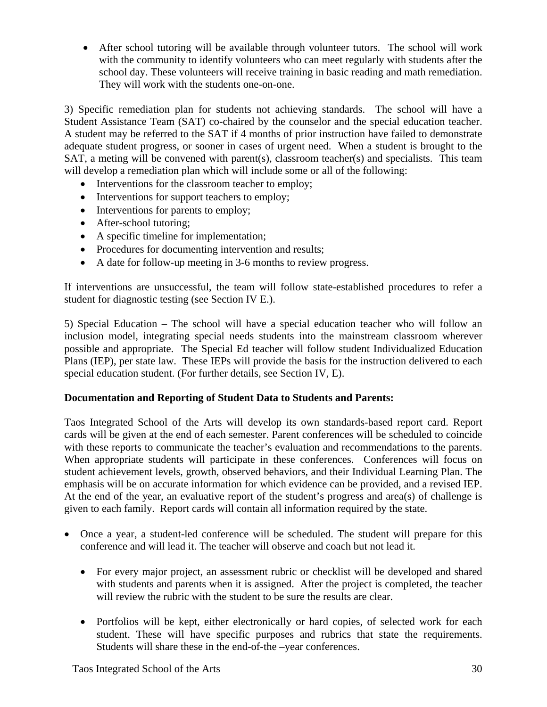• After school tutoring will be available through volunteer tutors. The school will work with the community to identify volunteers who can meet regularly with students after the school day. These volunteers will receive training in basic reading and math remediation. They will work with the students one-on-one.

3) Specific remediation plan for students not achieving standards. The school will have a Student Assistance Team (SAT) co-chaired by the counselor and the special education teacher. A student may be referred to the SAT if 4 months of prior instruction have failed to demonstrate adequate student progress, or sooner in cases of urgent need. When a student is brought to the SAT, a meting will be convened with parent(s), classroom teacher(s) and specialists. This team will develop a remediation plan which will include some or all of the following:

- Interventions for the classroom teacher to employ;
- Interventions for support teachers to employ;
- Interventions for parents to employ;
- After-school tutoring;
- A specific timeline for implementation;
- Procedures for documenting intervention and results;
- A date for follow-up meeting in 3-6 months to review progress.

If interventions are unsuccessful, the team will follow state-established procedures to refer a student for diagnostic testing (see Section IV E.).

5) Special Education – The school will have a special education teacher who will follow an inclusion model, integrating special needs students into the mainstream classroom wherever possible and appropriate. The Special Ed teacher will follow student Individualized Education Plans (IEP), per state law. These IEPs will provide the basis for the instruction delivered to each special education student. (For further details, see Section IV, E).

# **Documentation and Reporting of Student Data to Students and Parents:**

Taos Integrated School of the Arts will develop its own standards-based report card. Report cards will be given at the end of each semester. Parent conferences will be scheduled to coincide with these reports to communicate the teacher's evaluation and recommendations to the parents. When appropriate students will participate in these conferences. Conferences will focus on student achievement levels, growth, observed behaviors, and their Individual Learning Plan. The emphasis will be on accurate information for which evidence can be provided, and a revised IEP. At the end of the year, an evaluative report of the student's progress and area(s) of challenge is given to each family. Report cards will contain all information required by the state.

- Once a year, a student-led conference will be scheduled. The student will prepare for this conference and will lead it. The teacher will observe and coach but not lead it.
	- For every major project, an assessment rubric or checklist will be developed and shared with students and parents when it is assigned. After the project is completed, the teacher will review the rubric with the student to be sure the results are clear.
	- Portfolios will be kept, either electronically or hard copies, of selected work for each student. These will have specific purposes and rubrics that state the requirements. Students will share these in the end-of-the –year conferences.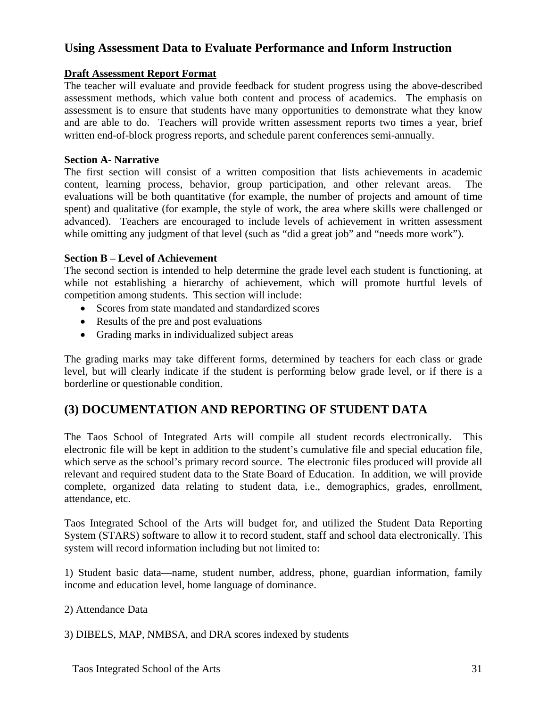# **Using Assessment Data to Evaluate Performance and Inform Instruction**

# **Draft Assessment Report Format**

The teacher will evaluate and provide feedback for student progress using the above-described assessment methods, which value both content and process of academics. The emphasis on assessment is to ensure that students have many opportunities to demonstrate what they know and are able to do. Teachers will provide written assessment reports two times a year, brief written end-of-block progress reports, and schedule parent conferences semi-annually.

#### **Section A- Narrative**

The first section will consist of a written composition that lists achievements in academic content, learning process, behavior, group participation, and other relevant areas. The evaluations will be both quantitative (for example, the number of projects and amount of time spent) and qualitative (for example, the style of work, the area where skills were challenged or advanced). Teachers are encouraged to include levels of achievement in written assessment while omitting any judgment of that level (such as "did a great job" and "needs more work").

## **Section B – Level of Achievement**

The second section is intended to help determine the grade level each student is functioning, at while not establishing a hierarchy of achievement, which will promote hurtful levels of competition among students. This section will include:

- Scores from state mandated and standardized scores
- Results of the pre and post evaluations
- Grading marks in individualized subject areas

The grading marks may take different forms, determined by teachers for each class or grade level, but will clearly indicate if the student is performing below grade level, or if there is a borderline or questionable condition.

# **(3) DOCUMENTATION AND REPORTING OF STUDENT DATA**

The Taos School of Integrated Arts will compile all student records electronically. This electronic file will be kept in addition to the student's cumulative file and special education file, which serve as the school's primary record source. The electronic files produced will provide all relevant and required student data to the State Board of Education. In addition, we will provide complete, organized data relating to student data, i.e., demographics, grades, enrollment, attendance, etc.

Taos Integrated School of the Arts will budget for, and utilized the Student Data Reporting System (STARS) software to allow it to record student, staff and school data electronically. This system will record information including but not limited to:

1) Student basic data—name, student number, address, phone, guardian information, family income and education level, home language of dominance.

#### 2) Attendance Data

3) DIBELS, MAP, NMBSA, and DRA scores indexed by students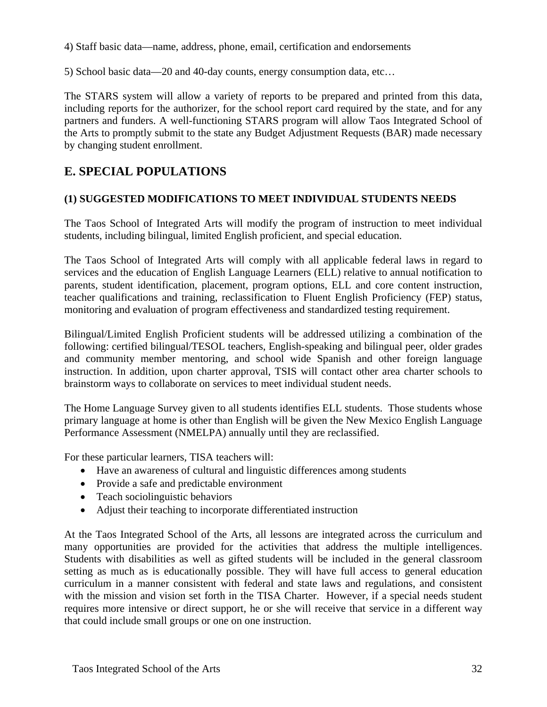4) Staff basic data—name, address, phone, email, certification and endorsements

5) School basic data—20 and 40-day counts, energy consumption data, etc…

The STARS system will allow a variety of reports to be prepared and printed from this data, including reports for the authorizer, for the school report card required by the state, and for any partners and funders. A well-functioning STARS program will allow Taos Integrated School of the Arts to promptly submit to the state any Budget Adjustment Requests (BAR) made necessary by changing student enrollment.

# **E. SPECIAL POPULATIONS**

# **(1) SUGGESTED MODIFICATIONS TO MEET INDIVIDUAL STUDENTS NEEDS**

The Taos School of Integrated Arts will modify the program of instruction to meet individual students, including bilingual, limited English proficient, and special education.

The Taos School of Integrated Arts will comply with all applicable federal laws in regard to services and the education of English Language Learners (ELL) relative to annual notification to parents, student identification, placement, program options, ELL and core content instruction, teacher qualifications and training, reclassification to Fluent English Proficiency (FEP) status, monitoring and evaluation of program effectiveness and standardized testing requirement.

Bilingual/Limited English Proficient students will be addressed utilizing a combination of the following: certified bilingual/TESOL teachers, English-speaking and bilingual peer, older grades and community member mentoring, and school wide Spanish and other foreign language instruction. In addition, upon charter approval, TSIS will contact other area charter schools to brainstorm ways to collaborate on services to meet individual student needs.

The Home Language Survey given to all students identifies ELL students. Those students whose primary language at home is other than English will be given the New Mexico English Language Performance Assessment (NMELPA) annually until they are reclassified.

For these particular learners, TISA teachers will:

- Have an awareness of cultural and linguistic differences among students
- Provide a safe and predictable environment
- Teach sociolinguistic behaviors
- Adjust their teaching to incorporate differentiated instruction

At the Taos Integrated School of the Arts, all lessons are integrated across the curriculum and many opportunities are provided for the activities that address the multiple intelligences. Students with disabilities as well as gifted students will be included in the general classroom setting as much as is educationally possible. They will have full access to general education curriculum in a manner consistent with federal and state laws and regulations, and consistent with the mission and vision set forth in the TISA Charter. However, if a special needs student requires more intensive or direct support, he or she will receive that service in a different way that could include small groups or one on one instruction.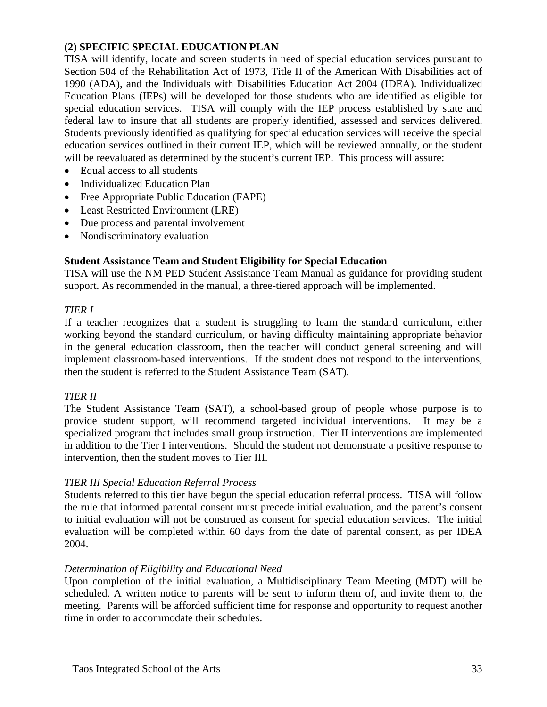# **(2) SPECIFIC SPECIAL EDUCATION PLAN**

TISA will identify, locate and screen students in need of special education services pursuant to Section 504 of the Rehabilitation Act of 1973, Title II of the American With Disabilities act of 1990 (ADA), and the Individuals with Disabilities Education Act 2004 (IDEA). Individualized Education Plans (IEPs) will be developed for those students who are identified as eligible for special education services. TISA will comply with the IEP process established by state and federal law to insure that all students are properly identified, assessed and services delivered. Students previously identified as qualifying for special education services will receive the special education services outlined in their current IEP, which will be reviewed annually, or the student will be reevaluated as determined by the student's current IEP. This process will assure:

- Equal access to all students
- Individualized Education Plan
- Free Appropriate Public Education (FAPE)
- Least Restricted Environment (LRE)
- Due process and parental involvement
- Nondiscriminatory evaluation

# **Student Assistance Team and Student Eligibility for Special Education**

TISA will use the NM PED Student Assistance Team Manual as guidance for providing student support. As recommended in the manual, a three-tiered approach will be implemented.

# *TIER I*

If a teacher recognizes that a student is struggling to learn the standard curriculum, either working beyond the standard curriculum, or having difficulty maintaining appropriate behavior in the general education classroom, then the teacher will conduct general screening and will implement classroom-based interventions. If the student does not respond to the interventions, then the student is referred to the Student Assistance Team (SAT).

# *TIER II*

The Student Assistance Team (SAT), a school-based group of people whose purpose is to provide student support, will recommend targeted individual interventions. It may be a specialized program that includes small group instruction. Tier II interventions are implemented in addition to the Tier I interventions. Should the student not demonstrate a positive response to intervention, then the student moves to Tier III.

# *TIER III Special Education Referral Process*

Students referred to this tier have begun the special education referral process. TISA will follow the rule that informed parental consent must precede initial evaluation, and the parent's consent to initial evaluation will not be construed as consent for special education services. The initial evaluation will be completed within 60 days from the date of parental consent, as per IDEA 2004.

# *Determination of Eligibility and Educational Need*

Upon completion of the initial evaluation, a Multidisciplinary Team Meeting (MDT) will be scheduled. A written notice to parents will be sent to inform them of, and invite them to, the meeting. Parents will be afforded sufficient time for response and opportunity to request another time in order to accommodate their schedules.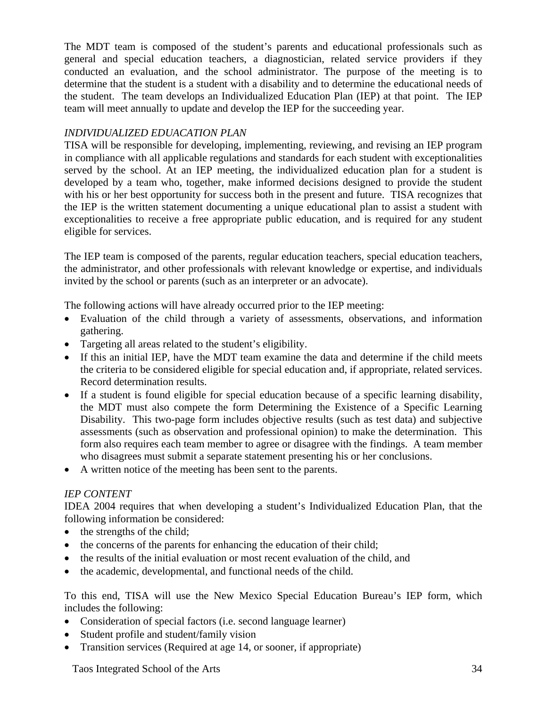The MDT team is composed of the student's parents and educational professionals such as general and special education teachers, a diagnostician, related service providers if they conducted an evaluation, and the school administrator. The purpose of the meeting is to determine that the student is a student with a disability and to determine the educational needs of the student. The team develops an Individualized Education Plan (IEP) at that point. The IEP team will meet annually to update and develop the IEP for the succeeding year.

# *INDIVIDUALIZED EDUACATION PLAN*

TISA will be responsible for developing, implementing, reviewing, and revising an IEP program in compliance with all applicable regulations and standards for each student with exceptionalities served by the school. At an IEP meeting, the individualized education plan for a student is developed by a team who, together, make informed decisions designed to provide the student with his or her best opportunity for success both in the present and future. TISA recognizes that the IEP is the written statement documenting a unique educational plan to assist a student with exceptionalities to receive a free appropriate public education, and is required for any student eligible for services.

The IEP team is composed of the parents, regular education teachers, special education teachers, the administrator, and other professionals with relevant knowledge or expertise, and individuals invited by the school or parents (such as an interpreter or an advocate).

The following actions will have already occurred prior to the IEP meeting:

- Evaluation of the child through a variety of assessments, observations, and information gathering.
- Targeting all areas related to the student's eligibility.
- If this an initial IEP, have the MDT team examine the data and determine if the child meets the criteria to be considered eligible for special education and, if appropriate, related services. Record determination results.
- If a student is found eligible for special education because of a specific learning disability, the MDT must also compete the form Determining the Existence of a Specific Learning Disability. This two-page form includes objective results (such as test data) and subjective assessments (such as observation and professional opinion) to make the determination. This form also requires each team member to agree or disagree with the findings. A team member who disagrees must submit a separate statement presenting his or her conclusions.
- A written notice of the meeting has been sent to the parents.

# *IEP CONTENT*

IDEA 2004 requires that when developing a student's Individualized Education Plan, that the following information be considered:

- the strengths of the child;
- the concerns of the parents for enhancing the education of their child;
- the results of the initial evaluation or most recent evaluation of the child, and
- the academic, developmental, and functional needs of the child.

To this end, TISA will use the New Mexico Special Education Bureau's IEP form, which includes the following:

- Consideration of special factors (i.e. second language learner)
- Student profile and student/family vision
- Transition services (Required at age 14, or sooner, if appropriate)

Taos Integrated School of the Arts 34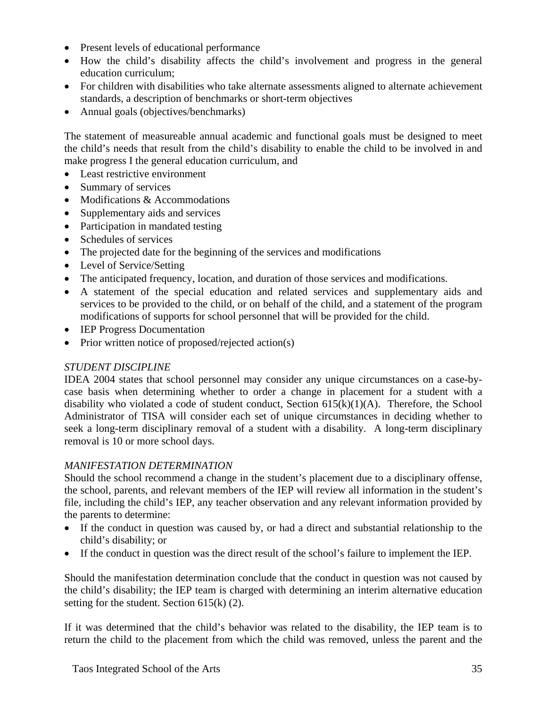- Present levels of educational performance
- How the child's disability affects the child's involvement and progress in the general education curriculum;
- For children with disabilities who take alternate assessments aligned to alternate achievement standards, a description of benchmarks or short-term objectives
- Annual goals (objectives/benchmarks)

The statement of measureable annual academic and functional goals must be designed to meet the child's needs that result from the child's disability to enable the child to be involved in and make progress I the general education curriculum, and

- Least restrictive environment
- Summary of services
- Modifications & Accommodations
- Supplementary aids and services
- Participation in mandated testing
- Schedules of services
- The projected date for the beginning of the services and modifications
- Level of Service/Setting
- The anticipated frequency, location, and duration of those services and modifications.
- A statement of the special education and related services and supplementary aids and services to be provided to the child, or on behalf of the child, and a statement of the program modifications of supports for school personnel that will be provided for the child.
- **IEP Progress Documentation**
- Prior written notice of proposed/rejected action(s)

# *STUDENT DISCIPLINE*

IDEA 2004 states that school personnel may consider any unique circumstances on a case-bycase basis when determining whether to order a change in placement for a student with a disability who violated a code of student conduct, Section  $615(k)(1)(A)$ . Therefore, the School Administrator of TISA will consider each set of unique circumstances in deciding whether to seek a long-term disciplinary removal of a student with a disability. A long-term disciplinary removal is 10 or more school days.

# *MANIFESTATION DETERMINATION*

Should the school recommend a change in the student's placement due to a disciplinary offense, the school, parents, and relevant members of the IEP will review all information in the student's file, including the child's IEP, any teacher observation and any relevant information provided by the parents to determine:

- If the conduct in question was caused by, or had a direct and substantial relationship to the child's disability; or
- If the conduct in question was the direct result of the school's failure to implement the IEP.

Should the manifestation determination conclude that the conduct in question was not caused by the child's disability; the IEP team is charged with determining an interim alternative education setting for the student. Section 615(k) (2).

If it was determined that the child's behavior was related to the disability, the IEP team is to return the child to the placement from which the child was removed, unless the parent and the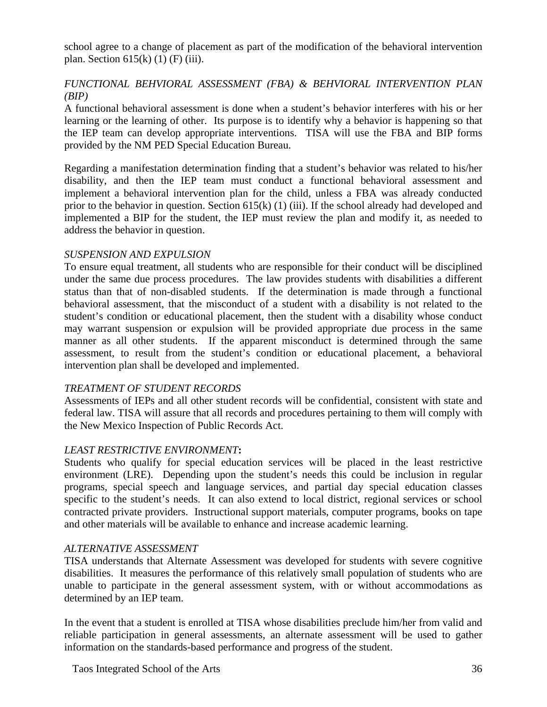school agree to a change of placement as part of the modification of the behavioral intervention plan. Section  $615(k)$  (1) (F) (iii).

# *FUNCTIONAL BEHVIORAL ASSESSMENT (FBA) & BEHVIORAL INTERVENTION PLAN (BIP)*

A functional behavioral assessment is done when a student's behavior interferes with his or her learning or the learning of other. Its purpose is to identify why a behavior is happening so that the IEP team can develop appropriate interventions. TISA will use the FBA and BIP forms provided by the NM PED Special Education Bureau.

Regarding a manifestation determination finding that a student's behavior was related to his/her disability, and then the IEP team must conduct a functional behavioral assessment and implement a behavioral intervention plan for the child, unless a FBA was already conducted prior to the behavior in question. Section 615(k) (1) (iii). If the school already had developed and implemented a BIP for the student, the IEP must review the plan and modify it, as needed to address the behavior in question.

## *SUSPENSION AND EXPULSION*

To ensure equal treatment, all students who are responsible for their conduct will be disciplined under the same due process procedures. The law provides students with disabilities a different status than that of non-disabled students. If the determination is made through a functional behavioral assessment, that the misconduct of a student with a disability is not related to the student's condition or educational placement, then the student with a disability whose conduct may warrant suspension or expulsion will be provided appropriate due process in the same manner as all other students. If the apparent misconduct is determined through the same assessment, to result from the student's condition or educational placement, a behavioral intervention plan shall be developed and implemented.

#### *TREATMENT OF STUDENT RECORDS*

Assessments of IEPs and all other student records will be confidential, consistent with state and federal law. TISA will assure that all records and procedures pertaining to them will comply with the New Mexico Inspection of Public Records Act.

# *LEAST RESTRICTIVE ENVIRONMENT***:**

Students who qualify for special education services will be placed in the least restrictive environment (LRE). Depending upon the student's needs this could be inclusion in regular programs, special speech and language services, and partial day special education classes specific to the student's needs. It can also extend to local district, regional services or school contracted private providers. Instructional support materials, computer programs, books on tape and other materials will be available to enhance and increase academic learning.

#### *ALTERNATIVE ASSESSMENT*

TISA understands that Alternate Assessment was developed for students with severe cognitive disabilities. It measures the performance of this relatively small population of students who are unable to participate in the general assessment system, with or without accommodations as determined by an IEP team.

In the event that a student is enrolled at TISA whose disabilities preclude him/her from valid and reliable participation in general assessments, an alternate assessment will be used to gather information on the standards-based performance and progress of the student.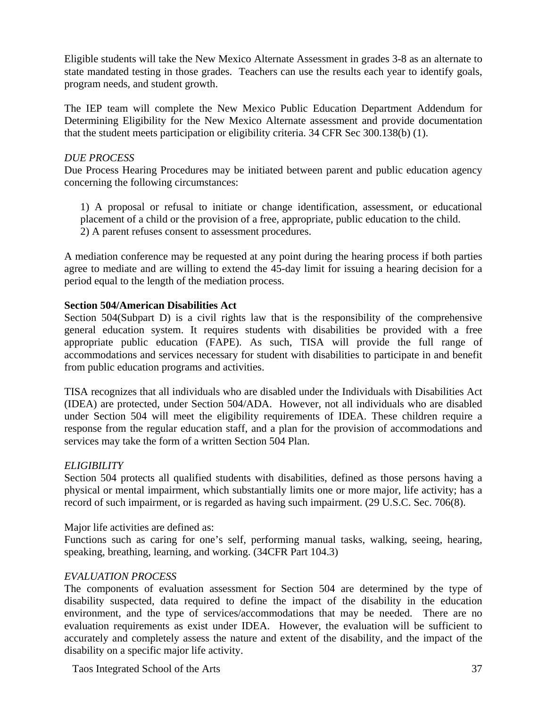Eligible students will take the New Mexico Alternate Assessment in grades 3-8 as an alternate to state mandated testing in those grades. Teachers can use the results each year to identify goals, program needs, and student growth.

The IEP team will complete the New Mexico Public Education Department Addendum for Determining Eligibility for the New Mexico Alternate assessment and provide documentation that the student meets participation or eligibility criteria. 34 CFR Sec 300.138(b) (1).

#### *DUE PROCESS*

Due Process Hearing Procedures may be initiated between parent and public education agency concerning the following circumstances:

1) A proposal or refusal to initiate or change identification, assessment, or educational placement of a child or the provision of a free, appropriate, public education to the child. 2) A parent refuses consent to assessment procedures.

A mediation conference may be requested at any point during the hearing process if both parties agree to mediate and are willing to extend the 45-day limit for issuing a hearing decision for a period equal to the length of the mediation process.

#### **Section 504/American Disabilities Act**

Section 504(Subpart D) is a civil rights law that is the responsibility of the comprehensive general education system. It requires students with disabilities be provided with a free appropriate public education (FAPE). As such, TISA will provide the full range of accommodations and services necessary for student with disabilities to participate in and benefit from public education programs and activities.

TISA recognizes that all individuals who are disabled under the Individuals with Disabilities Act (IDEA) are protected, under Section 504/ADA. However, not all individuals who are disabled under Section 504 will meet the eligibility requirements of IDEA. These children require a response from the regular education staff, and a plan for the provision of accommodations and services may take the form of a written Section 504 Plan.

## *ELIGIBILITY*

Section 504 protects all qualified students with disabilities, defined as those persons having a physical or mental impairment, which substantially limits one or more major, life activity; has a record of such impairment, or is regarded as having such impairment. (29 U.S.C. Sec. 706(8).

Major life activities are defined as:

Functions such as caring for one's self, performing manual tasks, walking, seeing, hearing, speaking, breathing, learning, and working. (34CFR Part 104.3)

## *EVALUATION PROCESS*

The components of evaluation assessment for Section 504 are determined by the type of disability suspected, data required to define the impact of the disability in the education environment, and the type of services/accommodations that may be needed. There are no evaluation requirements as exist under IDEA. However, the evaluation will be sufficient to accurately and completely assess the nature and extent of the disability, and the impact of the disability on a specific major life activity.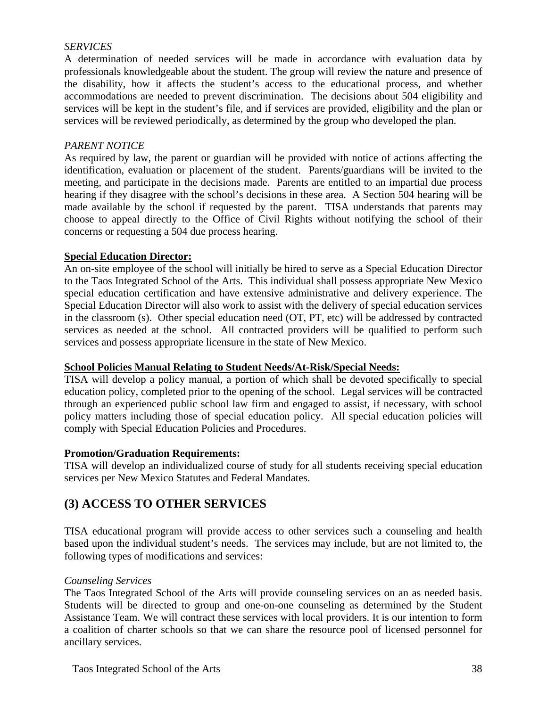#### *SERVICES*

A determination of needed services will be made in accordance with evaluation data by professionals knowledgeable about the student. The group will review the nature and presence of the disability, how it affects the student's access to the educational process, and whether accommodations are needed to prevent discrimination. The decisions about 504 eligibility and services will be kept in the student's file, and if services are provided, eligibility and the plan or services will be reviewed periodically, as determined by the group who developed the plan.

#### *PARENT NOTICE*

As required by law, the parent or guardian will be provided with notice of actions affecting the identification, evaluation or placement of the student. Parents/guardians will be invited to the meeting, and participate in the decisions made. Parents are entitled to an impartial due process hearing if they disagree with the school's decisions in these area. A Section 504 hearing will be made available by the school if requested by the parent. TISA understands that parents may choose to appeal directly to the Office of Civil Rights without notifying the school of their concerns or requesting a 504 due process hearing.

#### **Special Education Director:**

An on-site employee of the school will initially be hired to serve as a Special Education Director to the Taos Integrated School of the Arts. This individual shall possess appropriate New Mexico special education certification and have extensive administrative and delivery experience. The Special Education Director will also work to assist with the delivery of special education services in the classroom (s). Other special education need (OT, PT, etc) will be addressed by contracted services as needed at the school. All contracted providers will be qualified to perform such services and possess appropriate licensure in the state of New Mexico.

#### **School Policies Manual Relating to Student Needs/At-Risk/Special Needs:**

TISA will develop a policy manual, a portion of which shall be devoted specifically to special education policy, completed prior to the opening of the school. Legal services will be contracted through an experienced public school law firm and engaged to assist, if necessary, with school policy matters including those of special education policy. All special education policies will comply with Special Education Policies and Procedures.

#### **Promotion/Graduation Requirements:**

TISA will develop an individualized course of study for all students receiving special education services per New Mexico Statutes and Federal Mandates.

## **(3) ACCESS TO OTHER SERVICES**

TISA educational program will provide access to other services such a counseling and health based upon the individual student's needs. The services may include, but are not limited to, the following types of modifications and services:

#### *Counseling Services*

The Taos Integrated School of the Arts will provide counseling services on an as needed basis. Students will be directed to group and one-on-one counseling as determined by the Student Assistance Team. We will contract these services with local providers. It is our intention to form a coalition of charter schools so that we can share the resource pool of licensed personnel for ancillary services.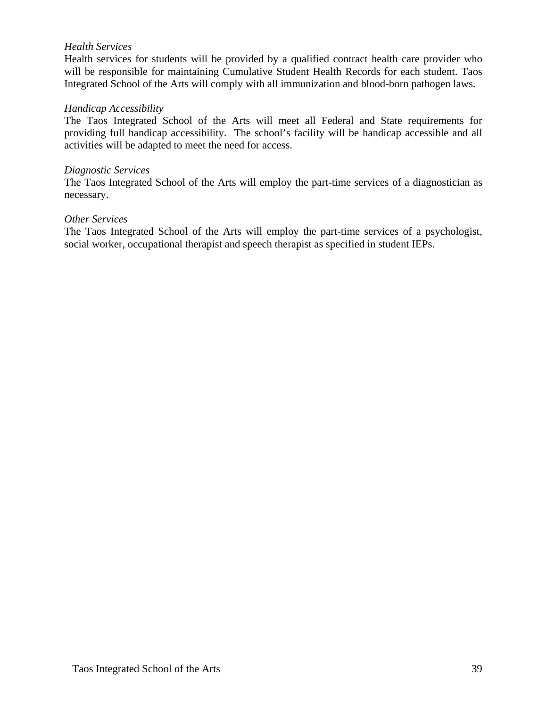#### *Health Services*

Health services for students will be provided by a qualified contract health care provider who will be responsible for maintaining Cumulative Student Health Records for each student. Taos Integrated School of the Arts will comply with all immunization and blood-born pathogen laws.

#### *Handicap Accessibility*

The Taos Integrated School of the Arts will meet all Federal and State requirements for providing full handicap accessibility. The school's facility will be handicap accessible and all activities will be adapted to meet the need for access.

#### *Diagnostic Services*

The Taos Integrated School of the Arts will employ the part-time services of a diagnostician as necessary.

#### *Other Services*

The Taos Integrated School of the Arts will employ the part-time services of a psychologist, social worker, occupational therapist and speech therapist as specified in student IEPs.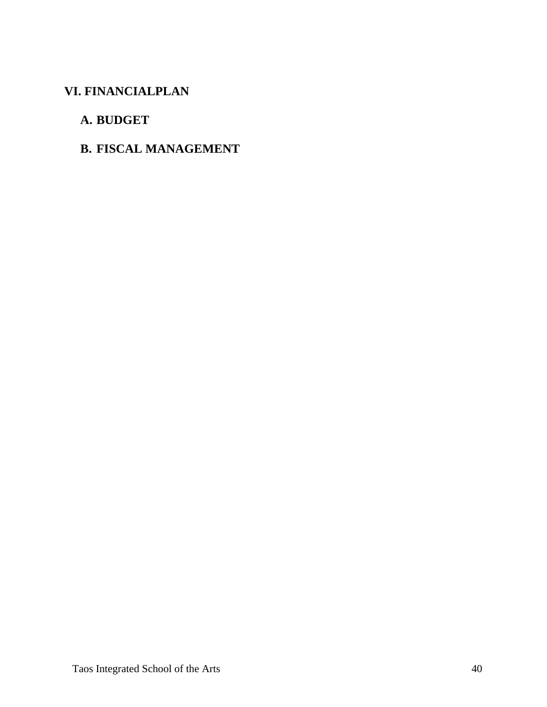# **VI. FINANCIALPLAN**

# **A. BUDGET**

# **B. FISCAL MANAGEMENT**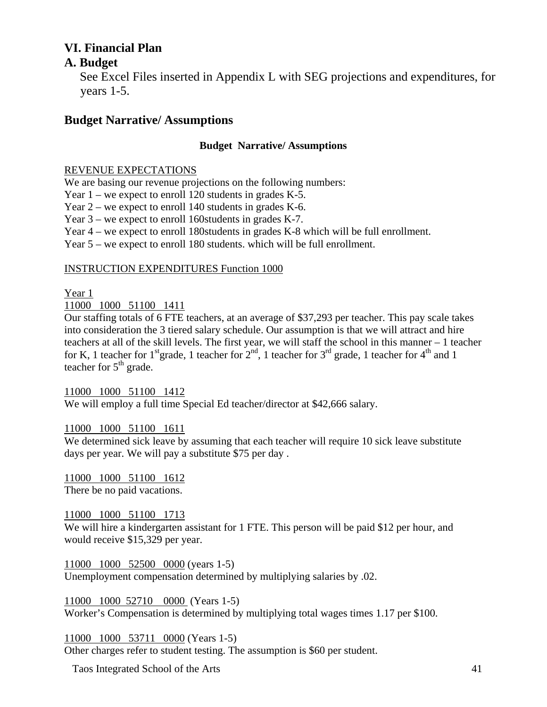# **VI. Financial Plan**

## **A. Budget**

 See Excel Files inserted in Appendix L with SEG projections and expenditures, for years 1-5.

## **Budget Narrative/ Assumptions**

## **Budget Narrative/ Assumptions**

#### REVENUE EXPECTATIONS

We are basing our revenue projections on the following numbers:

Year 1 – we expect to enroll 120 students in grades K-5.

Year 2 – we expect to enroll 140 students in grades K-6.

Year 3 – we expect to enroll 160students in grades K-7.

Year 4 – we expect to enroll 180students in grades K-8 which will be full enrollment.

Year 5 – we expect to enroll 180 students. which will be full enrollment.

#### INSTRUCTION EXPENDITURES Function 1000

## Year 1

11000 1000 51100 1411

Our staffing totals of 6 FTE teachers, at an average of \$37,293 per teacher. This pay scale takes into consideration the 3 tiered salary schedule. Our assumption is that we will attract and hire teachers at all of the skill levels. The first year, we will staff the school in this manner – 1 teacher for K, 1 teacher for  $1<sup>st</sup>$ grade, 1 teacher for  $2<sup>nd</sup>$ , 1 teacher for  $3<sup>rd</sup>$  grade, 1 teacher for  $4<sup>th</sup>$  and 1 teacher for  $5<sup>th</sup>$  grade.

11000 1000 51100 1412

We will employ a full time Special Ed teacher/director at \$42,666 salary.

## 11000 1000 51100 1611

We determined sick leave by assuming that each teacher will require 10 sick leave substitute days per year. We will pay a substitute \$75 per day .

11000 1000 51100 1612 There be no paid vacations.

## 11000 1000 51100 1713

We will hire a kindergarten assistant for 1 FTE. This person will be paid \$12 per hour, and would receive \$15,329 per year.

11000 1000 52500 0000 (years 1-5) Unemployment compensation determined by multiplying salaries by .02.

11000 1000 52710 0000 (Years 1-5) Worker's Compensation is determined by multiplying total wages times 1.17 per \$100.

11000 1000 53711 0000 (Years 1-5)

Other charges refer to student testing. The assumption is \$60 per student.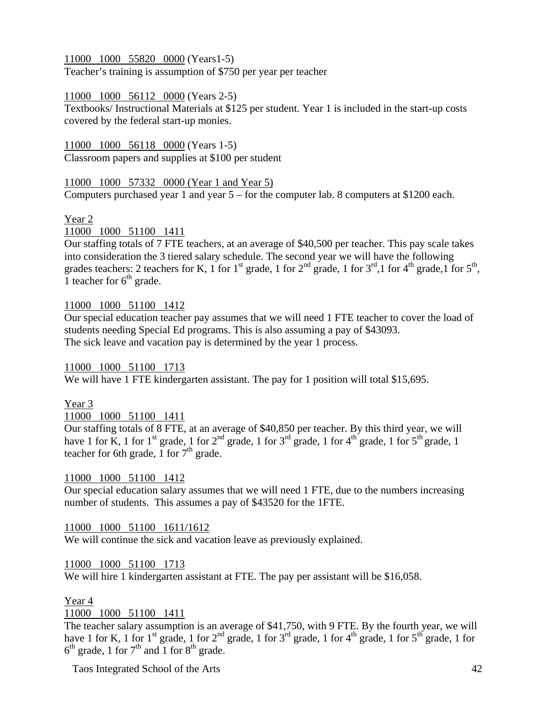11000 1000 55820 0000 (Years1-5)

Teacher's training is assumption of \$750 per year per teacher

## 11000 1000 56112 0000 (Years 2-5)

Textbooks/ Instructional Materials at \$125 per student. Year 1 is included in the start-up costs covered by the federal start-up monies.

11000 1000 56118 0000 (Years 1-5) Classroom papers and supplies at \$100 per student

11000 1000 57332 0000 (Year 1 and Year 5) Computers purchased year 1 and year 5 – for the computer lab. 8 computers at \$1200 each.

## Year 2

11000 1000 51100 1411

Our staffing totals of 7 FTE teachers, at an average of \$40,500 per teacher. This pay scale takes into consideration the 3 tiered salary schedule. The second year we will have the following grades teachers: 2 teachers for K, 1 for 1<sup>st</sup> grade, 1 for  $2<sup>nd</sup>$  grade, 1 for  $3<sup>rd</sup>$ ,1 for  $4<sup>th</sup>$  grade, 1 for  $5<sup>th</sup>$ , 1 teacher for  $6<sup>th</sup>$  grade.

## 11000 1000 51100 1412

Our special education teacher pay assumes that we will need 1 FTE teacher to cover the load of students needing Special Ed programs. This is also assuming a pay of \$43093. The sick leave and vacation pay is determined by the year 1 process.

11000 1000 51100 1713 We will have 1 FTE kindergarten assistant. The pay for 1 position will total \$15,695.

Year 3

11000 1000 51100 1411

Our staffing totals of 8 FTE, at an average of \$40,850 per teacher. By this third year, we will have 1 for K, 1 for  $1^{st}$  grade, 1 for  $2^{nd}$  grade, 1 for  $3^{rd}$  grade, 1 for  $4^{th}$  grade, 1 for  $5^{th}$  grade, 1 teacher for 6th grade,  $\overline{1}$  for  $7^{\text{th}}$  grade.

## 11000 1000 51100 1412

Our special education salary assumes that we will need 1 FTE, due to the numbers increasing number of students. This assumes a pay of \$43520 for the 1FTE.

## 11000 1000 51100 1611/1612

We will continue the sick and vacation leave as previously explained.

## 11000 1000 51100 1713

We will hire 1 kindergarten assistant at FTE. The pay per assistant will be \$16,058.

## Year 4

11000 1000 51100 1411

The teacher salary assumption is an average of \$41,750, with 9 FTE. By the fourth year, we will have 1 for K, 1 for  $1^{st}$  grade, 1 for  $2^{nd}$  grade, 1 for  $3^{rd}$  grade, 1 for  $4^{th}$  grade, 1 for  $5^{th}$  grade, 1 for  $6<sup>th</sup>$  grade, 1 for  $7<sup>th</sup>$  and 1 for  $8<sup>th</sup>$  grade.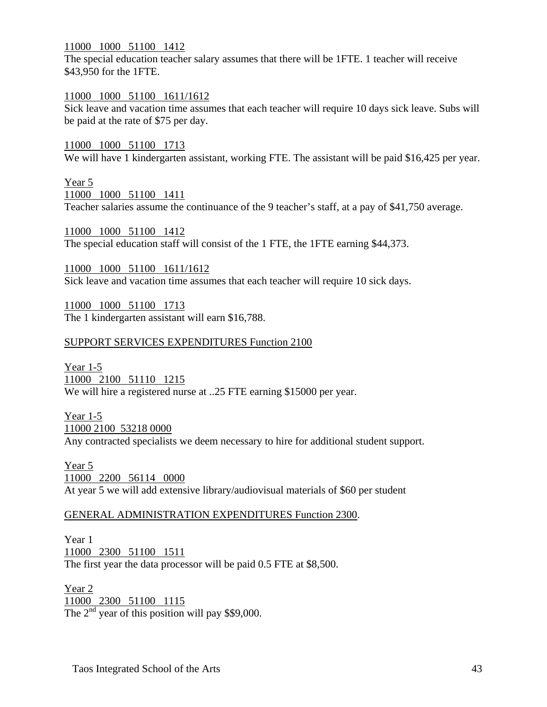#### 11000 1000 51100 1412

The special education teacher salary assumes that there will be 1FTE. 1 teacher will receive \$43,950 for the 1FTE.

#### 11000 1000 51100 1611/1612

Sick leave and vacation time assumes that each teacher will require 10 days sick leave. Subs will be paid at the rate of \$75 per day.

#### 11000 1000 51100 1713

We will have 1 kindergarten assistant, working FTE. The assistant will be paid \$16,425 per year.

## Year 5

11000 1000 51100 1411

Teacher salaries assume the continuance of the 9 teacher's staff, at a pay of \$41,750 average.

11000 1000 51100 1412 The special education staff will consist of the 1 FTE, the 1FTE earning \$44,373.

11000 1000 51100 1611/1612 Sick leave and vacation time assumes that each teacher will require 10 sick days.

11000 1000 51100 1713 The 1 kindergarten assistant will earn \$16,788.

#### SUPPORT SERVICES EXPENDITURES Function 2100

Year 1-5 11000 2100 51110 1215 We will hire a registered nurse at ..25 FTE earning \$15000 per year.

Year 1-5 11000 2100 53218 0000 Any contracted specialists we deem necessary to hire for additional student support.

Year 5 11000 2200 56114 0000 At year 5 we will add extensive library/audiovisual materials of \$60 per student

#### GENERAL ADMINISTRATION EXPENDITURES Function 2300.

Year 1 11000 2300 51100 1511 The first year the data processor will be paid 0.5 FTE at \$8,500.

Year 2 11000 2300 51100 1115 The  $2<sup>nd</sup>$  year of this position will pay \$\$9,000.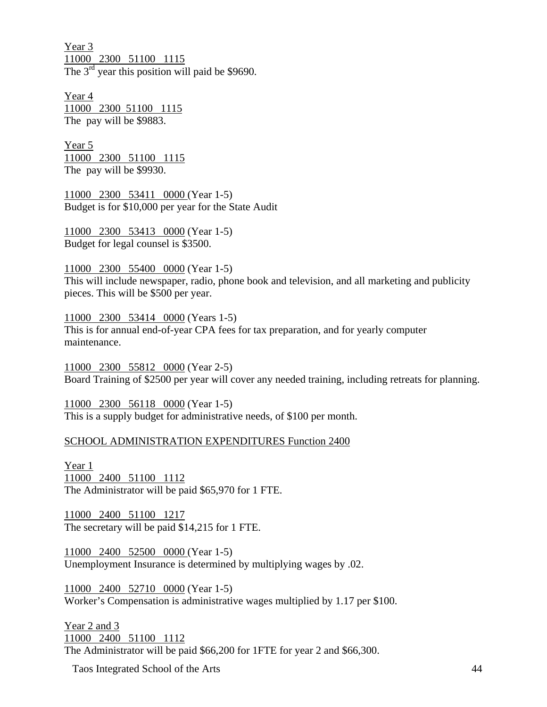Year 3 11000 2300 51100 1115 The  $3<sup>rd</sup>$  year this position will paid be \$9690.

Year 4 11000 2300 51100 1115 The pay will be \$9883.

Year 5 11000 2300 51100 1115 The pay will be \$9930.

11000 2300 53411 0000 (Year 1-5) Budget is for \$10,000 per year for the State Audit

11000 2300 53413 0000 (Year 1-5) Budget for legal counsel is \$3500.

11000 2300 55400 0000 (Year 1-5)

This will include newspaper, radio, phone book and television, and all marketing and publicity pieces. This will be \$500 per year.

11000 2300 53414 0000 (Years 1-5) This is for annual end-of-year CPA fees for tax preparation, and for yearly computer maintenance.

11000 2300 55812 0000 (Year 2-5) Board Training of \$2500 per year will cover any needed training, including retreats for planning.

11000 2300 56118 0000 (Year 1-5) This is a supply budget for administrative needs, of \$100 per month.

#### SCHOOL ADMINISTRATION EXPENDITURES Function 2400

Year 1 11000 2400 51100 1112 The Administrator will be paid \$65,970 for 1 FTE.

11000 2400 51100 1217 The secretary will be paid \$14,215 for 1 FTE.

11000 2400 52500 0000 (Year 1-5) Unemployment Insurance is determined by multiplying wages by .02.

11000 2400 52710 0000 (Year 1-5) Worker's Compensation is administrative wages multiplied by 1.17 per \$100.

Year 2 and 3 11000 2400 51100 1112 The Administrator will be paid \$66,200 for 1FTE for year 2 and \$66,300.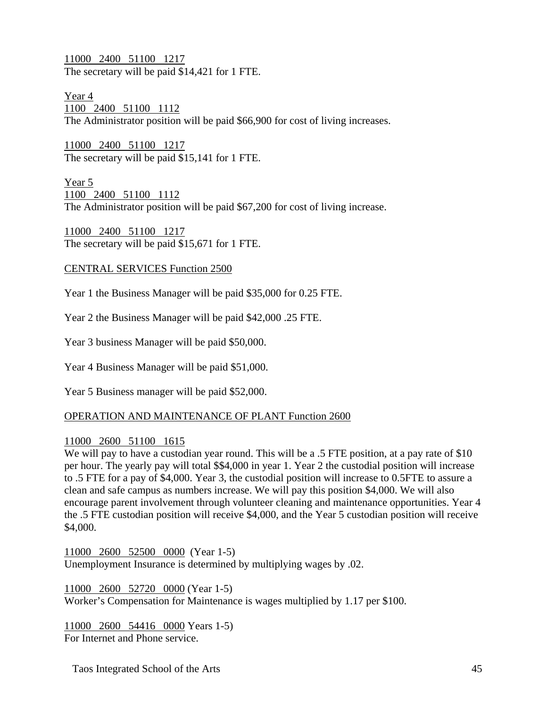11000 2400 51100 1217 The secretary will be paid \$14,421 for 1 FTE.

Year 4 1100 2400 51100 1112 The Administrator position will be paid \$66,900 for cost of living increases.

11000 2400 51100 1217 The secretary will be paid \$15,141 for 1 FTE.

Year 5 1100 2400 51100 1112 The Administrator position will be paid \$67,200 for cost of living increase.

11000 2400 51100 1217 The secretary will be paid \$15,671 for 1 FTE.

## CENTRAL SERVICES Function 2500

Year 1 the Business Manager will be paid \$35,000 for 0.25 FTE.

Year 2 the Business Manager will be paid \$42,000 .25 FTE.

Year 3 business Manager will be paid \$50,000.

Year 4 Business Manager will be paid \$51,000.

Year 5 Business manager will be paid \$52,000.

## OPERATION AND MAINTENANCE OF PLANT Function 2600

## 11000 2600 51100 1615

We will pay to have a custodian year round. This will be a .5 FTE position, at a pay rate of \$10 per hour. The yearly pay will total \$\$4,000 in year 1. Year 2 the custodial position will increase to .5 FTE for a pay of \$4,000. Year 3, the custodial position will increase to 0.5FTE to assure a clean and safe campus as numbers increase. We will pay this position \$4,000. We will also encourage parent involvement through volunteer cleaning and maintenance opportunities. Year 4 the .5 FTE custodian position will receive \$4,000, and the Year 5 custodian position will receive \$4,000.

11000 2600 52500 0000 (Year 1-5) Unemployment Insurance is determined by multiplying wages by .02.

11000 2600 52720 0000 (Year 1-5) Worker's Compensation for Maintenance is wages multiplied by 1.17 per \$100.

11000 2600 54416 0000 Years 1-5) For Internet and Phone service.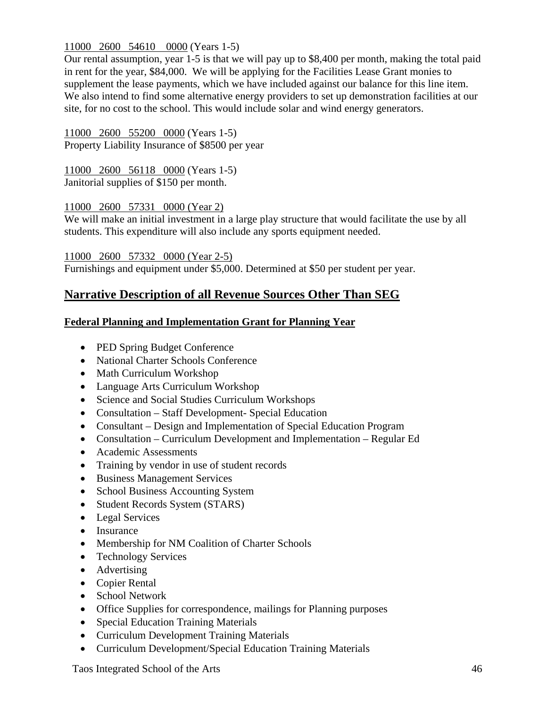## 11000 2600 54610 0000 (Years 1-5)

Our rental assumption, year 1-5 is that we will pay up to \$8,400 per month, making the total paid in rent for the year, \$84,000. We will be applying for the Facilities Lease Grant monies to supplement the lease payments, which we have included against our balance for this line item. We also intend to find some alternative energy providers to set up demonstration facilities at our site, for no cost to the school. This would include solar and wind energy generators.

11000 2600 55200 0000 (Years 1-5) Property Liability Insurance of \$8500 per year

11000 2600 56118 0000 (Years 1-5) Janitorial supplies of \$150 per month.

## 11000 2600 57331 0000 (Year 2)

We will make an initial investment in a large play structure that would facilitate the use by all students. This expenditure will also include any sports equipment needed.

11000 2600 57332 0000 (Year 2-5) Furnishings and equipment under \$5,000. Determined at \$50 per student per year.

## **Narrative Description of all Revenue Sources Other Than SEG**

## **Federal Planning and Implementation Grant for Planning Year**

- PED Spring Budget Conference
- National Charter Schools Conference
- Math Curriculum Workshop
- Language Arts Curriculum Workshop
- Science and Social Studies Curriculum Workshops
- Consultation Staff Development- Special Education
- Consultant Design and Implementation of Special Education Program
- Consultation Curriculum Development and Implementation Regular Ed
- Academic Assessments
- Training by vendor in use of student records
- Business Management Services
- School Business Accounting System
- Student Records System (STARS)
- Legal Services
- Insurance
- Membership for NM Coalition of Charter Schools
- Technology Services
- Advertising
- Copier Rental
- School Network
- Office Supplies for correspondence, mailings for Planning purposes
- Special Education Training Materials
- Curriculum Development Training Materials
- Curriculum Development/Special Education Training Materials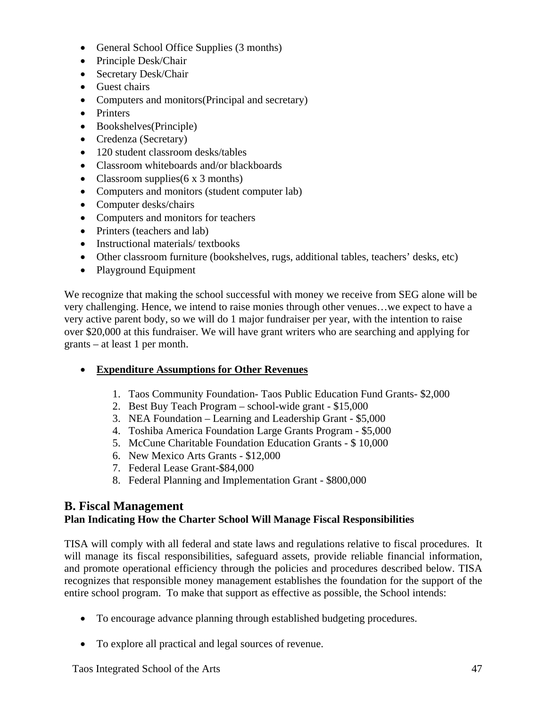- General School Office Supplies (3 months)
- Principle Desk/Chair
- Secretary Desk/Chair
- Guest chairs
- Computers and monitors (Principal and secretary)
- Printers
- Bookshelves(Principle)
- Credenza (Secretary)
- 120 student classroom desks/tables
- Classroom whiteboards and/or blackboards
- Classroom supplies  $(6 \times 3 \text{ months})$
- Computers and monitors (student computer lab)
- Computer desks/chairs
- Computers and monitors for teachers
- Printers (teachers and lab)
- Instructional materials/ textbooks
- Other classroom furniture (bookshelves, rugs, additional tables, teachers' desks, etc)
- Playground Equipment

We recognize that making the school successful with money we receive from SEG alone will be very challenging. Hence, we intend to raise monies through other venues…we expect to have a very active parent body, so we will do 1 major fundraiser per year, with the intention to raise over \$20,000 at this fundraiser. We will have grant writers who are searching and applying for grants – at least 1 per month.

- **Expenditure Assumptions for Other Revenues**
	- 1. Taos Community Foundation- Taos Public Education Fund Grants- \$2,000
	- 2. Best Buy Teach Program school-wide grant \$15,000
	- 3. NEA Foundation Learning and Leadership Grant \$5,000
	- 4. Toshiba America Foundation Large Grants Program \$5,000
	- 5. McCune Charitable Foundation Education Grants \$ 10,000
	- 6. New Mexico Arts Grants \$12,000
	- 7. Federal Lease Grant-\$84,000
	- 8. Federal Planning and Implementation Grant \$800,000

## **B. Fiscal Management**

## **Plan Indicating How the Charter School Will Manage Fiscal Responsibilities**

TISA will comply with all federal and state laws and regulations relative to fiscal procedures. It will manage its fiscal responsibilities, safeguard assets, provide reliable financial information, and promote operational efficiency through the policies and procedures described below. TISA recognizes that responsible money management establishes the foundation for the support of the entire school program. To make that support as effective as possible, the School intends:

- To encourage advance planning through established budgeting procedures.
- To explore all practical and legal sources of revenue.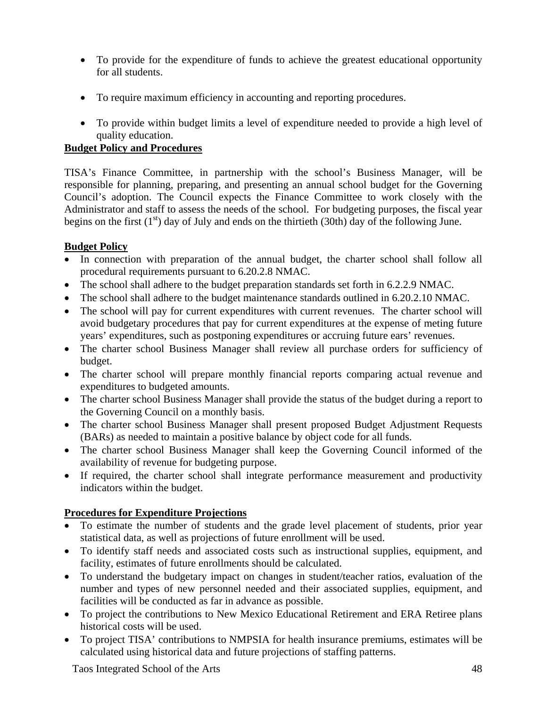- To provide for the expenditure of funds to achieve the greatest educational opportunity for all students.
- To require maximum efficiency in accounting and reporting procedures.
- To provide within budget limits a level of expenditure needed to provide a high level of quality education.

## **Budget Policy and Procedures**

TISA's Finance Committee, in partnership with the school's Business Manager, will be responsible for planning, preparing, and presenting an annual school budget for the Governing Council's adoption. The Council expects the Finance Committee to work closely with the Administrator and staff to assess the needs of the school. For budgeting purposes, the fiscal year begins on the first  $(1<sup>st</sup>)$  day of July and ends on the thirtieth (30th) day of the following June.

## **Budget Policy**

- In connection with preparation of the annual budget, the charter school shall follow all procedural requirements pursuant to 6.20.2.8 NMAC.
- The school shall adhere to the budget preparation standards set forth in 6.2.2.9 NMAC.
- The school shall adhere to the budget maintenance standards outlined in 6.20.2.10 NMAC.
- The school will pay for current expenditures with current revenues. The charter school will avoid budgetary procedures that pay for current expenditures at the expense of meting future years' expenditures, such as postponing expenditures or accruing future ears' revenues.
- The charter school Business Manager shall review all purchase orders for sufficiency of budget.
- The charter school will prepare monthly financial reports comparing actual revenue and expenditures to budgeted amounts.
- The charter school Business Manager shall provide the status of the budget during a report to the Governing Council on a monthly basis.
- The charter school Business Manager shall present proposed Budget Adjustment Requests (BARs) as needed to maintain a positive balance by object code for all funds.
- The charter school Business Manager shall keep the Governing Council informed of the availability of revenue for budgeting purpose.
- If required, the charter school shall integrate performance measurement and productivity indicators within the budget.

## **Procedures for Expenditure Projections**

- To estimate the number of students and the grade level placement of students, prior year statistical data, as well as projections of future enrollment will be used.
- To identify staff needs and associated costs such as instructional supplies, equipment, and facility, estimates of future enrollments should be calculated.
- To understand the budgetary impact on changes in student/teacher ratios, evaluation of the number and types of new personnel needed and their associated supplies, equipment, and facilities will be conducted as far in advance as possible.
- To project the contributions to New Mexico Educational Retirement and ERA Retiree plans historical costs will be used.
- To project TISA' contributions to NMPSIA for health insurance premiums, estimates will be calculated using historical data and future projections of staffing patterns.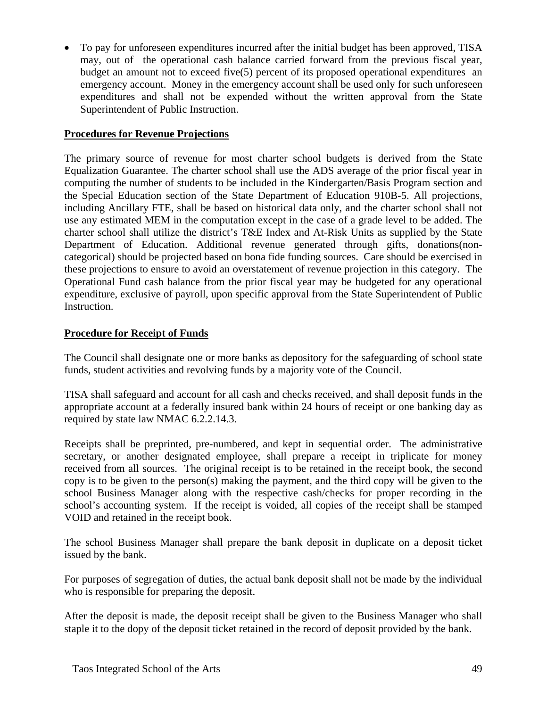• To pay for unforeseen expenditures incurred after the initial budget has been approved, TISA may, out of the operational cash balance carried forward from the previous fiscal year, budget an amount not to exceed five(5) percent of its proposed operational expenditures an emergency account. Money in the emergency account shall be used only for such unforeseen expenditures and shall not be expended without the written approval from the State Superintendent of Public Instruction.

## **Procedures for Revenue Projections**

The primary source of revenue for most charter school budgets is derived from the State Equalization Guarantee. The charter school shall use the ADS average of the prior fiscal year in computing the number of students to be included in the Kindergarten/Basis Program section and the Special Education section of the State Department of Education 910B-5. All projections, including Ancillary FTE, shall be based on historical data only, and the charter school shall not use any estimated MEM in the computation except in the case of a grade level to be added. The charter school shall utilize the district's T&E Index and At-Risk Units as supplied by the State Department of Education. Additional revenue generated through gifts, donations(noncategorical) should be projected based on bona fide funding sources. Care should be exercised in these projections to ensure to avoid an overstatement of revenue projection in this category. The Operational Fund cash balance from the prior fiscal year may be budgeted for any operational expenditure, exclusive of payroll, upon specific approval from the State Superintendent of Public Instruction.

## **Procedure for Receipt of Funds**

The Council shall designate one or more banks as depository for the safeguarding of school state funds, student activities and revolving funds by a majority vote of the Council.

TISA shall safeguard and account for all cash and checks received, and shall deposit funds in the appropriate account at a federally insured bank within 24 hours of receipt or one banking day as required by state law NMAC 6.2.2.14.3.

Receipts shall be preprinted, pre-numbered, and kept in sequential order. The administrative secretary, or another designated employee, shall prepare a receipt in triplicate for money received from all sources. The original receipt is to be retained in the receipt book, the second copy is to be given to the person(s) making the payment, and the third copy will be given to the school Business Manager along with the respective cash/checks for proper recording in the school's accounting system. If the receipt is voided, all copies of the receipt shall be stamped VOID and retained in the receipt book.

The school Business Manager shall prepare the bank deposit in duplicate on a deposit ticket issued by the bank.

For purposes of segregation of duties, the actual bank deposit shall not be made by the individual who is responsible for preparing the deposit.

After the deposit is made, the deposit receipt shall be given to the Business Manager who shall staple it to the dopy of the deposit ticket retained in the record of deposit provided by the bank.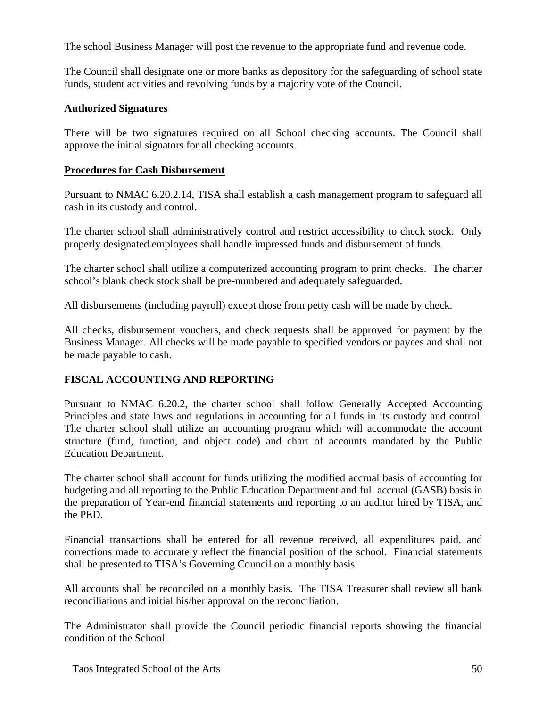The school Business Manager will post the revenue to the appropriate fund and revenue code.

The Council shall designate one or more banks as depository for the safeguarding of school state funds, student activities and revolving funds by a majority vote of the Council.

## **Authorized Signatures**

There will be two signatures required on all School checking accounts. The Council shall approve the initial signators for all checking accounts.

## **Procedures for Cash Disbursement**

Pursuant to NMAC 6.20.2.14, TISA shall establish a cash management program to safeguard all cash in its custody and control.

The charter school shall administratively control and restrict accessibility to check stock. Only properly designated employees shall handle impressed funds and disbursement of funds.

The charter school shall utilize a computerized accounting program to print checks. The charter school's blank check stock shall be pre-numbered and adequately safeguarded.

All disbursements (including payroll) except those from petty cash will be made by check.

All checks, disbursement vouchers, and check requests shall be approved for payment by the Business Manager. All checks will be made payable to specified vendors or payees and shall not be made payable to cash.

## **FISCAL ACCOUNTING AND REPORTING**

Pursuant to NMAC 6.20.2, the charter school shall follow Generally Accepted Accounting Principles and state laws and regulations in accounting for all funds in its custody and control. The charter school shall utilize an accounting program which will accommodate the account structure (fund, function, and object code) and chart of accounts mandated by the Public Education Department.

The charter school shall account for funds utilizing the modified accrual basis of accounting for budgeting and all reporting to the Public Education Department and full accrual (GASB) basis in the preparation of Year-end financial statements and reporting to an auditor hired by TISA, and the PED.

Financial transactions shall be entered for all revenue received, all expenditures paid, and corrections made to accurately reflect the financial position of the school. Financial statements shall be presented to TISA's Governing Council on a monthly basis.

All accounts shall be reconciled on a monthly basis. The TISA Treasurer shall review all bank reconciliations and initial his/her approval on the reconciliation.

The Administrator shall provide the Council periodic financial reports showing the financial condition of the School.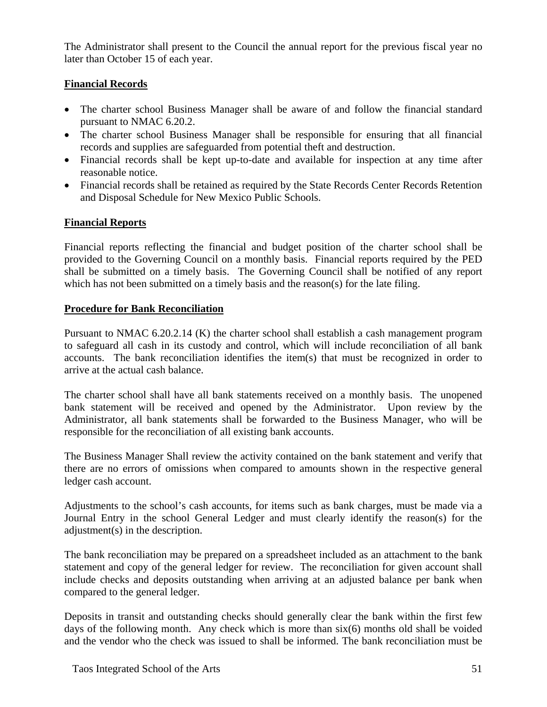The Administrator shall present to the Council the annual report for the previous fiscal year no later than October 15 of each year.

## **Financial Records**

- The charter school Business Manager shall be aware of and follow the financial standard pursuant to NMAC 6.20.2.
- The charter school Business Manager shall be responsible for ensuring that all financial records and supplies are safeguarded from potential theft and destruction.
- Financial records shall be kept up-to-date and available for inspection at any time after reasonable notice.
- Financial records shall be retained as required by the State Records Center Records Retention and Disposal Schedule for New Mexico Public Schools.

## **Financial Reports**

Financial reports reflecting the financial and budget position of the charter school shall be provided to the Governing Council on a monthly basis. Financial reports required by the PED shall be submitted on a timely basis. The Governing Council shall be notified of any report which has not been submitted on a timely basis and the reason(s) for the late filing.

## **Procedure for Bank Reconciliation**

Pursuant to NMAC 6.20.2.14 (K) the charter school shall establish a cash management program to safeguard all cash in its custody and control, which will include reconciliation of all bank accounts. The bank reconciliation identifies the item(s) that must be recognized in order to arrive at the actual cash balance.

The charter school shall have all bank statements received on a monthly basis. The unopened bank statement will be received and opened by the Administrator. Upon review by the Administrator, all bank statements shall be forwarded to the Business Manager, who will be responsible for the reconciliation of all existing bank accounts.

The Business Manager Shall review the activity contained on the bank statement and verify that there are no errors of omissions when compared to amounts shown in the respective general ledger cash account.

Adjustments to the school's cash accounts, for items such as bank charges, must be made via a Journal Entry in the school General Ledger and must clearly identify the reason(s) for the adjustment(s) in the description.

The bank reconciliation may be prepared on a spreadsheet included as an attachment to the bank statement and copy of the general ledger for review. The reconciliation for given account shall include checks and deposits outstanding when arriving at an adjusted balance per bank when compared to the general ledger.

Deposits in transit and outstanding checks should generally clear the bank within the first few days of the following month. Any check which is more than  $six(6)$  months old shall be voided and the vendor who the check was issued to shall be informed. The bank reconciliation must be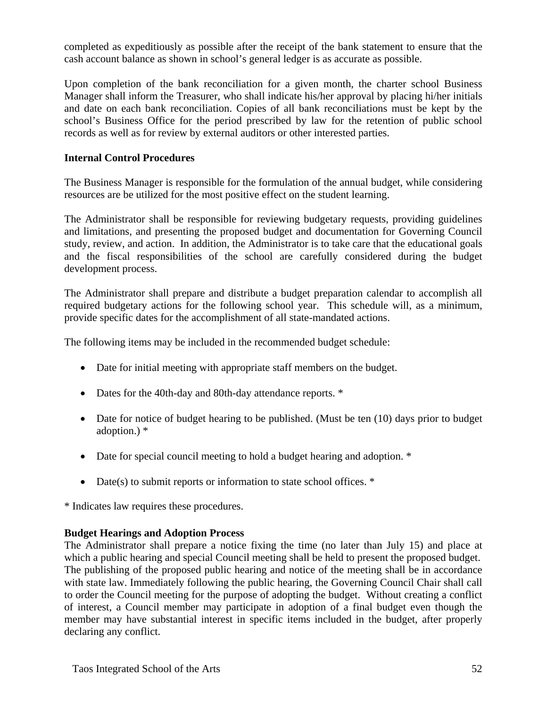completed as expeditiously as possible after the receipt of the bank statement to ensure that the cash account balance as shown in school's general ledger is as accurate as possible.

Upon completion of the bank reconciliation for a given month, the charter school Business Manager shall inform the Treasurer, who shall indicate his/her approval by placing hi/her initials and date on each bank reconciliation. Copies of all bank reconciliations must be kept by the school's Business Office for the period prescribed by law for the retention of public school records as well as for review by external auditors or other interested parties.

#### **Internal Control Procedures**

The Business Manager is responsible for the formulation of the annual budget, while considering resources are be utilized for the most positive effect on the student learning.

The Administrator shall be responsible for reviewing budgetary requests, providing guidelines and limitations, and presenting the proposed budget and documentation for Governing Council study, review, and action. In addition, the Administrator is to take care that the educational goals and the fiscal responsibilities of the school are carefully considered during the budget development process.

The Administrator shall prepare and distribute a budget preparation calendar to accomplish all required budgetary actions for the following school year. This schedule will, as a minimum, provide specific dates for the accomplishment of all state-mandated actions.

The following items may be included in the recommended budget schedule:

- Date for initial meeting with appropriate staff members on the budget.
- Dates for the 40th-day and 80th-day attendance reports.  $*$
- Date for notice of budget hearing to be published. (Must be ten (10) days prior to budget adoption.) \*
- Date for special council meeting to hold a budget hearing and adoption. \*
- Date(s) to submit reports or information to state school offices. \*

\* Indicates law requires these procedures.

## **Budget Hearings and Adoption Process**

The Administrator shall prepare a notice fixing the time (no later than July 15) and place at which a public hearing and special Council meeting shall be held to present the proposed budget. The publishing of the proposed public hearing and notice of the meeting shall be in accordance with state law. Immediately following the public hearing, the Governing Council Chair shall call to order the Council meeting for the purpose of adopting the budget. Without creating a conflict of interest, a Council member may participate in adoption of a final budget even though the member may have substantial interest in specific items included in the budget, after properly declaring any conflict.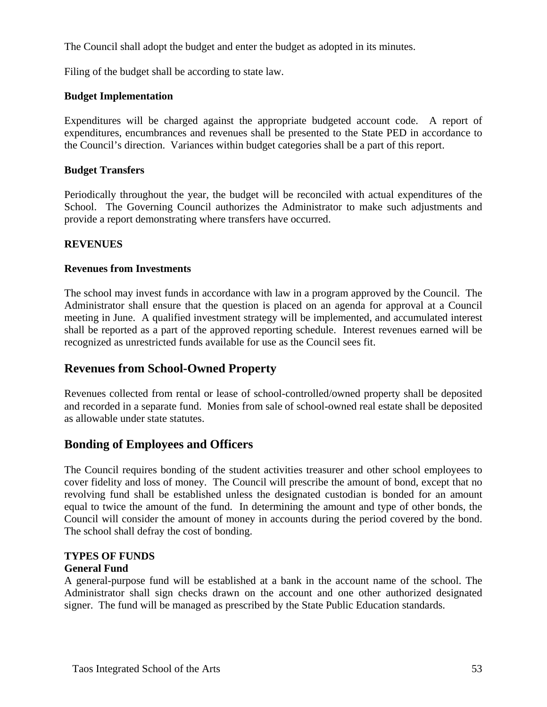The Council shall adopt the budget and enter the budget as adopted in its minutes.

Filing of the budget shall be according to state law.

## **Budget Implementation**

Expenditures will be charged against the appropriate budgeted account code. A report of expenditures, encumbrances and revenues shall be presented to the State PED in accordance to the Council's direction. Variances within budget categories shall be a part of this report.

## **Budget Transfers**

Periodically throughout the year, the budget will be reconciled with actual expenditures of the School. The Governing Council authorizes the Administrator to make such adjustments and provide a report demonstrating where transfers have occurred.

## **REVENUES**

#### **Revenues from Investments**

The school may invest funds in accordance with law in a program approved by the Council. The Administrator shall ensure that the question is placed on an agenda for approval at a Council meeting in June. A qualified investment strategy will be implemented, and accumulated interest shall be reported as a part of the approved reporting schedule. Interest revenues earned will be recognized as unrestricted funds available for use as the Council sees fit.

## **Revenues from School-Owned Property**

Revenues collected from rental or lease of school-controlled/owned property shall be deposited and recorded in a separate fund. Monies from sale of school-owned real estate shall be deposited as allowable under state statutes.

## **Bonding of Employees and Officers**

The Council requires bonding of the student activities treasurer and other school employees to cover fidelity and loss of money. The Council will prescribe the amount of bond, except that no revolving fund shall be established unless the designated custodian is bonded for an amount equal to twice the amount of the fund. In determining the amount and type of other bonds, the Council will consider the amount of money in accounts during the period covered by the bond. The school shall defray the cost of bonding.

# **TYPES OF FUNDS**

## **General Fund**

A general-purpose fund will be established at a bank in the account name of the school. The Administrator shall sign checks drawn on the account and one other authorized designated signer. The fund will be managed as prescribed by the State Public Education standards.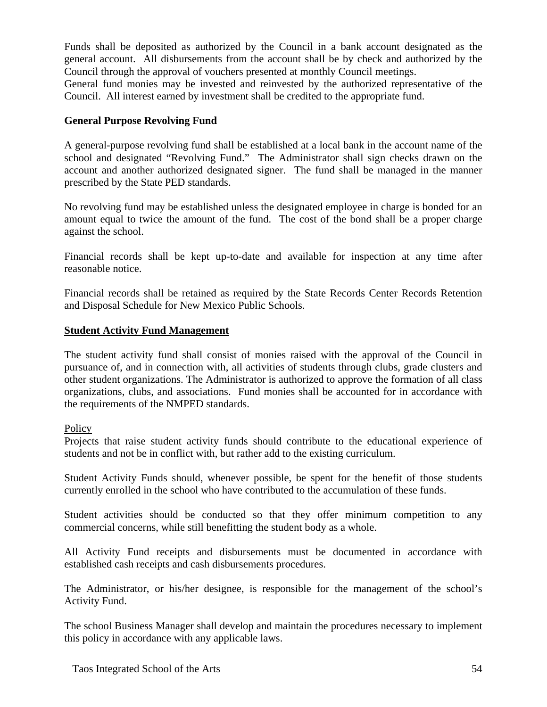Funds shall be deposited as authorized by the Council in a bank account designated as the general account. All disbursements from the account shall be by check and authorized by the Council through the approval of vouchers presented at monthly Council meetings.

General fund monies may be invested and reinvested by the authorized representative of the Council. All interest earned by investment shall be credited to the appropriate fund.

## **General Purpose Revolving Fund**

A general-purpose revolving fund shall be established at a local bank in the account name of the school and designated "Revolving Fund." The Administrator shall sign checks drawn on the account and another authorized designated signer. The fund shall be managed in the manner prescribed by the State PED standards.

No revolving fund may be established unless the designated employee in charge is bonded for an amount equal to twice the amount of the fund. The cost of the bond shall be a proper charge against the school.

Financial records shall be kept up-to-date and available for inspection at any time after reasonable notice.

Financial records shall be retained as required by the State Records Center Records Retention and Disposal Schedule for New Mexico Public Schools.

## **Student Activity Fund Management**

The student activity fund shall consist of monies raised with the approval of the Council in pursuance of, and in connection with, all activities of students through clubs, grade clusters and other student organizations. The Administrator is authorized to approve the formation of all class organizations, clubs, and associations. Fund monies shall be accounted for in accordance with the requirements of the NMPED standards.

**Policy** 

Projects that raise student activity funds should contribute to the educational experience of students and not be in conflict with, but rather add to the existing curriculum.

Student Activity Funds should, whenever possible, be spent for the benefit of those students currently enrolled in the school who have contributed to the accumulation of these funds.

Student activities should be conducted so that they offer minimum competition to any commercial concerns, while still benefitting the student body as a whole.

All Activity Fund receipts and disbursements must be documented in accordance with established cash receipts and cash disbursements procedures.

The Administrator, or his/her designee, is responsible for the management of the school's Activity Fund.

The school Business Manager shall develop and maintain the procedures necessary to implement this policy in accordance with any applicable laws.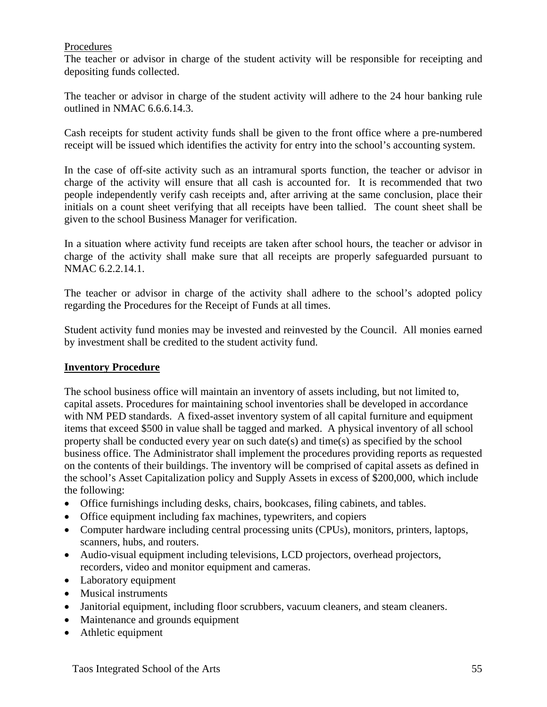#### Procedures

The teacher or advisor in charge of the student activity will be responsible for receipting and depositing funds collected.

The teacher or advisor in charge of the student activity will adhere to the 24 hour banking rule outlined in NMAC 6.6.6.14.3.

Cash receipts for student activity funds shall be given to the front office where a pre-numbered receipt will be issued which identifies the activity for entry into the school's accounting system.

In the case of off-site activity such as an intramural sports function, the teacher or advisor in charge of the activity will ensure that all cash is accounted for. It is recommended that two people independently verify cash receipts and, after arriving at the same conclusion, place their initials on a count sheet verifying that all receipts have been tallied. The count sheet shall be given to the school Business Manager for verification.

In a situation where activity fund receipts are taken after school hours, the teacher or advisor in charge of the activity shall make sure that all receipts are properly safeguarded pursuant to NMAC 6.2.2.14.1.

The teacher or advisor in charge of the activity shall adhere to the school's adopted policy regarding the Procedures for the Receipt of Funds at all times.

Student activity fund monies may be invested and reinvested by the Council. All monies earned by investment shall be credited to the student activity fund.

#### **Inventory Procedure**

The school business office will maintain an inventory of assets including, but not limited to, capital assets. Procedures for maintaining school inventories shall be developed in accordance with NM PED standards. A fixed-asset inventory system of all capital furniture and equipment items that exceed \$500 in value shall be tagged and marked. A physical inventory of all school property shall be conducted every year on such date(s) and time(s) as specified by the school business office. The Administrator shall implement the procedures providing reports as requested on the contents of their buildings. The inventory will be comprised of capital assets as defined in the school's Asset Capitalization policy and Supply Assets in excess of \$200,000, which include the following:

- Office furnishings including desks, chairs, bookcases, filing cabinets, and tables.
- Office equipment including fax machines, typewriters, and copiers
- Computer hardware including central processing units (CPUs), monitors, printers, laptops, scanners, hubs, and routers.
- Audio-visual equipment including televisions, LCD projectors, overhead projectors, recorders, video and monitor equipment and cameras.
- Laboratory equipment
- Musical instruments
- Janitorial equipment, including floor scrubbers, vacuum cleaners, and steam cleaners.
- Maintenance and grounds equipment
- Athletic equipment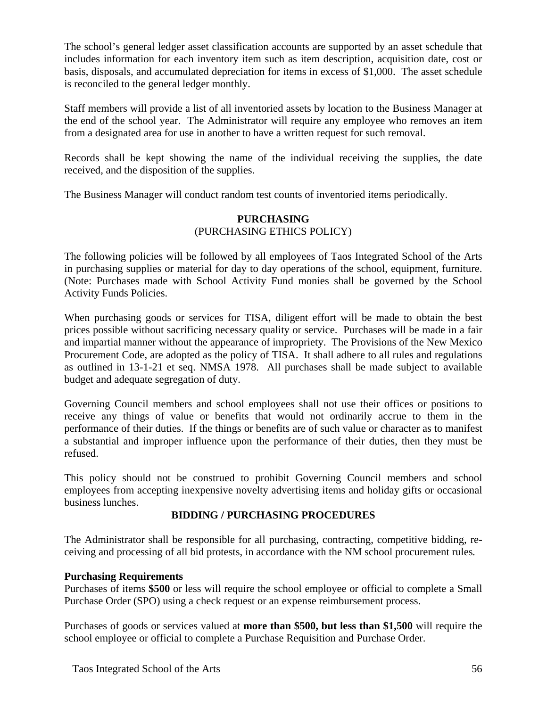The school's general ledger asset classification accounts are supported by an asset schedule that includes information for each inventory item such as item description, acquisition date, cost or basis, disposals, and accumulated depreciation for items in excess of \$1,000. The asset schedule is reconciled to the general ledger monthly.

Staff members will provide a list of all inventoried assets by location to the Business Manager at the end of the school year. The Administrator will require any employee who removes an item from a designated area for use in another to have a written request for such removal.

Records shall be kept showing the name of the individual receiving the supplies, the date received, and the disposition of the supplies.

The Business Manager will conduct random test counts of inventoried items periodically.

#### **PURCHASING**  (PURCHASING ETHICS POLICY)

The following policies will be followed by all employees of Taos Integrated School of the Arts in purchasing supplies or material for day to day operations of the school, equipment, furniture. (Note: Purchases made with School Activity Fund monies shall be governed by the School Activity Funds Policies.

When purchasing goods or services for TISA, diligent effort will be made to obtain the best prices possible without sacrificing necessary quality or service. Purchases will be made in a fair and impartial manner without the appearance of impropriety. The Provisions of the New Mexico Procurement Code, are adopted as the policy of TISA. It shall adhere to all rules and regulations as outlined in 13-1-21 et seq. NMSA 1978. All purchases shall be made subject to available budget and adequate segregation of duty.

Governing Council members and school employees shall not use their offices or positions to receive any things of value or benefits that would not ordinarily accrue to them in the performance of their duties. If the things or benefits are of such value or character as to manifest a substantial and improper influence upon the performance of their duties, then they must be refused.

This policy should not be construed to prohibit Governing Council members and school employees from accepting inexpensive novelty advertising items and holiday gifts or occasional business lunches.

## **BIDDING / PURCHASING PROCEDURES**

The Administrator shall be responsible for all purchasing, contracting, competitive bidding, receiving and processing of all bid protests, in accordance with the NM school procurement rules*.*

## **Purchasing Requirements**

Purchases of items **\$500** or less will require the school employee or official to complete a Small Purchase Order (SPO) using a check request or an expense reimbursement process.

Purchases of goods or services valued at **more than \$500, but less than \$1,500** will require the school employee or official to complete a Purchase Requisition and Purchase Order.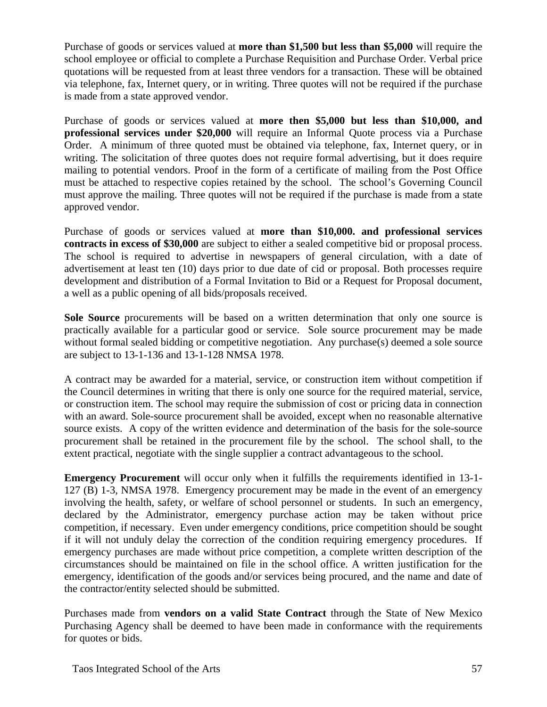Purchase of goods or services valued at **more than \$1,500 but less than \$5,000** will require the school employee or official to complete a Purchase Requisition and Purchase Order. Verbal price quotations will be requested from at least three vendors for a transaction. These will be obtained via telephone, fax, Internet query, or in writing. Three quotes will not be required if the purchase is made from a state approved vendor.

Purchase of goods or services valued at **more then \$5,000 but less than \$10,000, and professional services under \$20,000** will require an Informal Quote process via a Purchase Order. A minimum of three quoted must be obtained via telephone, fax, Internet query, or in writing. The solicitation of three quotes does not require formal advertising, but it does require mailing to potential vendors. Proof in the form of a certificate of mailing from the Post Office must be attached to respective copies retained by the school. The school's Governing Council must approve the mailing. Three quotes will not be required if the purchase is made from a state approved vendor.

Purchase of goods or services valued at **more than \$10,000. and professional services contracts in excess of \$30,000** are subject to either a sealed competitive bid or proposal process. The school is required to advertise in newspapers of general circulation, with a date of advertisement at least ten (10) days prior to due date of cid or proposal. Both processes require development and distribution of a Formal Invitation to Bid or a Request for Proposal document, a well as a public opening of all bids/proposals received.

**Sole Source** procurements will be based on a written determination that only one source is practically available for a particular good or service. Sole source procurement may be made without formal sealed bidding or competitive negotiation. Any purchase(s) deemed a sole source are subject to 13-1-136 and 13-1-128 NMSA 1978.

A contract may be awarded for a material, service, or construction item without competition if the Council determines in writing that there is only one source for the required material, service, or construction item. The school may require the submission of cost or pricing data in connection with an award. Sole-source procurement shall be avoided, except when no reasonable alternative source exists. A copy of the written evidence and determination of the basis for the sole-source procurement shall be retained in the procurement file by the school. The school shall, to the extent practical, negotiate with the single supplier a contract advantageous to the school.

**Emergency Procurement** will occur only when it fulfills the requirements identified in 13-1- 127 (B) 1-3, NMSA 1978. Emergency procurement may be made in the event of an emergency involving the health, safety, or welfare of school personnel or students. In such an emergency, declared by the Administrator, emergency purchase action may be taken without price competition, if necessary. Even under emergency conditions, price competition should be sought if it will not unduly delay the correction of the condition requiring emergency procedures. If emergency purchases are made without price competition, a complete written description of the circumstances should be maintained on file in the school office. A written justification for the emergency, identification of the goods and/or services being procured, and the name and date of the contractor/entity selected should be submitted.

Purchases made from **vendors on a valid State Contract** through the State of New Mexico Purchasing Agency shall be deemed to have been made in conformance with the requirements for quotes or bids.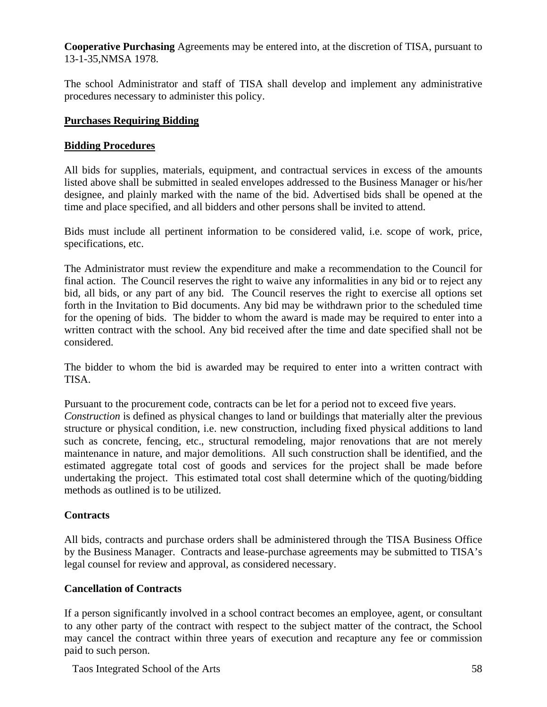**Cooperative Purchasing** Agreements may be entered into, at the discretion of TISA, pursuant to 13-1-35,NMSA 1978.

The school Administrator and staff of TISA shall develop and implement any administrative procedures necessary to administer this policy.

## **Purchases Requiring Bidding**

#### **Bidding Procedures**

All bids for supplies, materials, equipment, and contractual services in excess of the amounts listed above shall be submitted in sealed envelopes addressed to the Business Manager or his/her designee, and plainly marked with the name of the bid. Advertised bids shall be opened at the time and place specified, and all bidders and other persons shall be invited to attend.

Bids must include all pertinent information to be considered valid, i.e. scope of work, price, specifications, etc.

The Administrator must review the expenditure and make a recommendation to the Council for final action. The Council reserves the right to waive any informalities in any bid or to reject any bid, all bids, or any part of any bid. The Council reserves the right to exercise all options set forth in the Invitation to Bid documents. Any bid may be withdrawn prior to the scheduled time for the opening of bids. The bidder to whom the award is made may be required to enter into a written contract with the school. Any bid received after the time and date specified shall not be considered.

The bidder to whom the bid is awarded may be required to enter into a written contract with TISA.

Pursuant to the procurement code, contracts can be let for a period not to exceed five years. *Construction* is defined as physical changes to land or buildings that materially alter the previous structure or physical condition, i.e. new construction, including fixed physical additions to land such as concrete, fencing, etc., structural remodeling, major renovations that are not merely maintenance in nature, and major demolitions. All such construction shall be identified, and the estimated aggregate total cost of goods and services for the project shall be made before undertaking the project. This estimated total cost shall determine which of the quoting/bidding methods as outlined is to be utilized.

## **Contracts**

All bids, contracts and purchase orders shall be administered through the TISA Business Office by the Business Manager. Contracts and lease-purchase agreements may be submitted to TISA's legal counsel for review and approval, as considered necessary.

## **Cancellation of Contracts**

If a person significantly involved in a school contract becomes an employee, agent, or consultant to any other party of the contract with respect to the subject matter of the contract, the School may cancel the contract within three years of execution and recapture any fee or commission paid to such person.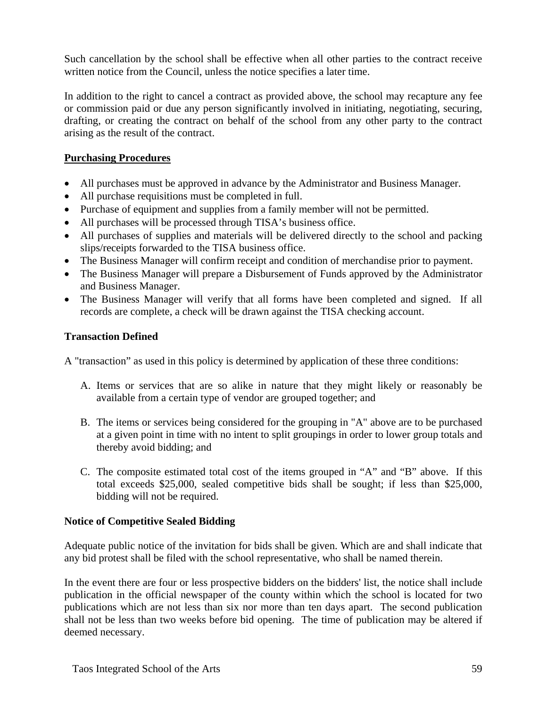Such cancellation by the school shall be effective when all other parties to the contract receive written notice from the Council, unless the notice specifies a later time.

In addition to the right to cancel a contract as provided above, the school may recapture any fee or commission paid or due any person significantly involved in initiating, negotiating, securing, drafting, or creating the contract on behalf of the school from any other party to the contract arising as the result of the contract.

#### **Purchasing Procedures**

- All purchases must be approved in advance by the Administrator and Business Manager.
- All purchase requisitions must be completed in full.
- Purchase of equipment and supplies from a family member will not be permitted.
- All purchases will be processed through TISA's business office.
- All purchases of supplies and materials will be delivered directly to the school and packing slips/receipts forwarded to the TISA business office.
- The Business Manager will confirm receipt and condition of merchandise prior to payment.
- The Business Manager will prepare a Disbursement of Funds approved by the Administrator and Business Manager.
- The Business Manager will verify that all forms have been completed and signed. If all records are complete, a check will be drawn against the TISA checking account.

#### **Transaction Defined**

A "transaction" as used in this policy is determined by application of these three conditions:

- A. Items or services that are so alike in nature that they might likely or reasonably be available from a certain type of vendor are grouped together; and
- B. The items or services being considered for the grouping in "A" above are to be purchased at a given point in time with no intent to split groupings in order to lower group totals and thereby avoid bidding; and
- C. The composite estimated total cost of the items grouped in "A" and "B" above. If this total exceeds \$25,000, sealed competitive bids shall be sought; if less than \$25,000, bidding will not be required.

#### **Notice of Competitive Sealed Bidding**

Adequate public notice of the invitation for bids shall be given. Which are and shall indicate that any bid protest shall be filed with the school representative, who shall be named therein.

In the event there are four or less prospective bidders on the bidders' list, the notice shall include publication in the official newspaper of the county within which the school is located for two publications which are not less than six nor more than ten days apart. The second publication shall not be less than two weeks before bid opening. The time of publication may be altered if deemed necessary.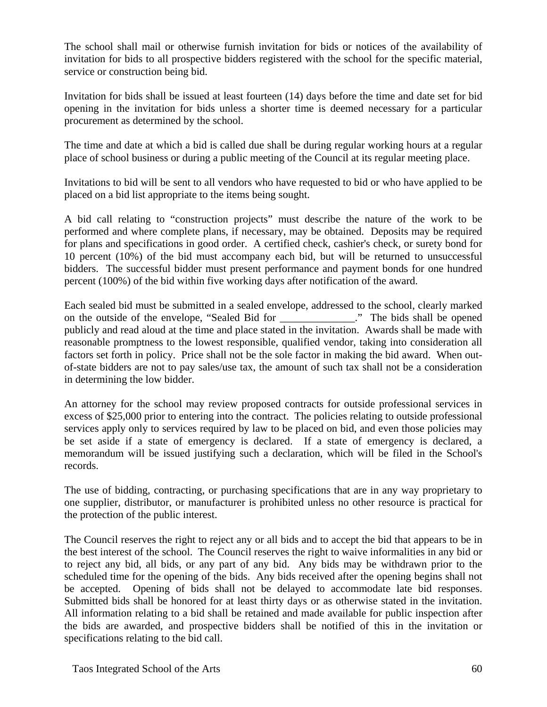The school shall mail or otherwise furnish invitation for bids or notices of the availability of invitation for bids to all prospective bidders registered with the school for the specific material, service or construction being bid.

Invitation for bids shall be issued at least fourteen (14) days before the time and date set for bid opening in the invitation for bids unless a shorter time is deemed necessary for a particular procurement as determined by the school.

The time and date at which a bid is called due shall be during regular working hours at a regular place of school business or during a public meeting of the Council at its regular meeting place.

Invitations to bid will be sent to all vendors who have requested to bid or who have applied to be placed on a bid list appropriate to the items being sought.

A bid call relating to "construction projects" must describe the nature of the work to be performed and where complete plans, if necessary, may be obtained. Deposits may be required for plans and specifications in good order. A certified check, cashier's check, or surety bond for 10 percent (10%) of the bid must accompany each bid, but will be returned to unsuccessful bidders. The successful bidder must present performance and payment bonds for one hundred percent (100%) of the bid within five working days after notification of the award.

Each sealed bid must be submitted in a sealed envelope, addressed to the school, clearly marked on the outside of the envelope, "Sealed Bid for \_\_\_\_\_\_\_\_\_\_\_\_\_\_." The bids shall be opened publicly and read aloud at the time and place stated in the invitation. Awards shall be made with reasonable promptness to the lowest responsible, qualified vendor, taking into consideration all factors set forth in policy. Price shall not be the sole factor in making the bid award. When outof-state bidders are not to pay sales/use tax, the amount of such tax shall not be a consideration in determining the low bidder.

An attorney for the school may review proposed contracts for outside professional services in excess of \$25,000 prior to entering into the contract. The policies relating to outside professional services apply only to services required by law to be placed on bid, and even those policies may be set aside if a state of emergency is declared. If a state of emergency is declared, a memorandum will be issued justifying such a declaration, which will be filed in the School's records.

The use of bidding, contracting, or purchasing specifications that are in any way proprietary to one supplier, distributor, or manufacturer is prohibited unless no other resource is practical for the protection of the public interest.

The Council reserves the right to reject any or all bids and to accept the bid that appears to be in the best interest of the school. The Council reserves the right to waive informalities in any bid or to reject any bid, all bids, or any part of any bid. Any bids may be withdrawn prior to the scheduled time for the opening of the bids. Any bids received after the opening begins shall not be accepted. Opening of bids shall not be delayed to accommodate late bid responses. Submitted bids shall be honored for at least thirty days or as otherwise stated in the invitation. All information relating to a bid shall be retained and made available for public inspection after the bids are awarded, and prospective bidders shall be notified of this in the invitation or specifications relating to the bid call.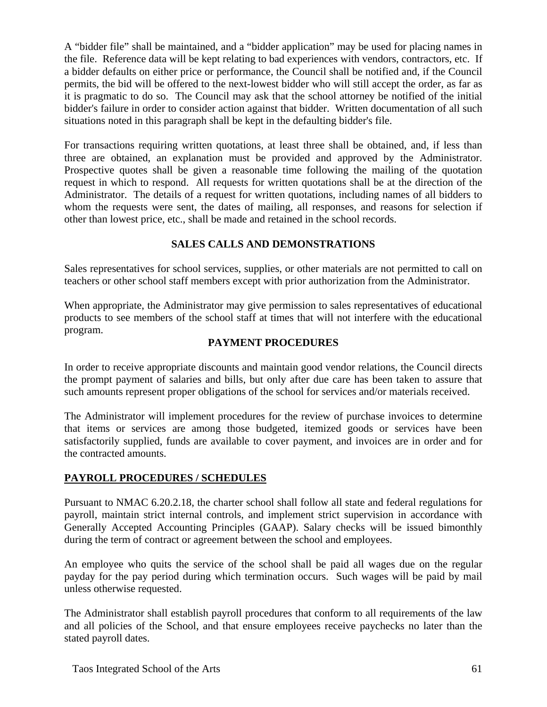A "bidder file" shall be maintained, and a "bidder application" may be used for placing names in the file. Reference data will be kept relating to bad experiences with vendors, contractors, etc. If a bidder defaults on either price or performance, the Council shall be notified and, if the Council permits, the bid will be offered to the next-lowest bidder who will still accept the order, as far as it is pragmatic to do so. The Council may ask that the school attorney be notified of the initial bidder's failure in order to consider action against that bidder. Written documentation of all such situations noted in this paragraph shall be kept in the defaulting bidder's file.

For transactions requiring written quotations, at least three shall be obtained, and, if less than three are obtained, an explanation must be provided and approved by the Administrator. Prospective quotes shall be given a reasonable time following the mailing of the quotation request in which to respond. All requests for written quotations shall be at the direction of the Administrator. The details of a request for written quotations, including names of all bidders to whom the requests were sent, the dates of mailing, all responses, and reasons for selection if other than lowest price, etc., shall be made and retained in the school records.

## **SALES CALLS AND DEMONSTRATIONS**

Sales representatives for school services, supplies, or other materials are not permitted to call on teachers or other school staff members except with prior authorization from the Administrator.

When appropriate, the Administrator may give permission to sales representatives of educational products to see members of the school staff at times that will not interfere with the educational program.

#### **PAYMENT PROCEDURES**

In order to receive appropriate discounts and maintain good vendor relations, the Council directs the prompt payment of salaries and bills, but only after due care has been taken to assure that such amounts represent proper obligations of the school for services and/or materials received.

The Administrator will implement procedures for the review of purchase invoices to determine that items or services are among those budgeted, itemized goods or services have been satisfactorily supplied, funds are available to cover payment, and invoices are in order and for the contracted amounts.

## **PAYROLL PROCEDURES / SCHEDULES**

Pursuant to NMAC 6.20.2.18, the charter school shall follow all state and federal regulations for payroll, maintain strict internal controls, and implement strict supervision in accordance with Generally Accepted Accounting Principles (GAAP). Salary checks will be issued bimonthly during the term of contract or agreement between the school and employees.

An employee who quits the service of the school shall be paid all wages due on the regular payday for the pay period during which termination occurs. Such wages will be paid by mail unless otherwise requested.

The Administrator shall establish payroll procedures that conform to all requirements of the law and all policies of the School, and that ensure employees receive paychecks no later than the stated payroll dates.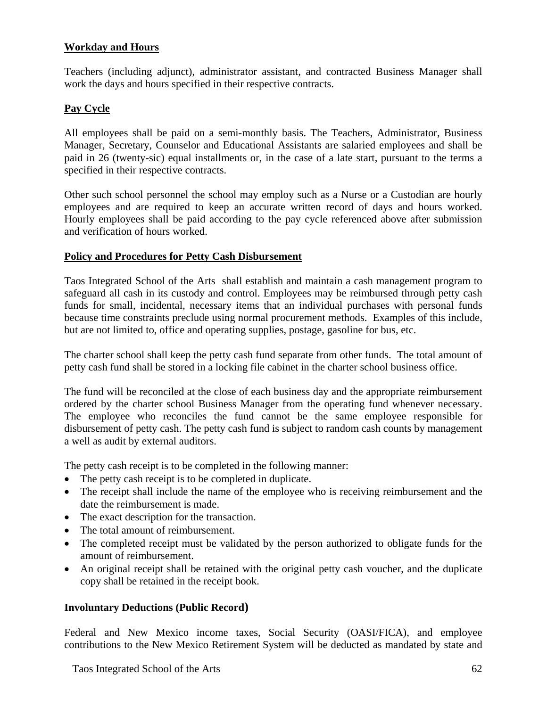## **Workday and Hours**

Teachers (including adjunct), administrator assistant, and contracted Business Manager shall work the days and hours specified in their respective contracts.

#### **Pay Cycle**

All employees shall be paid on a semi-monthly basis. The Teachers, Administrator, Business Manager, Secretary, Counselor and Educational Assistants are salaried employees and shall be paid in 26 (twenty-sic) equal installments or, in the case of a late start, pursuant to the terms a specified in their respective contracts.

Other such school personnel the school may employ such as a Nurse or a Custodian are hourly employees and are required to keep an accurate written record of days and hours worked. Hourly employees shall be paid according to the pay cycle referenced above after submission and verification of hours worked.

#### **Policy and Procedures for Petty Cash Disbursement**

Taos Integrated School of the Arts shall establish and maintain a cash management program to safeguard all cash in its custody and control. Employees may be reimbursed through petty cash funds for small, incidental, necessary items that an individual purchases with personal funds because time constraints preclude using normal procurement methods. Examples of this include, but are not limited to, office and operating supplies, postage, gasoline for bus, etc.

The charter school shall keep the petty cash fund separate from other funds. The total amount of petty cash fund shall be stored in a locking file cabinet in the charter school business office.

The fund will be reconciled at the close of each business day and the appropriate reimbursement ordered by the charter school Business Manager from the operating fund whenever necessary. The employee who reconciles the fund cannot be the same employee responsible for disbursement of petty cash. The petty cash fund is subject to random cash counts by management a well as audit by external auditors.

The petty cash receipt is to be completed in the following manner:

- The petty cash receipt is to be completed in duplicate.
- The receipt shall include the name of the employee who is receiving reimbursement and the date the reimbursement is made.
- The exact description for the transaction.
- The total amount of reimbursement.
- The completed receipt must be validated by the person authorized to obligate funds for the amount of reimbursement.
- An original receipt shall be retained with the original petty cash voucher, and the duplicate copy shall be retained in the receipt book.

#### **Involuntary Deductions (Public Record)**

Federal and New Mexico income taxes, Social Security (OASI/FICA), and employee contributions to the New Mexico Retirement System will be deducted as mandated by state and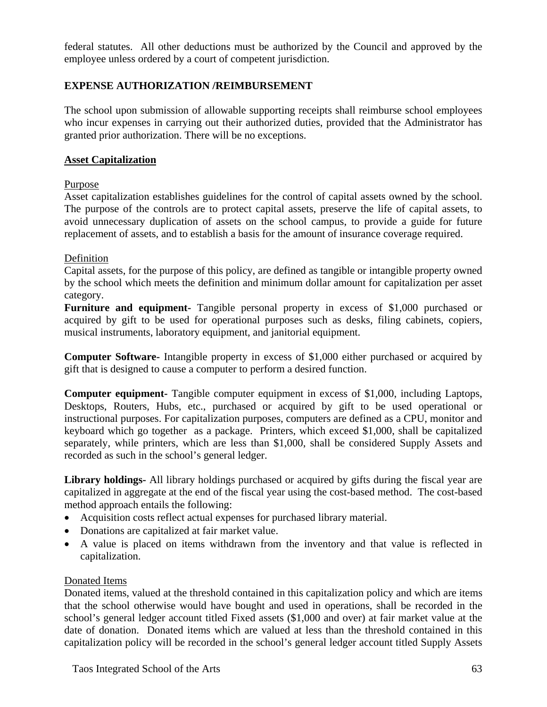federal statutes. All other deductions must be authorized by the Council and approved by the employee unless ordered by a court of competent jurisdiction.

## **EXPENSE AUTHORIZATION /REIMBURSEMENT**

The school upon submission of allowable supporting receipts shall reimburse school employees who incur expenses in carrying out their authorized duties, provided that the Administrator has granted prior authorization. There will be no exceptions.

#### **Asset Capitalization**

## Purpose

Asset capitalization establishes guidelines for the control of capital assets owned by the school. The purpose of the controls are to protect capital assets, preserve the life of capital assets, to avoid unnecessary duplication of assets on the school campus, to provide a guide for future replacement of assets, and to establish a basis for the amount of insurance coverage required.

#### Definition

Capital assets, for the purpose of this policy, are defined as tangible or intangible property owned by the school which meets the definition and minimum dollar amount for capitalization per asset category.

**Furniture and equipment-** Tangible personal property in excess of \$1,000 purchased or acquired by gift to be used for operational purposes such as desks, filing cabinets, copiers, musical instruments, laboratory equipment, and janitorial equipment.

**Computer Software-** Intangible property in excess of \$1,000 either purchased or acquired by gift that is designed to cause a computer to perform a desired function.

**Computer equipment-** Tangible computer equipment in excess of \$1,000, including Laptops, Desktops, Routers, Hubs, etc., purchased or acquired by gift to be used operational or instructional purposes. For capitalization purposes, computers are defined as a CPU, monitor and keyboard which go together as a package. Printers, which exceed \$1,000, shall be capitalized separately, while printers, which are less than \$1,000, shall be considered Supply Assets and recorded as such in the school's general ledger.

**Library holdings-** All library holdings purchased or acquired by gifts during the fiscal year are capitalized in aggregate at the end of the fiscal year using the cost-based method. The cost-based method approach entails the following:

- Acquisition costs reflect actual expenses for purchased library material.
- Donations are capitalized at fair market value.
- A value is placed on items withdrawn from the inventory and that value is reflected in capitalization.

## Donated Items

Donated items, valued at the threshold contained in this capitalization policy and which are items that the school otherwise would have bought and used in operations, shall be recorded in the school's general ledger account titled Fixed assets (\$1,000 and over) at fair market value at the date of donation. Donated items which are valued at less than the threshold contained in this capitalization policy will be recorded in the school's general ledger account titled Supply Assets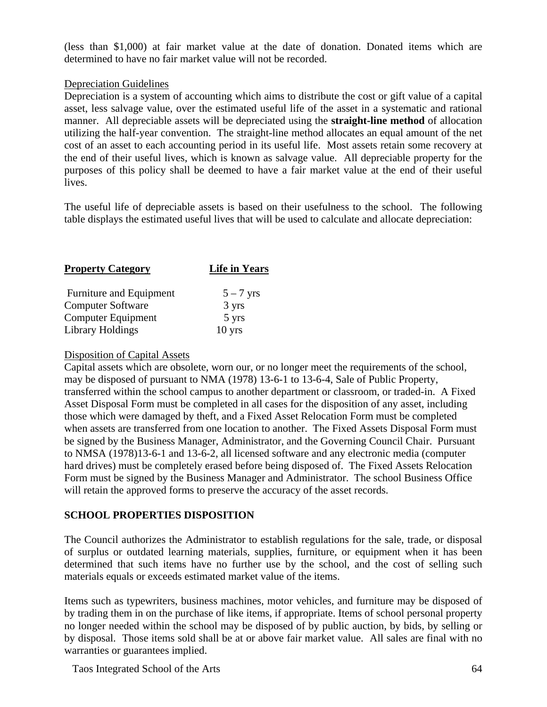(less than \$1,000) at fair market value at the date of donation. Donated items which are determined to have no fair market value will not be recorded.

#### Depreciation Guidelines

Depreciation is a system of accounting which aims to distribute the cost or gift value of a capital asset, less salvage value, over the estimated useful life of the asset in a systematic and rational manner. All depreciable assets will be depreciated using the **straight-line method** of allocation utilizing the half-year convention. The straight-line method allocates an equal amount of the net cost of an asset to each accounting period in its useful life. Most assets retain some recovery at the end of their useful lives, which is known as salvage value. All depreciable property for the purposes of this policy shall be deemed to have a fair market value at the end of their useful lives.

The useful life of depreciable assets is based on their usefulness to the school. The following table displays the estimated useful lives that will be used to calculate and allocate depreciation:

| <b>Property Category</b> | <b>Life in Years</b> |
|--------------------------|----------------------|
| Furniture and Equipment  | $5 - 7$ yrs          |
| <b>Computer Software</b> | 3 yrs                |
| Computer Equipment       | 5 yrs                |
| Library Holdings         | $10$ yrs             |

#### Disposition of Capital Assets

Capital assets which are obsolete, worn our, or no longer meet the requirements of the school, may be disposed of pursuant to NMA (1978) 13-6-1 to 13-6-4, Sale of Public Property, transferred within the school campus to another department or classroom, or traded-in. A Fixed Asset Disposal Form must be completed in all cases for the disposition of any asset, including those which were damaged by theft, and a Fixed Asset Relocation Form must be completed when assets are transferred from one location to another. The Fixed Assets Disposal Form must be signed by the Business Manager, Administrator, and the Governing Council Chair. Pursuant to NMSA (1978)13-6-1 and 13-6-2, all licensed software and any electronic media (computer hard drives) must be completely erased before being disposed of. The Fixed Assets Relocation Form must be signed by the Business Manager and Administrator. The school Business Office will retain the approved forms to preserve the accuracy of the asset records.

## **SCHOOL PROPERTIES DISPOSITION**

The Council authorizes the Administrator to establish regulations for the sale, trade, or disposal of surplus or outdated learning materials, supplies, furniture, or equipment when it has been determined that such items have no further use by the school, and the cost of selling such materials equals or exceeds estimated market value of the items.

Items such as typewriters, business machines, motor vehicles, and furniture may be disposed of by trading them in on the purchase of like items, if appropriate. Items of school personal property no longer needed within the school may be disposed of by public auction, by bids, by selling or by disposal. Those items sold shall be at or above fair market value. All sales are final with no warranties or guarantees implied.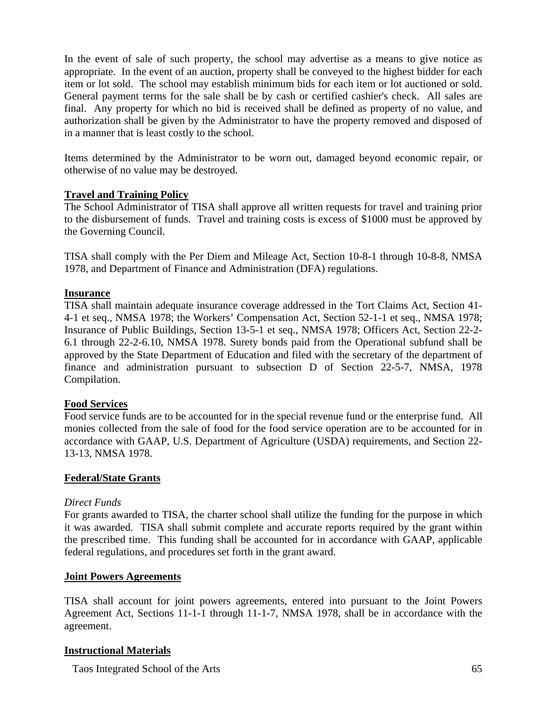In the event of sale of such property, the school may advertise as a means to give notice as appropriate. In the event of an auction, property shall be conveyed to the highest bidder for each item or lot sold. The school may establish minimum bids for each item or lot auctioned or sold. General payment terms for the sale shall be by cash or certified cashier's check. All sales are final. Any property for which no bid is received shall be defined as property of no value, and authorization shall be given by the Administrator to have the property removed and disposed of in a manner that is least costly to the school.

Items determined by the Administrator to be worn out, damaged beyond economic repair, or otherwise of no value may be destroyed.

#### **Travel and Training Policy**

The School Administrator of TISA shall approve all written requests for travel and training prior to the disbursement of funds. Travel and training costs is excess of \$1000 must be approved by the Governing Council.

TISA shall comply with the Per Diem and Mileage Act, Section 10-8-1 through 10-8-8, NMSA 1978, and Department of Finance and Administration (DFA) regulations.

#### **Insurance**

TISA shall maintain adequate insurance coverage addressed in the Tort Claims Act, Section 41- 4-1 et seq., NMSA 1978; the Workers' Compensation Act, Section 52-1-1 et seq., NMSA 1978; Insurance of Public Buildings, Section 13-5-1 et seq., NMSA 1978; Officers Act, Section 22-2- 6.1 through 22-2-6.10, NMSA 1978. Surety bonds paid from the Operational subfund shall be approved by the State Department of Education and filed with the secretary of the department of finance and administration pursuant to subsection D of Section 22-5-7, NMSA, 1978 Compilation.

#### **Food Services**

Food service funds are to be accounted for in the special revenue fund or the enterprise fund. All monies collected from the sale of food for the food service operation are to be accounted for in accordance with GAAP, U.S. Department of Agriculture (USDA) requirements, and Section 22- 13-13, NMSA 1978.

#### **Federal/State Grants**

#### *Direct Funds*

For grants awarded to TISA, the charter school shall utilize the funding for the purpose in which it was awarded. TISA shall submit complete and accurate reports required by the grant within the prescribed time. This funding shall be accounted for in accordance with GAAP, applicable federal regulations, and procedures set forth in the grant award.

#### **Joint Powers Agreements**

TISA shall account for joint powers agreements, entered into pursuant to the Joint Powers Agreement Act, Sections 11-1-1 through 11-1-7, NMSA 1978, shall be in accordance with the agreement.

## **Instructional Materials**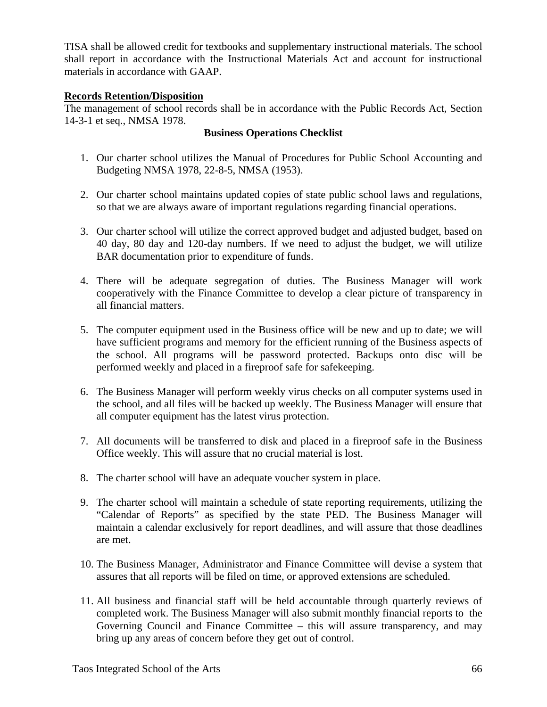TISA shall be allowed credit for textbooks and supplementary instructional materials. The school shall report in accordance with the Instructional Materials Act and account for instructional materials in accordance with GAAP.

#### **Records Retention/Disposition**

The management of school records shall be in accordance with the Public Records Act, Section 14-3-1 et seq., NMSA 1978.

#### **Business Operations Checklist**

- 1. Our charter school utilizes the Manual of Procedures for Public School Accounting and Budgeting NMSA 1978, 22-8-5, NMSA (1953).
- 2. Our charter school maintains updated copies of state public school laws and regulations, so that we are always aware of important regulations regarding financial operations.
- 3. Our charter school will utilize the correct approved budget and adjusted budget, based on 40 day, 80 day and 120-day numbers. If we need to adjust the budget, we will utilize BAR documentation prior to expenditure of funds.
- 4. There will be adequate segregation of duties. The Business Manager will work cooperatively with the Finance Committee to develop a clear picture of transparency in all financial matters.
- 5. The computer equipment used in the Business office will be new and up to date; we will have sufficient programs and memory for the efficient running of the Business aspects of the school. All programs will be password protected. Backups onto disc will be performed weekly and placed in a fireproof safe for safekeeping.
- 6. The Business Manager will perform weekly virus checks on all computer systems used in the school, and all files will be backed up weekly. The Business Manager will ensure that all computer equipment has the latest virus protection.
- 7. All documents will be transferred to disk and placed in a fireproof safe in the Business Office weekly. This will assure that no crucial material is lost.
- 8. The charter school will have an adequate voucher system in place.
- 9. The charter school will maintain a schedule of state reporting requirements, utilizing the "Calendar of Reports" as specified by the state PED. The Business Manager will maintain a calendar exclusively for report deadlines, and will assure that those deadlines are met.
- 10. The Business Manager, Administrator and Finance Committee will devise a system that assures that all reports will be filed on time, or approved extensions are scheduled.
- 11. All business and financial staff will be held accountable through quarterly reviews of completed work. The Business Manager will also submit monthly financial reports to the Governing Council and Finance Committee – this will assure transparency, and may bring up any areas of concern before they get out of control.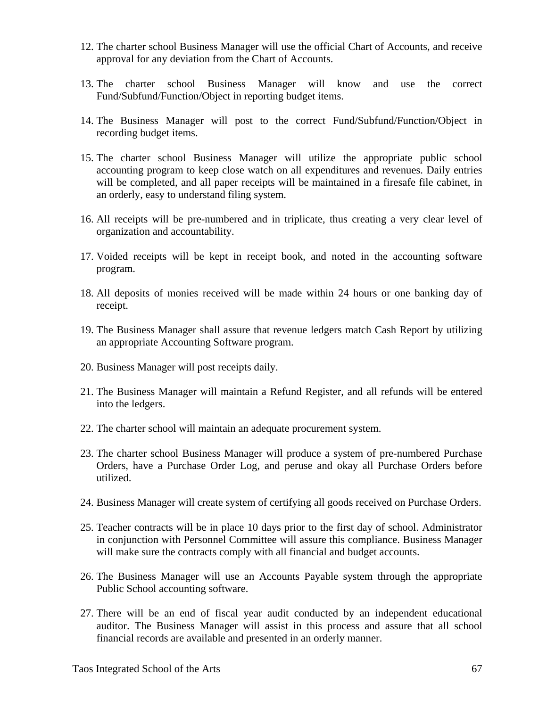- 12. The charter school Business Manager will use the official Chart of Accounts, and receive approval for any deviation from the Chart of Accounts.
- 13. The charter school Business Manager will know and use the correct Fund/Subfund/Function/Object in reporting budget items.
- 14. The Business Manager will post to the correct Fund/Subfund/Function/Object in recording budget items.
- 15. The charter school Business Manager will utilize the appropriate public school accounting program to keep close watch on all expenditures and revenues. Daily entries will be completed, and all paper receipts will be maintained in a firesafe file cabinet, in an orderly, easy to understand filing system.
- 16. All receipts will be pre-numbered and in triplicate, thus creating a very clear level of organization and accountability.
- 17. Voided receipts will be kept in receipt book, and noted in the accounting software program.
- 18. All deposits of monies received will be made within 24 hours or one banking day of receipt.
- 19. The Business Manager shall assure that revenue ledgers match Cash Report by utilizing an appropriate Accounting Software program.
- 20. Business Manager will post receipts daily.
- 21. The Business Manager will maintain a Refund Register, and all refunds will be entered into the ledgers.
- 22. The charter school will maintain an adequate procurement system.
- 23. The charter school Business Manager will produce a system of pre-numbered Purchase Orders, have a Purchase Order Log, and peruse and okay all Purchase Orders before utilized.
- 24. Business Manager will create system of certifying all goods received on Purchase Orders.
- 25. Teacher contracts will be in place 10 days prior to the first day of school. Administrator in conjunction with Personnel Committee will assure this compliance. Business Manager will make sure the contracts comply with all financial and budget accounts.
- 26. The Business Manager will use an Accounts Payable system through the appropriate Public School accounting software.
- 27. There will be an end of fiscal year audit conducted by an independent educational auditor. The Business Manager will assist in this process and assure that all school financial records are available and presented in an orderly manner.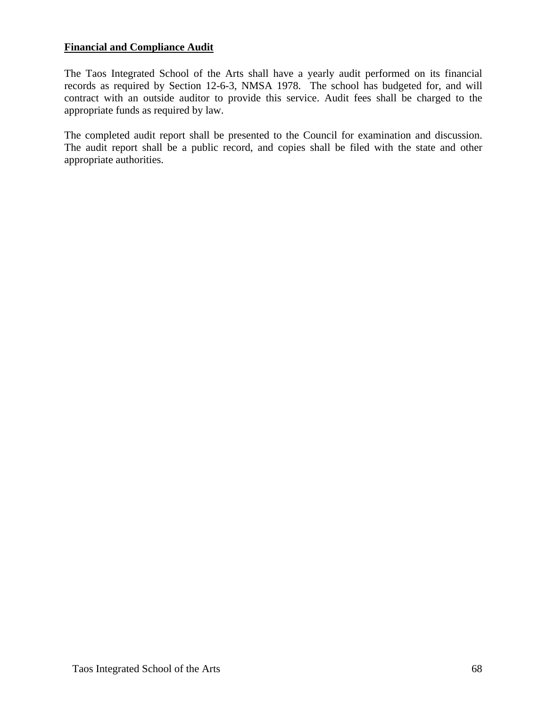## **Financial and Compliance Audit**

The Taos Integrated School of the Arts shall have a yearly audit performed on its financial records as required by Section 12-6-3, NMSA 1978. The school has budgeted for, and will contract with an outside auditor to provide this service. Audit fees shall be charged to the appropriate funds as required by law.

The completed audit report shall be presented to the Council for examination and discussion. The audit report shall be a public record, and copies shall be filed with the state and other appropriate authorities.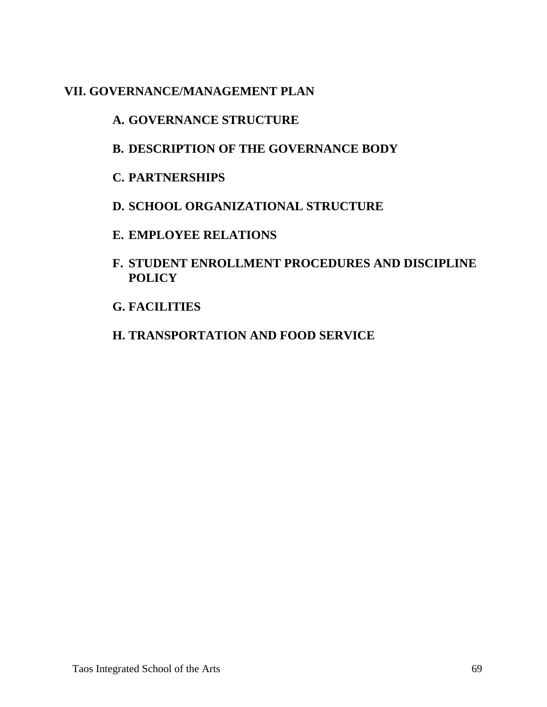## **VII. GOVERNANCE/MANAGEMENT PLAN**

# **A. GOVERNANCE STRUCTURE**

- **B. DESCRIPTION OF THE GOVERNANCE BODY**
- **C. PARTNERSHIPS**
- **D. SCHOOL ORGANIZATIONAL STRUCTURE**
- **E. EMPLOYEE RELATIONS**
- **F. STUDENT ENROLLMENT PROCEDURES AND DISCIPLINE POLICY**
- **G. FACILITIES**
- **H. TRANSPORTATION AND FOOD SERVICE**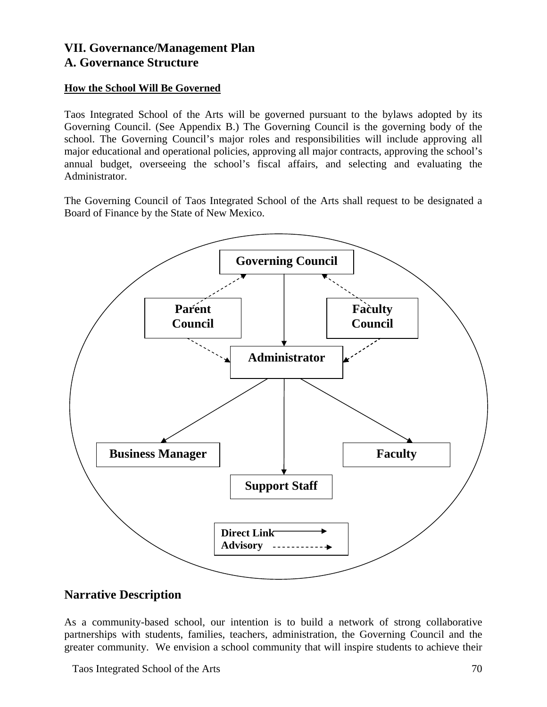## **VII. Governance/Management Plan A. Governance Structure**

## **How the School Will Be Governed**

Taos Integrated School of the Arts will be governed pursuant to the bylaws adopted by its Governing Council. (See Appendix B.) The Governing Council is the governing body of the school. The Governing Council's major roles and responsibilities will include approving all major educational and operational policies, approving all major contracts, approving the school's annual budget, overseeing the school's fiscal affairs, and selecting and evaluating the Administrator.

The Governing Council of Taos Integrated School of the Arts shall request to be designated a Board of Finance by the State of New Mexico.



## **Narrative Description**

As a community-based school, our intention is to build a network of strong collaborative partnerships with students, families, teachers, administration, the Governing Council and the greater community. We envision a school community that will inspire students to achieve their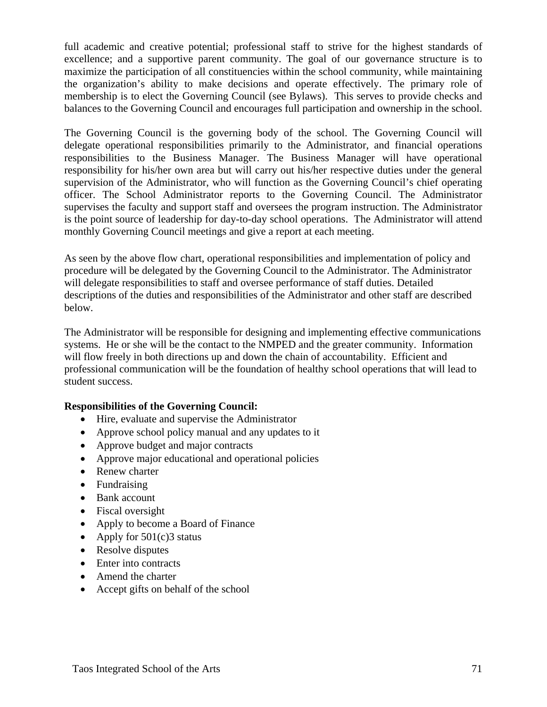full academic and creative potential; professional staff to strive for the highest standards of excellence; and a supportive parent community. The goal of our governance structure is to maximize the participation of all constituencies within the school community, while maintaining the organization's ability to make decisions and operate effectively. The primary role of membership is to elect the Governing Council (see Bylaws). This serves to provide checks and balances to the Governing Council and encourages full participation and ownership in the school.

The Governing Council is the governing body of the school. The Governing Council will delegate operational responsibilities primarily to the Administrator, and financial operations responsibilities to the Business Manager. The Business Manager will have operational responsibility for his/her own area but will carry out his/her respective duties under the general supervision of the Administrator, who will function as the Governing Council's chief operating officer. The School Administrator reports to the Governing Council. The Administrator supervises the faculty and support staff and oversees the program instruction. The Administrator is the point source of leadership for day-to-day school operations. The Administrator will attend monthly Governing Council meetings and give a report at each meeting.

As seen by the above flow chart, operational responsibilities and implementation of policy and procedure will be delegated by the Governing Council to the Administrator. The Administrator will delegate responsibilities to staff and oversee performance of staff duties. Detailed descriptions of the duties and responsibilities of the Administrator and other staff are described below.

The Administrator will be responsible for designing and implementing effective communications systems. He or she will be the contact to the NMPED and the greater community. Information will flow freely in both directions up and down the chain of accountability. Efficient and professional communication will be the foundation of healthy school operations that will lead to student success.

## **Responsibilities of the Governing Council:**

- Hire, evaluate and supervise the Administrator
- Approve school policy manual and any updates to it
- Approve budget and major contracts
- Approve major educational and operational policies
- Renew charter
- Fundraising
- Bank account
- Fiscal oversight
- Apply to become a Board of Finance
- Apply for  $501(c)3$  status
- Resolve disputes
- Enter into contracts
- Amend the charter
- Accept gifts on behalf of the school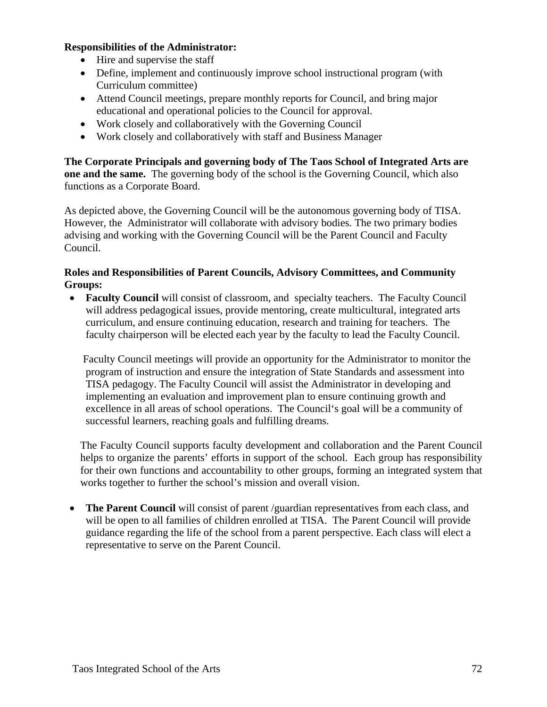#### **Responsibilities of the Administrator:**

- Hire and supervise the staff
- Define, implement and continuously improve school instructional program (with Curriculum committee)
- Attend Council meetings, prepare monthly reports for Council, and bring major educational and operational policies to the Council for approval.
- Work closely and collaboratively with the Governing Council
- Work closely and collaboratively with staff and Business Manager

**The Corporate Principals and governing body of The Taos School of Integrated Arts are one and the same.** The governing body of the school is the Governing Council, which also functions as a Corporate Board.

As depicted above, the Governing Council will be the autonomous governing body of TISA. However, the Administrator will collaborate with advisory bodies. The two primary bodies advising and working with the Governing Council will be the Parent Council and Faculty Council.

## **Roles and Responsibilities of Parent Councils, Advisory Committees, and Community Groups:**

• **Faculty Council** will consist of classroom, and specialty teachers. The Faculty Council will address pedagogical issues, provide mentoring, create multicultural, integrated arts curriculum, and ensure continuing education, research and training for teachers. The faculty chairperson will be elected each year by the faculty to lead the Faculty Council.

 Faculty Council meetings will provide an opportunity for the Administrator to monitor the program of instruction and ensure the integration of State Standards and assessment into TISA pedagogy. The Faculty Council will assist the Administrator in developing and implementing an evaluation and improvement plan to ensure continuing growth and excellence in all areas of school operations. The Council's goal will be a community of successful learners, reaching goals and fulfilling dreams.

The Faculty Council supports faculty development and collaboration and the Parent Council helps to organize the parents' efforts in support of the school. Each group has responsibility for their own functions and accountability to other groups, forming an integrated system that works together to further the school's mission and overall vision.

• **The Parent Council** will consist of parent /guardian representatives from each class, and will be open to all families of children enrolled at TISA. The Parent Council will provide guidance regarding the life of the school from a parent perspective. Each class will elect a representative to serve on the Parent Council.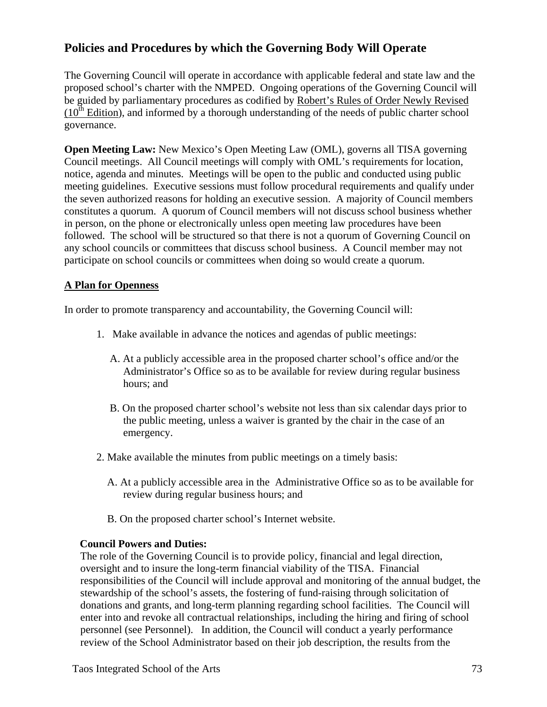# **Policies and Procedures by which the Governing Body Will Operate**

The Governing Council will operate in accordance with applicable federal and state law and the proposed school's charter with the NMPED. Ongoing operations of the Governing Council will be guided by parliamentary procedures as codified by Robert's Rules of Order Newly Revised  $(10<sup>th</sup> Edition)$ , and informed by a thorough understanding of the needs of public charter school governance.

**Open Meeting Law:** New Mexico's Open Meeting Law (OML), governs all TISA governing Council meetings. All Council meetings will comply with OML's requirements for location, notice, agenda and minutes. Meetings will be open to the public and conducted using public meeting guidelines. Executive sessions must follow procedural requirements and qualify under the seven authorized reasons for holding an executive session. A majority of Council members constitutes a quorum. A quorum of Council members will not discuss school business whether in person, on the phone or electronically unless open meeting law procedures have been followed. The school will be structured so that there is not a quorum of Governing Council on any school councils or committees that discuss school business. A Council member may not participate on school councils or committees when doing so would create a quorum.

### **A Plan for Openness**

In order to promote transparency and accountability, the Governing Council will:

- 1. Make available in advance the notices and agendas of public meetings:
	- A. At a publicly accessible area in the proposed charter school's office and/or the Administrator's Office so as to be available for review during regular business hours; and
	- B. On the proposed charter school's website not less than six calendar days prior to the public meeting, unless a waiver is granted by the chair in the case of an emergency.
- 2. Make available the minutes from public meetings on a timely basis:
	- A. At a publicly accessible area in the Administrative Office so as to be available for review during regular business hours; and
	- B. On the proposed charter school's Internet website.

### **Council Powers and Duties:**

The role of the Governing Council is to provide policy, financial and legal direction, oversight and to insure the long-term financial viability of the TISA. Financial responsibilities of the Council will include approval and monitoring of the annual budget, the stewardship of the school's assets, the fostering of fund-raising through solicitation of donations and grants, and long-term planning regarding school facilities. The Council will enter into and revoke all contractual relationships, including the hiring and firing of school personnel (see Personnel). In addition, the Council will conduct a yearly performance review of the School Administrator based on their job description, the results from the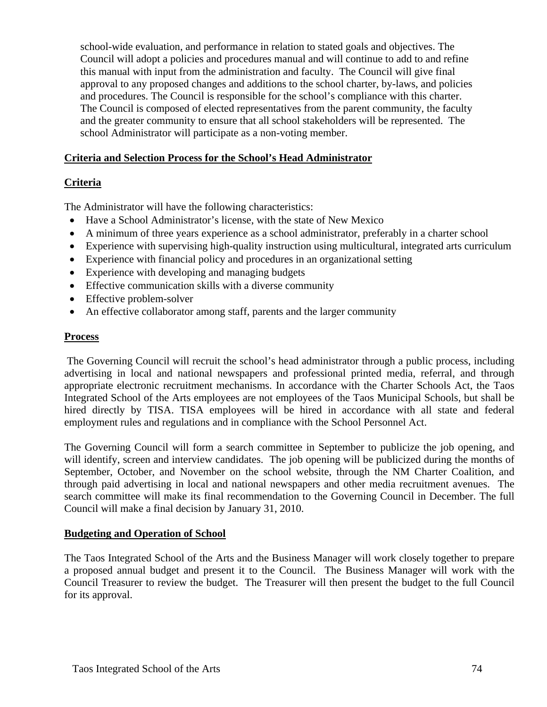school-wide evaluation, and performance in relation to stated goals and objectives. The Council will adopt a policies and procedures manual and will continue to add to and refine this manual with input from the administration and faculty. The Council will give final approval to any proposed changes and additions to the school charter, by-laws, and policies and procedures. The Council is responsible for the school's compliance with this charter. The Council is composed of elected representatives from the parent community, the faculty and the greater community to ensure that all school stakeholders will be represented. The school Administrator will participate as a non-voting member.

### **Criteria and Selection Process for the School's Head Administrator**

### **Criteria**

The Administrator will have the following characteristics:

- Have a School Administrator's license, with the state of New Mexico
- A minimum of three years experience as a school administrator, preferably in a charter school
- Experience with supervising high-quality instruction using multicultural, integrated arts curriculum
- Experience with financial policy and procedures in an organizational setting
- Experience with developing and managing budgets
- Effective communication skills with a diverse community
- Effective problem-solver
- An effective collaborator among staff, parents and the larger community

### **Process**

The Governing Council will recruit the school's head administrator through a public process, including advertising in local and national newspapers and professional printed media, referral, and through appropriate electronic recruitment mechanisms. In accordance with the Charter Schools Act, the Taos Integrated School of the Arts employees are not employees of the Taos Municipal Schools, but shall be hired directly by TISA. TISA employees will be hired in accordance with all state and federal employment rules and regulations and in compliance with the School Personnel Act.

The Governing Council will form a search committee in September to publicize the job opening, and will identify, screen and interview candidates. The job opening will be publicized during the months of September, October, and November on the school website, through the NM Charter Coalition, and through paid advertising in local and national newspapers and other media recruitment avenues. The search committee will make its final recommendation to the Governing Council in December. The full Council will make a final decision by January 31, 2010.

### **Budgeting and Operation of School**

The Taos Integrated School of the Arts and the Business Manager will work closely together to prepare a proposed annual budget and present it to the Council. The Business Manager will work with the Council Treasurer to review the budget. The Treasurer will then present the budget to the full Council for its approval.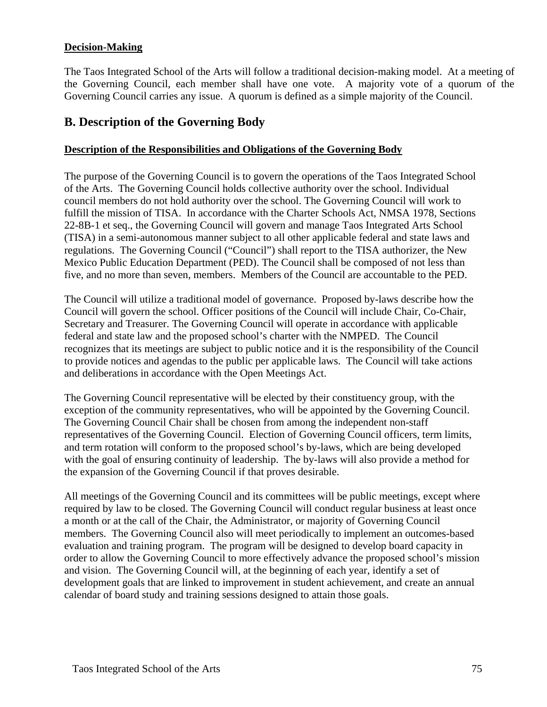### **Decision-Making**

The Taos Integrated School of the Arts will follow a traditional decision-making model. At a meeting of the Governing Council, each member shall have one vote. A majority vote of a quorum of the Governing Council carries any issue. A quorum is defined as a simple majority of the Council.

# **B. Description of the Governing Body**

### **Description of the Responsibilities and Obligations of the Governing Body**

The purpose of the Governing Council is to govern the operations of the Taos Integrated School of the Arts. The Governing Council holds collective authority over the school. Individual council members do not hold authority over the school. The Governing Council will work to fulfill the mission of TISA. In accordance with the Charter Schools Act, NMSA 1978, Sections 22-8B-1 et seq., the Governing Council will govern and manage Taos Integrated Arts School (TISA) in a semi-autonomous manner subject to all other applicable federal and state laws and regulations. The Governing Council ("Council") shall report to the TISA authorizer, the New Mexico Public Education Department (PED). The Council shall be composed of not less than five, and no more than seven, members. Members of the Council are accountable to the PED.

The Council will utilize a traditional model of governance. Proposed by-laws describe how the Council will govern the school. Officer positions of the Council will include Chair, Co-Chair, Secretary and Treasurer. The Governing Council will operate in accordance with applicable federal and state law and the proposed school's charter with the NMPED. The Council recognizes that its meetings are subject to public notice and it is the responsibility of the Council to provide notices and agendas to the public per applicable laws. The Council will take actions and deliberations in accordance with the Open Meetings Act.

The Governing Council representative will be elected by their constituency group, with the exception of the community representatives, who will be appointed by the Governing Council. The Governing Council Chair shall be chosen from among the independent non-staff representatives of the Governing Council. Election of Governing Council officers, term limits, and term rotation will conform to the proposed school's by-laws, which are being developed with the goal of ensuring continuity of leadership. The by-laws will also provide a method for the expansion of the Governing Council if that proves desirable.

All meetings of the Governing Council and its committees will be public meetings, except where required by law to be closed. The Governing Council will conduct regular business at least once a month or at the call of the Chair, the Administrator, or majority of Governing Council members. The Governing Council also will meet periodically to implement an outcomes-based evaluation and training program. The program will be designed to develop board capacity in order to allow the Governing Council to more effectively advance the proposed school's mission and vision. The Governing Council will, at the beginning of each year, identify a set of development goals that are linked to improvement in student achievement, and create an annual calendar of board study and training sessions designed to attain those goals.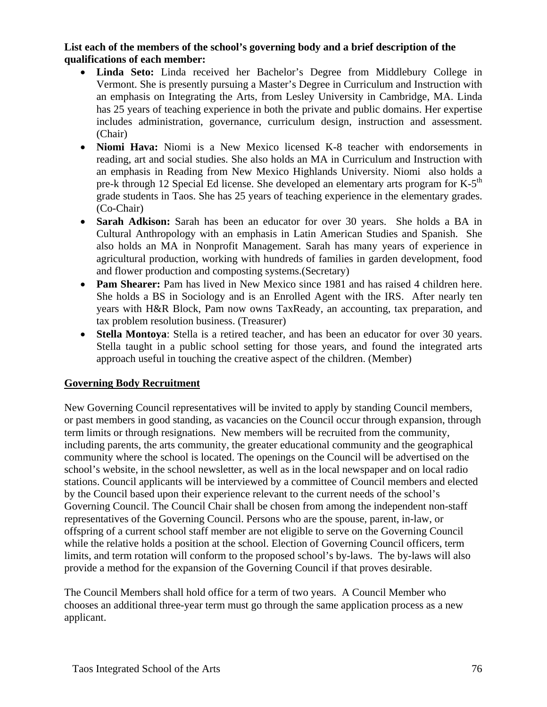### **List each of the members of the school's governing body and a brief description of the qualifications of each member:**

- **Linda Seto:** Linda received her Bachelor's Degree from Middlebury College in Vermont. She is presently pursuing a Master's Degree in Curriculum and Instruction with an emphasis on Integrating the Arts, from Lesley University in Cambridge, MA. Linda has 25 years of teaching experience in both the private and public domains. Her expertise includes administration, governance, curriculum design, instruction and assessment. (Chair)
- **Niomi Hava:** Niomi is a New Mexico licensed K-8 teacher with endorsements in reading, art and social studies. She also holds an MA in Curriculum and Instruction with an emphasis in Reading from New Mexico Highlands University. Niomi also holds a pre-k through 12 Special Ed license. She developed an elementary arts program for  $K-5<sup>th</sup>$ grade students in Taos. She has 25 years of teaching experience in the elementary grades. (Co-Chair)
- **Sarah Adkison:** Sarah has been an educator for over 30 years. She holds a BA in Cultural Anthropology with an emphasis in Latin American Studies and Spanish. She also holds an MA in Nonprofit Management. Sarah has many years of experience in agricultural production, working with hundreds of families in garden development, food and flower production and composting systems.(Secretary)
- **Pam Shearer:** Pam has lived in New Mexico since 1981 and has raised 4 children here. She holds a BS in Sociology and is an Enrolled Agent with the IRS. After nearly ten years with H&R Block, Pam now owns TaxReady, an accounting, tax preparation, and tax problem resolution business. (Treasurer)
- **Stella Montoya**: Stella is a retired teacher, and has been an educator for over 30 years. Stella taught in a public school setting for those years, and found the integrated arts approach useful in touching the creative aspect of the children. (Member)

### **Governing Body Recruitment**

New Governing Council representatives will be invited to apply by standing Council members, or past members in good standing, as vacancies on the Council occur through expansion, through term limits or through resignations. New members will be recruited from the community, including parents, the arts community, the greater educational community and the geographical community where the school is located. The openings on the Council will be advertised on the school's website, in the school newsletter, as well as in the local newspaper and on local radio stations. Council applicants will be interviewed by a committee of Council members and elected by the Council based upon their experience relevant to the current needs of the school's Governing Council. The Council Chair shall be chosen from among the independent non-staff representatives of the Governing Council. Persons who are the spouse, parent, in-law, or offspring of a current school staff member are not eligible to serve on the Governing Council while the relative holds a position at the school. Election of Governing Council officers, term limits, and term rotation will conform to the proposed school's by-laws. The by-laws will also provide a method for the expansion of the Governing Council if that proves desirable.

The Council Members shall hold office for a term of two years. A Council Member who chooses an additional three-year term must go through the same application process as a new applicant.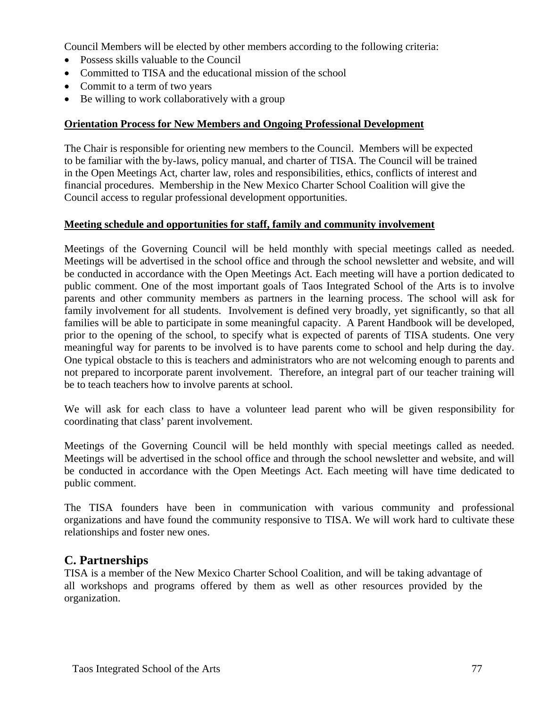Council Members will be elected by other members according to the following criteria:

- Possess skills valuable to the Council
- Committed to TISA and the educational mission of the school
- Commit to a term of two years
- Be willing to work collaboratively with a group

### **Orientation Process for New Members and Ongoing Professional Development**

The Chair is responsible for orienting new members to the Council. Members will be expected to be familiar with the by-laws, policy manual, and charter of TISA. The Council will be trained in the Open Meetings Act, charter law, roles and responsibilities, ethics, conflicts of interest and financial procedures. Membership in the New Mexico Charter School Coalition will give the Council access to regular professional development opportunities.

### **Meeting schedule and opportunities for staff, family and community involvement**

Meetings of the Governing Council will be held monthly with special meetings called as needed. Meetings will be advertised in the school office and through the school newsletter and website, and will be conducted in accordance with the Open Meetings Act. Each meeting will have a portion dedicated to public comment. One of the most important goals of Taos Integrated School of the Arts is to involve parents and other community members as partners in the learning process. The school will ask for family involvement for all students. Involvement is defined very broadly, yet significantly, so that all families will be able to participate in some meaningful capacity. A Parent Handbook will be developed, prior to the opening of the school, to specify what is expected of parents of TISA students. One very meaningful way for parents to be involved is to have parents come to school and help during the day. One typical obstacle to this is teachers and administrators who are not welcoming enough to parents and not prepared to incorporate parent involvement. Therefore, an integral part of our teacher training will be to teach teachers how to involve parents at school.

We will ask for each class to have a volunteer lead parent who will be given responsibility for coordinating that class' parent involvement.

Meetings of the Governing Council will be held monthly with special meetings called as needed. Meetings will be advertised in the school office and through the school newsletter and website, and will be conducted in accordance with the Open Meetings Act. Each meeting will have time dedicated to public comment.

The TISA founders have been in communication with various community and professional organizations and have found the community responsive to TISA. We will work hard to cultivate these relationships and foster new ones.

### **C. Partnerships**

TISA is a member of the New Mexico Charter School Coalition, and will be taking advantage of all workshops and programs offered by them as well as other resources provided by the organization.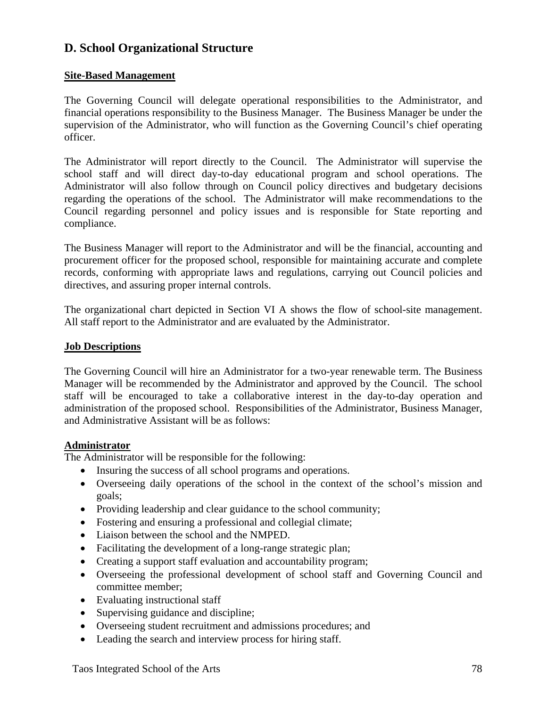# **D. School Organizational Structure**

### **Site-Based Management**

The Governing Council will delegate operational responsibilities to the Administrator, and financial operations responsibility to the Business Manager. The Business Manager be under the supervision of the Administrator, who will function as the Governing Council's chief operating officer.

The Administrator will report directly to the Council. The Administrator will supervise the school staff and will direct day-to-day educational program and school operations. The Administrator will also follow through on Council policy directives and budgetary decisions regarding the operations of the school. The Administrator will make recommendations to the Council regarding personnel and policy issues and is responsible for State reporting and compliance.

The Business Manager will report to the Administrator and will be the financial, accounting and procurement officer for the proposed school, responsible for maintaining accurate and complete records, conforming with appropriate laws and regulations, carrying out Council policies and directives, and assuring proper internal controls.

The organizational chart depicted in Section VI A shows the flow of school-site management. All staff report to the Administrator and are evaluated by the Administrator.

### **Job Descriptions**

The Governing Council will hire an Administrator for a two-year renewable term. The Business Manager will be recommended by the Administrator and approved by the Council. The school staff will be encouraged to take a collaborative interest in the day-to-day operation and administration of the proposed school. Responsibilities of the Administrator, Business Manager, and Administrative Assistant will be as follows:

### **Administrator**

The Administrator will be responsible for the following:

- Insuring the success of all school programs and operations.
- Overseeing daily operations of the school in the context of the school's mission and goals;
- Providing leadership and clear guidance to the school community;
- Fostering and ensuring a professional and collegial climate;
- Liaison between the school and the NMPED.
- Facilitating the development of a long-range strategic plan;
- Creating a support staff evaluation and accountability program;
- Overseeing the professional development of school staff and Governing Council and committee member;
- Evaluating instructional staff
- Supervising guidance and discipline;
- Overseeing student recruitment and admissions procedures; and
- Leading the search and interview process for hiring staff.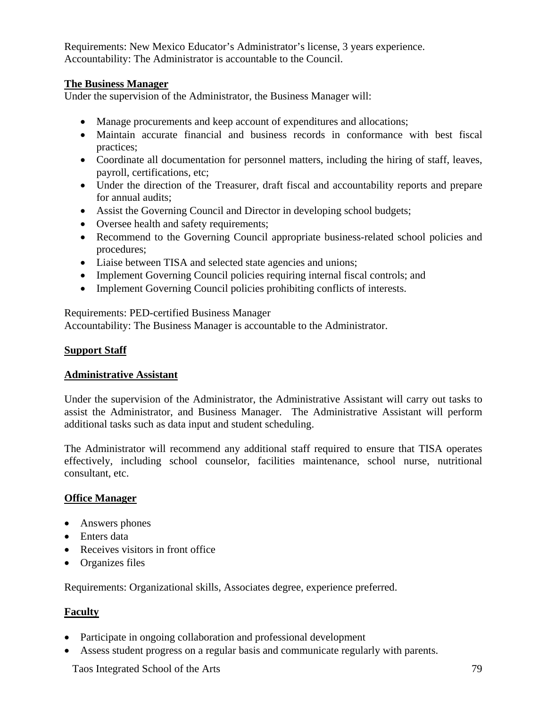Requirements: New Mexico Educator's Administrator's license, 3 years experience. Accountability: The Administrator is accountable to the Council.

### **The Business Manager**

Under the supervision of the Administrator, the Business Manager will:

- Manage procurements and keep account of expenditures and allocations;
- Maintain accurate financial and business records in conformance with best fiscal practices;
- Coordinate all documentation for personnel matters, including the hiring of staff, leaves, payroll, certifications, etc;
- Under the direction of the Treasurer, draft fiscal and accountability reports and prepare for annual audits;
- Assist the Governing Council and Director in developing school budgets;
- Oversee health and safety requirements;
- Recommend to the Governing Council appropriate business-related school policies and procedures;
- Liaise between TISA and selected state agencies and unions;
- Implement Governing Council policies requiring internal fiscal controls; and
- Implement Governing Council policies prohibiting conflicts of interests.

Requirements: PED-certified Business Manager

Accountability: The Business Manager is accountable to the Administrator.

### **Support Staff**

### **Administrative Assistant**

Under the supervision of the Administrator, the Administrative Assistant will carry out tasks to assist the Administrator, and Business Manager. The Administrative Assistant will perform additional tasks such as data input and student scheduling.

The Administrator will recommend any additional staff required to ensure that TISA operates effectively, including school counselor, facilities maintenance, school nurse, nutritional consultant, etc.

### **Office Manager**

- Answers phones
- Enters data
- Receives visitors in front office
- Organizes files

Requirements: Organizational skills, Associates degree, experience preferred.

### **Faculty**

- Participate in ongoing collaboration and professional development
- Assess student progress on a regular basis and communicate regularly with parents.

Taos Integrated School of the Arts 79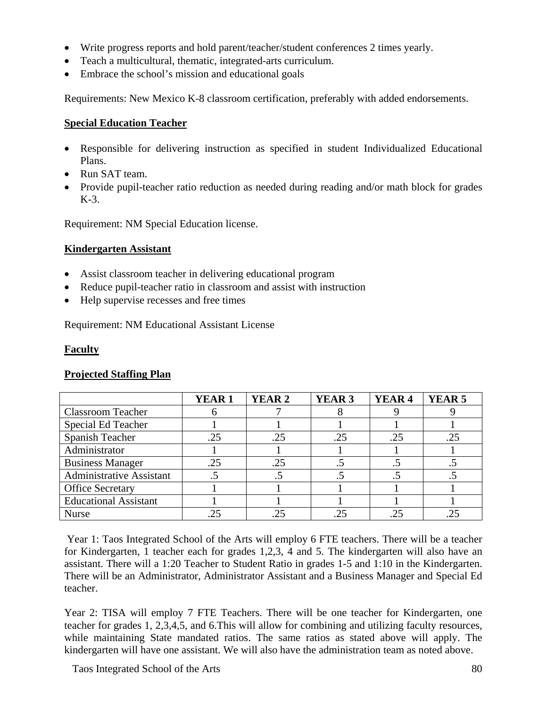- Write progress reports and hold parent/teacher/student conferences 2 times yearly.
- Teach a multicultural, thematic, integrated-arts curriculum.
- Embrace the school's mission and educational goals

Requirements: New Mexico K-8 classroom certification, preferably with added endorsements.

### **Special Education Teacher**

- Responsible for delivering instruction as specified in student Individualized Educational Plans.
- Run SAT team.
- Provide pupil-teacher ratio reduction as needed during reading and/or math block for grades K-3.

Requirement: NM Special Education license.

### **Kindergarten Assistant**

- Assist classroom teacher in delivering educational program
- Reduce pupil-teacher ratio in classroom and assist with instruction
- Help supervise recesses and free times

Requirement: NM Educational Assistant License

### **Faculty**

### **Projected Staffing Plan**

|                                 | <b>YEAR1</b> | YEAR 2               | YEAR <sub>3</sub> | YEAR <sub>4</sub> | YEAR <sub>5</sub> |
|---------------------------------|--------------|----------------------|-------------------|-------------------|-------------------|
| <b>Classroom Teacher</b>        |              |                      |                   |                   |                   |
| Special Ed Teacher              |              |                      |                   |                   |                   |
| Spanish Teacher                 | .25          | .25                  | .25               | .25               | .25               |
| Administrator                   |              |                      |                   |                   |                   |
| <b>Business Manager</b>         | .25          | .25                  |                   |                   |                   |
| <b>Administrative Assistant</b> |              | $\ddot{\phantom{a}}$ |                   |                   |                   |
| <b>Office Secretary</b>         |              |                      |                   |                   |                   |
| <b>Educational Assistant</b>    |              |                      |                   |                   |                   |
| <b>Nurse</b>                    | .25          | .25                  | .25               | 25                |                   |

 Year 1: Taos Integrated School of the Arts will employ 6 FTE teachers. There will be a teacher for Kindergarten, 1 teacher each for grades 1,2,3, 4 and 5. The kindergarten will also have an assistant. There will a 1:20 Teacher to Student Ratio in grades 1-5 and 1:10 in the Kindergarten. There will be an Administrator, Administrator Assistant and a Business Manager and Special Ed teacher.

Year 2: TISA will employ 7 FTE Teachers. There will be one teacher for Kindergarten, one teacher for grades 1, 2,3,4,5, and 6.This will allow for combining and utilizing faculty resources, while maintaining State mandated ratios. The same ratios as stated above will apply. The kindergarten will have one assistant. We will also have the administration team as noted above.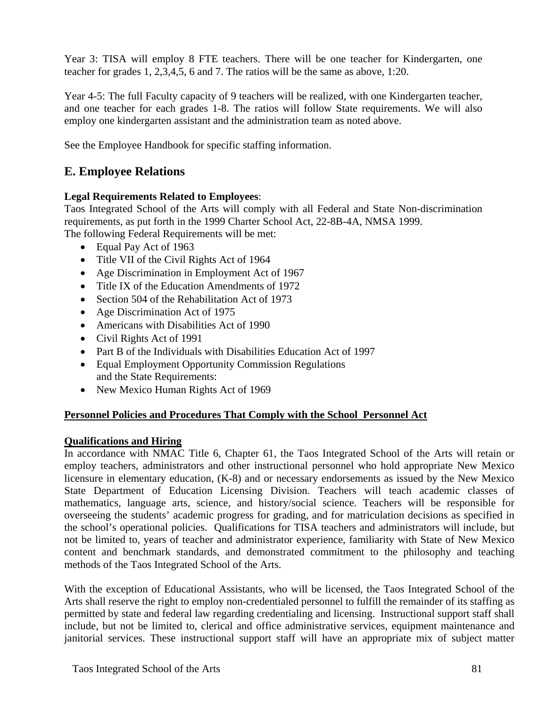Year 3: TISA will employ 8 FTE teachers. There will be one teacher for Kindergarten, one teacher for grades 1, 2,3,4,5, 6 and 7. The ratios will be the same as above, 1:20.

Year 4-5: The full Faculty capacity of 9 teachers will be realized, with one Kindergarten teacher, and one teacher for each grades 1-8. The ratios will follow State requirements. We will also employ one kindergarten assistant and the administration team as noted above.

See the Employee Handbook for specific staffing information.

# **E. Employee Relations**

### **Legal Requirements Related to Employees**:

Taos Integrated School of the Arts will comply with all Federal and State Non-discrimination requirements, as put forth in the 1999 Charter School Act, 22-8B-4A, NMSA 1999. The following Federal Requirements will be met:

- Equal Pay Act of 1963
- Title VII of the Civil Rights Act of 1964
- Age Discrimination in Employment Act of 1967
- Title IX of the Education Amendments of 1972
- Section 504 of the Rehabilitation Act of 1973
- Age Discrimination Act of 1975
- Americans with Disabilities Act of 1990
- Civil Rights Act of 1991
- Part B of the Individuals with Disabilities Education Act of 1997
- Equal Employment Opportunity Commission Regulations and the State Requirements:
- New Mexico Human Rights Act of 1969

### **Personnel Policies and Procedures That Comply with the School Personnel Act**

### **Qualifications and Hiring**

In accordance with NMAC Title 6, Chapter 61, the Taos Integrated School of the Arts will retain or employ teachers, administrators and other instructional personnel who hold appropriate New Mexico licensure in elementary education, (K-8) and or necessary endorsements as issued by the New Mexico State Department of Education Licensing Division. Teachers will teach academic classes of mathematics, language arts, science, and history/social science. Teachers will be responsible for overseeing the students' academic progress for grading, and for matriculation decisions as specified in the school's operational policies. Qualifications for TISA teachers and administrators will include, but not be limited to, years of teacher and administrator experience, familiarity with State of New Mexico content and benchmark standards, and demonstrated commitment to the philosophy and teaching methods of the Taos Integrated School of the Arts.

With the exception of Educational Assistants, who will be licensed, the Taos Integrated School of the Arts shall reserve the right to employ non-credentialed personnel to fulfill the remainder of its staffing as permitted by state and federal law regarding credentialing and licensing. Instructional support staff shall include, but not be limited to, clerical and office administrative services, equipment maintenance and janitorial services. These instructional support staff will have an appropriate mix of subject matter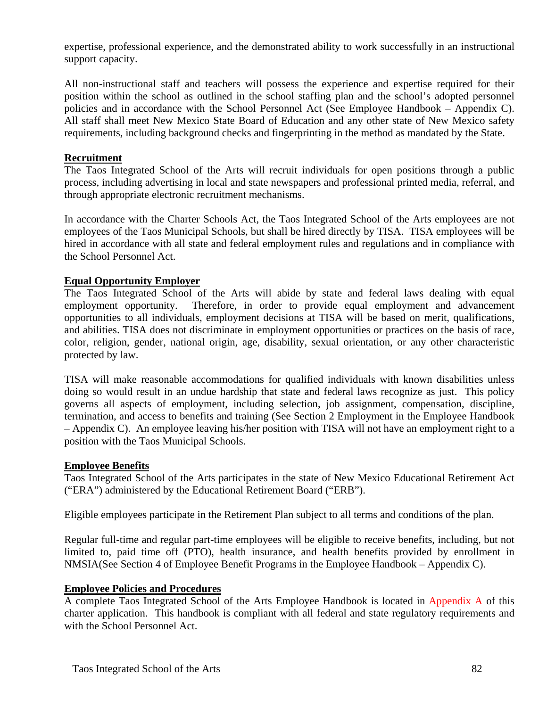expertise, professional experience, and the demonstrated ability to work successfully in an instructional support capacity.

All non-instructional staff and teachers will possess the experience and expertise required for their position within the school as outlined in the school staffing plan and the school's adopted personnel policies and in accordance with the School Personnel Act (See Employee Handbook – Appendix C). All staff shall meet New Mexico State Board of Education and any other state of New Mexico safety requirements, including background checks and fingerprinting in the method as mandated by the State.

### **Recruitment**

The Taos Integrated School of the Arts will recruit individuals for open positions through a public process, including advertising in local and state newspapers and professional printed media, referral, and through appropriate electronic recruitment mechanisms.

In accordance with the Charter Schools Act, the Taos Integrated School of the Arts employees are not employees of the Taos Municipal Schools, but shall be hired directly by TISA. TISA employees will be hired in accordance with all state and federal employment rules and regulations and in compliance with the School Personnel Act.

### **Equal Opportunity Employer**

The Taos Integrated School of the Arts will abide by state and federal laws dealing with equal employment opportunity. Therefore, in order to provide equal employment and advancement opportunities to all individuals, employment decisions at TISA will be based on merit, qualifications, and abilities. TISA does not discriminate in employment opportunities or practices on the basis of race, color, religion, gender, national origin, age, disability, sexual orientation, or any other characteristic protected by law.

TISA will make reasonable accommodations for qualified individuals with known disabilities unless doing so would result in an undue hardship that state and federal laws recognize as just. This policy governs all aspects of employment, including selection, job assignment, compensation, discipline, termination, and access to benefits and training (See Section 2 Employment in the Employee Handbook – Appendix C). An employee leaving his/her position with TISA will not have an employment right to a position with the Taos Municipal Schools.

### **Employee Benefits**

Taos Integrated School of the Arts participates in the state of New Mexico Educational Retirement Act ("ERA") administered by the Educational Retirement Board ("ERB").

Eligible employees participate in the Retirement Plan subject to all terms and conditions of the plan.

Regular full-time and regular part-time employees will be eligible to receive benefits, including, but not limited to, paid time off (PTO), health insurance, and health benefits provided by enrollment in NMSIA(See Section 4 of Employee Benefit Programs in the Employee Handbook – Appendix C).

### **Employee Policies and Procedures**

A complete Taos Integrated School of the Arts Employee Handbook is located in Appendix A of this charter application. This handbook is compliant with all federal and state regulatory requirements and with the School Personnel Act.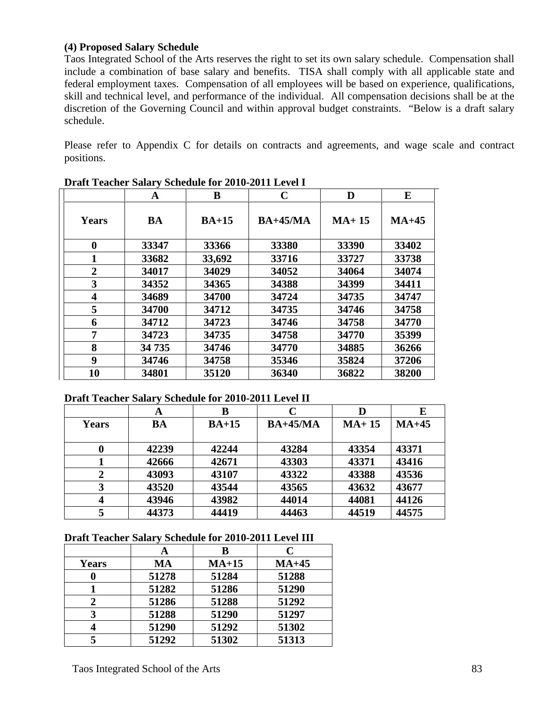### **(4) Proposed Salary Schedule**

Taos Integrated School of the Arts reserves the right to set its own salary schedule. Compensation shall include a combination of base salary and benefits. TISA shall comply with all applicable state and federal employment taxes. Compensation of all employees will be based on experience, qualifications, skill and technical level, and performance of the individual. All compensation decisions shall be at the discretion of the Governing Council and within approval budget constraints. "Below is a draft salary schedule.

Please refer to Appendix C for details on contracts and agreements, and wage scale and contract positions.

|                         | A     | B       | $\mathbf C$ | D       | E       |
|-------------------------|-------|---------|-------------|---------|---------|
| <b>Years</b>            | BA    | $BA+15$ | $BA+45/MA$  | $MA+15$ | $MA+45$ |
| $\boldsymbol{0}$        | 33347 | 33366   | 33380       | 33390   | 33402   |
| 1                       | 33682 | 33,692  | 33716       | 33727   | 33738   |
| $\boldsymbol{2}$        | 34017 | 34029   | 34052       | 34064   | 34074   |
| 3                       | 34352 | 34365   | 34388       | 34399   | 34411   |
| $\overline{\mathbf{4}}$ | 34689 | 34700   | 34724       | 34735   | 34747   |
| 5                       | 34700 | 34712   | 34735       | 34746   | 34758   |
| 6                       | 34712 | 34723   | 34746       | 34758   | 34770   |
| 7                       | 34723 | 34735   | 34758       | 34770   | 35399   |
| 8                       | 34735 | 34746   | 34770       | 34885   | 36266   |
| 9                       | 34746 | 34758   | 35346       | 35824   | 37206   |
| 10                      | 34801 | 35120   | 36340       | 36822   | 38200   |

### **Draft Teacher Salary Schedule for 2010-2011 Level II**

|                  | $\overline{\phantom{a}}$<br>A | В       |            | D       | E       |
|------------------|-------------------------------|---------|------------|---------|---------|
| Years            | <b>BA</b>                     | $BA+15$ | $BA+45/MA$ | $MA+15$ | $MA+45$ |
|                  | 42239                         | 42244   | 43284      | 43354   | 43371   |
|                  | 42666                         | 42671   | 43303      | 43371   | 43416   |
| $\boldsymbol{2}$ | 43093                         | 43107   | 43322      | 43388   | 43536   |
| 3                | 43520                         | 43544   | 43565      | 43632   | 43677   |
| $\overline{4}$   | 43946                         | 43982   | 44014      | 44081   | 44126   |
|                  | 44373                         | 44419   | 44463      | 44519   | 44575   |

#### **Draft Teacher Salary Schedule for 2010-2011 Level III**

|              |       | в       | C       |
|--------------|-------|---------|---------|
| <b>Years</b> | MA    | $MA+15$ | $MA+45$ |
|              | 51278 | 51284   | 51288   |
|              | 51282 | 51286   | 51290   |
| 2            | 51286 | 51288   | 51292   |
| 3            | 51288 | 51290   | 51297   |
|              | 51290 | 51292   | 51302   |
|              | 51292 | 51302   | 51313   |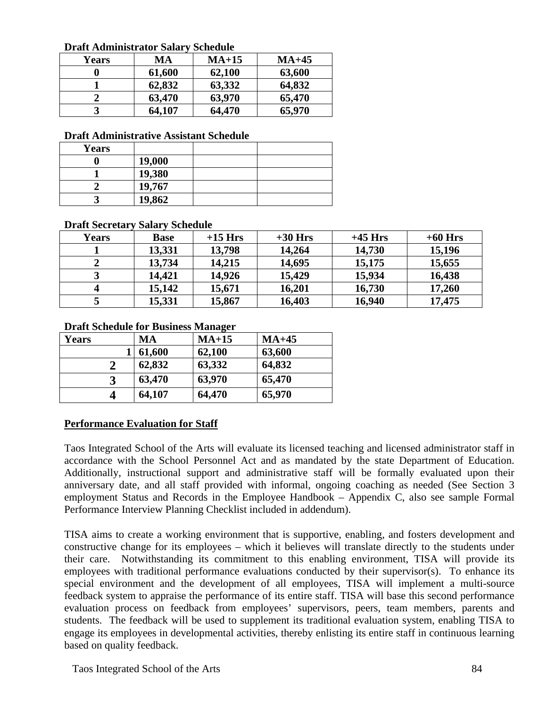**Draft Administrator Salary Schedule** 

| Di ait Aunninstrator Baiar v<br>suuun |        |         |         |  |  |
|---------------------------------------|--------|---------|---------|--|--|
| <b>Years</b>                          | MA     | $MA+15$ | $MA+45$ |  |  |
|                                       | 61,600 | 62,100  | 63,600  |  |  |
|                                       | 62,832 | 63,332  | 64,832  |  |  |
|                                       | 63,470 | 63,970  | 65,470  |  |  |
| 3                                     | 64,107 | 64,470  | 65,970  |  |  |

**Draft Administrative Assistant Schedule** 

| <b>Years</b> |        |  |
|--------------|--------|--|
|              | 19,000 |  |
|              | 19,380 |  |
|              | 19,767 |  |
|              | 19,862 |  |

### **Draft Secretary Salary Schedule**

| <b>Years</b> | <b>Base</b> | $+15$ Hrs | $+30$ Hrs | $+45$ Hrs | $+60$ Hrs |
|--------------|-------------|-----------|-----------|-----------|-----------|
|              | 13,331      | 13,798    | 14,264    | 14,730    | 15,196    |
|              | 13,734      | 14,215    | 14,695    | 15,175    | 15,655    |
|              | 14,421      | 14,926    | 15,429    | 15,934    | 16,438    |
| 4            | 15,142      | 15,671    | 16,201    | 16,730    | 17,260    |
|              | 15,331      | 15,867    | 16,403    | 16,940    | 17,475    |

### **Draft Schedule for Business Manager**

| Years         | МA     | $MA+15$ | $MA+45$ |
|---------------|--------|---------|---------|
|               | 61,600 | 62,100  | 63,600  |
| $\mathcal{D}$ | 62,832 | 63,332  | 64,832  |
| 3             | 63,470 | 63,970  | 65,470  |
|               | 64,107 | 64,470  | 65,970  |

### **Performance Evaluation for Staff**

Taos Integrated School of the Arts will evaluate its licensed teaching and licensed administrator staff in accordance with the School Personnel Act and as mandated by the state Department of Education. Additionally, instructional support and administrative staff will be formally evaluated upon their anniversary date, and all staff provided with informal, ongoing coaching as needed (See Section 3 employment Status and Records in the Employee Handbook – Appendix C, also see sample Formal Performance Interview Planning Checklist included in addendum).

TISA aims to create a working environment that is supportive, enabling, and fosters development and constructive change for its employees – which it believes will translate directly to the students under their care. Notwithstanding its commitment to this enabling environment, TISA will provide its employees with traditional performance evaluations conducted by their supervisor(s). To enhance its special environment and the development of all employees, TISA will implement a multi-source feedback system to appraise the performance of its entire staff. TISA will base this second performance evaluation process on feedback from employees' supervisors, peers, team members, parents and students. The feedback will be used to supplement its traditional evaluation system, enabling TISA to engage its employees in developmental activities, thereby enlisting its entire staff in continuous learning based on quality feedback.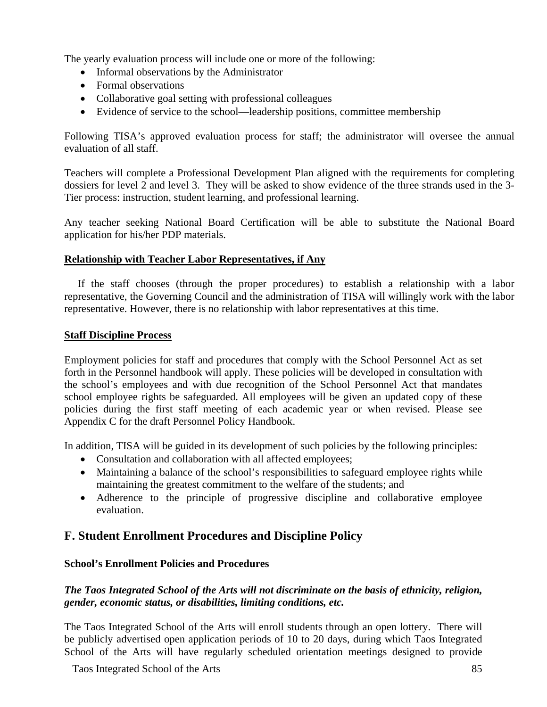The yearly evaluation process will include one or more of the following:

- Informal observations by the Administrator
- Formal observations
- Collaborative goal setting with professional colleagues
- Evidence of service to the school—leadership positions, committee membership

Following TISA's approved evaluation process for staff; the administrator will oversee the annual evaluation of all staff.

Teachers will complete a Professional Development Plan aligned with the requirements for completing dossiers for level 2 and level 3. They will be asked to show evidence of the three strands used in the 3- Tier process: instruction, student learning, and professional learning.

Any teacher seeking National Board Certification will be able to substitute the National Board application for his/her PDP materials.

### **Relationship with Teacher Labor Representatives, if Any**

 If the staff chooses (through the proper procedures) to establish a relationship with a labor representative, the Governing Council and the administration of TISA will willingly work with the labor representative. However, there is no relationship with labor representatives at this time.

### **Staff Discipline Process**

Employment policies for staff and procedures that comply with the School Personnel Act as set forth in the Personnel handbook will apply. These policies will be developed in consultation with the school's employees and with due recognition of the School Personnel Act that mandates school employee rights be safeguarded. All employees will be given an updated copy of these policies during the first staff meeting of each academic year or when revised. Please see Appendix C for the draft Personnel Policy Handbook.

In addition, TISA will be guided in its development of such policies by the following principles:

- Consultation and collaboration with all affected employees;
- Maintaining a balance of the school's responsibilities to safeguard employee rights while maintaining the greatest commitment to the welfare of the students; and
- Adherence to the principle of progressive discipline and collaborative employee evaluation.

### **F. Student Enrollment Procedures and Discipline Policy**

### **School's Enrollment Policies and Procedures**

### *The Taos Integrated School of the Arts will not discriminate on the basis of ethnicity, religion, gender, economic status, or disabilities, limiting conditions, etc.*

The Taos Integrated School of the Arts will enroll students through an open lottery. There will be publicly advertised open application periods of 10 to 20 days, during which Taos Integrated School of the Arts will have regularly scheduled orientation meetings designed to provide

Taos Integrated School of the Arts 85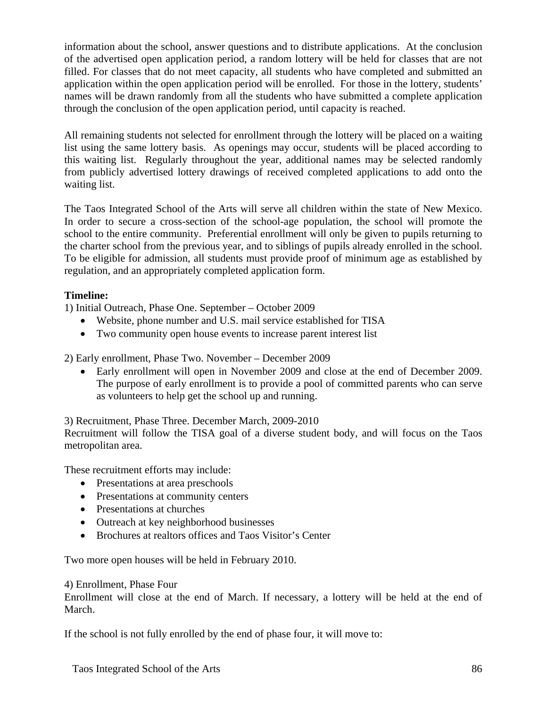information about the school, answer questions and to distribute applications. At the conclusion of the advertised open application period, a random lottery will be held for classes that are not filled. For classes that do not meet capacity, all students who have completed and submitted an application within the open application period will be enrolled. For those in the lottery, students' names will be drawn randomly from all the students who have submitted a complete application through the conclusion of the open application period, until capacity is reached.

All remaining students not selected for enrollment through the lottery will be placed on a waiting list using the same lottery basis. As openings may occur, students will be placed according to this waiting list. Regularly throughout the year, additional names may be selected randomly from publicly advertised lottery drawings of received completed applications to add onto the waiting list.

The Taos Integrated School of the Arts will serve all children within the state of New Mexico. In order to secure a cross-section of the school-age population, the school will promote the school to the entire community. Preferential enrollment will only be given to pupils returning to the charter school from the previous year, and to siblings of pupils already enrolled in the school. To be eligible for admission, all students must provide proof of minimum age as established by regulation, and an appropriately completed application form.

### **Timeline:**

1) Initial Outreach, Phase One. September – October 2009

- Website, phone number and U.S. mail service established for TISA
- Two community open house events to increase parent interest list

2) Early enrollment, Phase Two. November – December 2009

• Early enrollment will open in November 2009 and close at the end of December 2009. The purpose of early enrollment is to provide a pool of committed parents who can serve as volunteers to help get the school up and running.

3) Recruitment, Phase Three. December March, 2009-2010

Recruitment will follow the TISA goal of a diverse student body, and will focus on the Taos metropolitan area.

These recruitment efforts may include:

- Presentations at area preschools
- Presentations at community centers
- Presentations at churches
- Outreach at key neighborhood businesses
- Brochures at realtors offices and Taos Visitor's Center

Two more open houses will be held in February 2010.

### 4) Enrollment, Phase Four

Enrollment will close at the end of March. If necessary, a lottery will be held at the end of March.

If the school is not fully enrolled by the end of phase four, it will move to: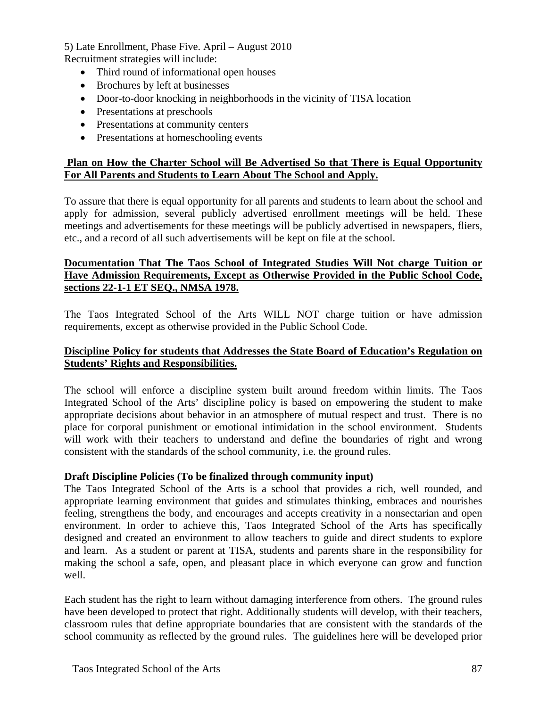5) Late Enrollment, Phase Five. April – August 2010 Recruitment strategies will include:

- Third round of informational open houses
- Brochures by left at businesses
- Door-to-door knocking in neighborhoods in the vicinity of TISA location
- Presentations at preschools
- Presentations at community centers
- Presentations at homeschooling events

### **Plan on How the Charter School will Be Advertised So that There is Equal Opportunity For All Parents and Students to Learn About The School and Apply.**

To assure that there is equal opportunity for all parents and students to learn about the school and apply for admission, several publicly advertised enrollment meetings will be held. These meetings and advertisements for these meetings will be publicly advertised in newspapers, fliers, etc., and a record of all such advertisements will be kept on file at the school.

### **Documentation That The Taos School of Integrated Studies Will Not charge Tuition or Have Admission Requirements, Except as Otherwise Provided in the Public School Code, sections 22-1-1 ET SEQ., NMSA 1978.**

The Taos Integrated School of the Arts WILL NOT charge tuition or have admission requirements, except as otherwise provided in the Public School Code.

### **Discipline Policy for students that Addresses the State Board of Education's Regulation on Students' Rights and Responsibilities.**

The school will enforce a discipline system built around freedom within limits. The Taos Integrated School of the Arts' discipline policy is based on empowering the student to make appropriate decisions about behavior in an atmosphere of mutual respect and trust. There is no place for corporal punishment or emotional intimidation in the school environment. Students will work with their teachers to understand and define the boundaries of right and wrong consistent with the standards of the school community, i.e. the ground rules.

### **Draft Discipline Policies (To be finalized through community input)**

The Taos Integrated School of the Arts is a school that provides a rich, well rounded, and appropriate learning environment that guides and stimulates thinking, embraces and nourishes feeling, strengthens the body, and encourages and accepts creativity in a nonsectarian and open environment. In order to achieve this, Taos Integrated School of the Arts has specifically designed and created an environment to allow teachers to guide and direct students to explore and learn. As a student or parent at TISA, students and parents share in the responsibility for making the school a safe, open, and pleasant place in which everyone can grow and function well.

Each student has the right to learn without damaging interference from others. The ground rules have been developed to protect that right. Additionally students will develop, with their teachers, classroom rules that define appropriate boundaries that are consistent with the standards of the school community as reflected by the ground rules. The guidelines here will be developed prior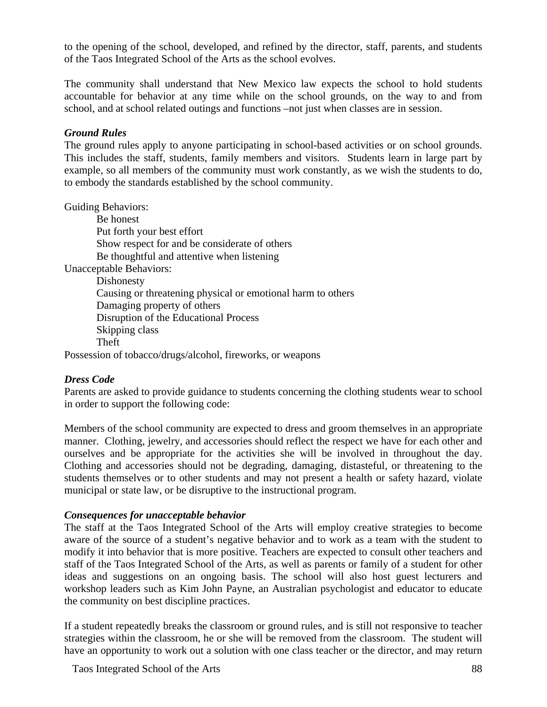to the opening of the school, developed, and refined by the director, staff, parents, and students of the Taos Integrated School of the Arts as the school evolves.

The community shall understand that New Mexico law expects the school to hold students accountable for behavior at any time while on the school grounds, on the way to and from school, and at school related outings and functions –not just when classes are in session.

### *Ground Rules*

The ground rules apply to anyone participating in school-based activities or on school grounds. This includes the staff, students, family members and visitors. Students learn in large part by example, so all members of the community must work constantly, as we wish the students to do, to embody the standards established by the school community.

Guiding Behaviors:

Be honest Put forth your best effort Show respect for and be considerate of others Be thoughtful and attentive when listening Unacceptable Behaviors: Dishonesty Causing or threatening physical or emotional harm to others Damaging property of others Disruption of the Educational Process Skipping class Theft Possession of tobacco/drugs/alcohol, fireworks, or weapons

### *Dress Code*

Parents are asked to provide guidance to students concerning the clothing students wear to school in order to support the following code:

Members of the school community are expected to dress and groom themselves in an appropriate manner. Clothing, jewelry, and accessories should reflect the respect we have for each other and ourselves and be appropriate for the activities she will be involved in throughout the day. Clothing and accessories should not be degrading, damaging, distasteful, or threatening to the students themselves or to other students and may not present a health or safety hazard, violate municipal or state law, or be disruptive to the instructional program.

### *Consequences for unacceptable behavior*

The staff at the Taos Integrated School of the Arts will employ creative strategies to become aware of the source of a student's negative behavior and to work as a team with the student to modify it into behavior that is more positive. Teachers are expected to consult other teachers and staff of the Taos Integrated School of the Arts, as well as parents or family of a student for other ideas and suggestions on an ongoing basis. The school will also host guest lecturers and workshop leaders such as Kim John Payne, an Australian psychologist and educator to educate the community on best discipline practices.

If a student repeatedly breaks the classroom or ground rules, and is still not responsive to teacher strategies within the classroom, he or she will be removed from the classroom. The student will have an opportunity to work out a solution with one class teacher or the director, and may return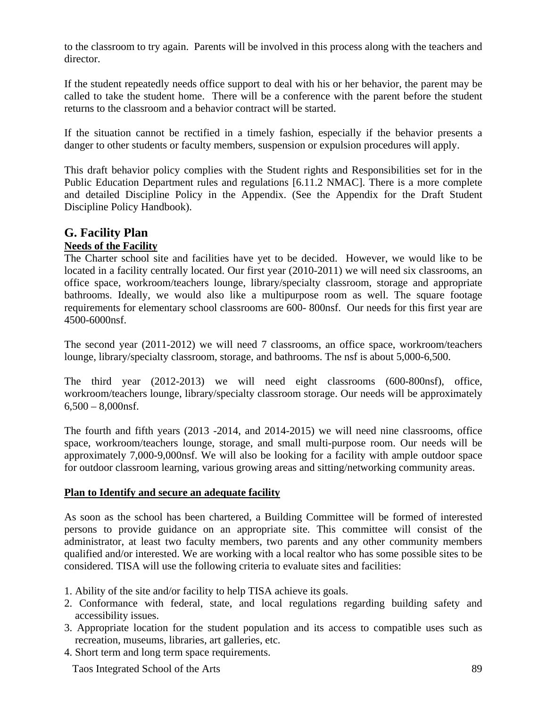to the classroom to try again. Parents will be involved in this process along with the teachers and director.

If the student repeatedly needs office support to deal with his or her behavior, the parent may be called to take the student home. There will be a conference with the parent before the student returns to the classroom and a behavior contract will be started.

If the situation cannot be rectified in a timely fashion, especially if the behavior presents a danger to other students or faculty members, suspension or expulsion procedures will apply.

This draft behavior policy complies with the Student rights and Responsibilities set for in the Public Education Department rules and regulations [6.11.2 NMAC]. There is a more complete and detailed Discipline Policy in the Appendix. (See the Appendix for the Draft Student Discipline Policy Handbook).

# **G. Facility Plan**

### **Needs of the Facility**

The Charter school site and facilities have yet to be decided. However, we would like to be located in a facility centrally located. Our first year (2010-2011) we will need six classrooms, an office space, workroom/teachers lounge, library/specialty classroom, storage and appropriate bathrooms. Ideally, we would also like a multipurpose room as well. The square footage requirements for elementary school classrooms are 600- 800nsf. Our needs for this first year are 4500-6000nsf.

The second year (2011-2012) we will need 7 classrooms, an office space, workroom/teachers lounge, library/specialty classroom, storage, and bathrooms. The nsf is about 5,000-6,500.

The third year (2012-2013) we will need eight classrooms (600-800nsf), office, workroom/teachers lounge, library/specialty classroom storage. Our needs will be approximately  $6,500 - 8,000$ nsf.

The fourth and fifth years (2013 -2014, and 2014-2015) we will need nine classrooms, office space, workroom/teachers lounge, storage, and small multi-purpose room. Our needs will be approximately 7,000-9,000nsf. We will also be looking for a facility with ample outdoor space for outdoor classroom learning, various growing areas and sitting/networking community areas.

### **Plan to Identify and secure an adequate facility**

As soon as the school has been chartered, a Building Committee will be formed of interested persons to provide guidance on an appropriate site. This committee will consist of the administrator, at least two faculty members, two parents and any other community members qualified and/or interested. We are working with a local realtor who has some possible sites to be considered. TISA will use the following criteria to evaluate sites and facilities:

- 1. Ability of the site and/or facility to help TISA achieve its goals.
- 2. Conformance with federal, state, and local regulations regarding building safety and accessibility issues.
- 3. Appropriate location for the student population and its access to compatible uses such as recreation, museums, libraries, art galleries, etc.
- 4. Short term and long term space requirements.

Taos Integrated School of the Arts 89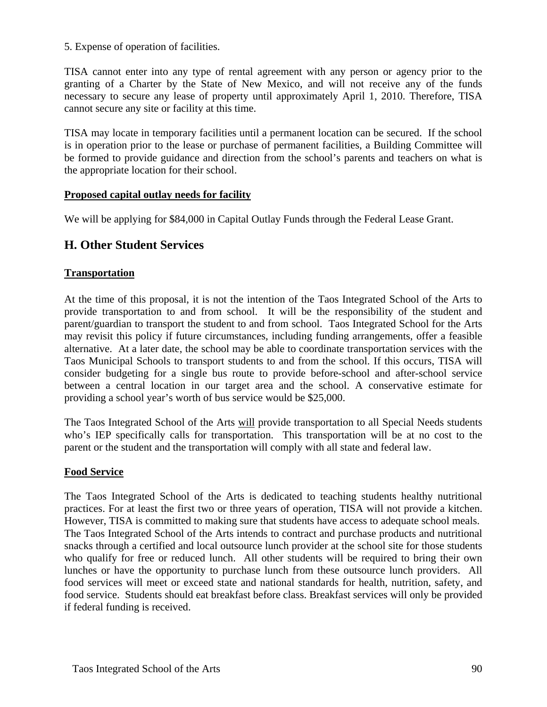5. Expense of operation of facilities.

TISA cannot enter into any type of rental agreement with any person or agency prior to the granting of a Charter by the State of New Mexico, and will not receive any of the funds necessary to secure any lease of property until approximately April 1, 2010. Therefore, TISA cannot secure any site or facility at this time.

TISA may locate in temporary facilities until a permanent location can be secured. If the school is in operation prior to the lease or purchase of permanent facilities, a Building Committee will be formed to provide guidance and direction from the school's parents and teachers on what is the appropriate location for their school.

### **Proposed capital outlay needs for facility**

We will be applying for \$84,000 in Capital Outlay Funds through the Federal Lease Grant.

### **H. Other Student Services**

### **Transportation**

At the time of this proposal, it is not the intention of the Taos Integrated School of the Arts to provide transportation to and from school. It will be the responsibility of the student and parent/guardian to transport the student to and from school. Taos Integrated School for the Arts may revisit this policy if future circumstances, including funding arrangements, offer a feasible alternative. At a later date, the school may be able to coordinate transportation services with the Taos Municipal Schools to transport students to and from the school. If this occurs, TISA will consider budgeting for a single bus route to provide before-school and after-school service between a central location in our target area and the school. A conservative estimate for providing a school year's worth of bus service would be \$25,000.

The Taos Integrated School of the Arts will provide transportation to all Special Needs students who's IEP specifically calls for transportation. This transportation will be at no cost to the parent or the student and the transportation will comply with all state and federal law.

### **Food Service**

The Taos Integrated School of the Arts is dedicated to teaching students healthy nutritional practices. For at least the first two or three years of operation, TISA will not provide a kitchen. However, TISA is committed to making sure that students have access to adequate school meals. The Taos Integrated School of the Arts intends to contract and purchase products and nutritional snacks through a certified and local outsource lunch provider at the school site for those students who qualify for free or reduced lunch. All other students will be required to bring their own lunches or have the opportunity to purchase lunch from these outsource lunch providers. All food services will meet or exceed state and national standards for health, nutrition, safety, and food service. Students should eat breakfast before class. Breakfast services will only be provided if federal funding is received.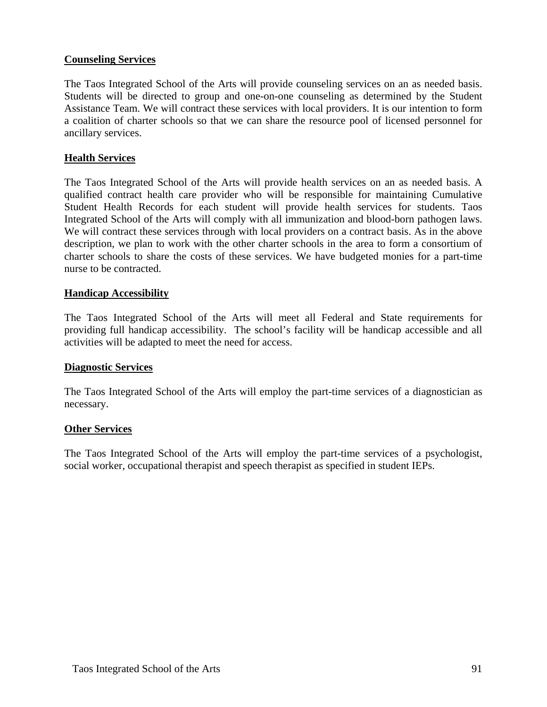### **Counseling Services**

The Taos Integrated School of the Arts will provide counseling services on an as needed basis. Students will be directed to group and one-on-one counseling as determined by the Student Assistance Team. We will contract these services with local providers. It is our intention to form a coalition of charter schools so that we can share the resource pool of licensed personnel for ancillary services.

### **Health Services**

The Taos Integrated School of the Arts will provide health services on an as needed basis. A qualified contract health care provider who will be responsible for maintaining Cumulative Student Health Records for each student will provide health services for students. Taos Integrated School of the Arts will comply with all immunization and blood-born pathogen laws. We will contract these services through with local providers on a contract basis. As in the above description, we plan to work with the other charter schools in the area to form a consortium of charter schools to share the costs of these services. We have budgeted monies for a part-time nurse to be contracted.

### **Handicap Accessibility**

The Taos Integrated School of the Arts will meet all Federal and State requirements for providing full handicap accessibility. The school's facility will be handicap accessible and all activities will be adapted to meet the need for access.

### **Diagnostic Services**

The Taos Integrated School of the Arts will employ the part-time services of a diagnostician as necessary.

### **Other Services**

The Taos Integrated School of the Arts will employ the part-time services of a psychologist, social worker, occupational therapist and speech therapist as specified in student IEPs.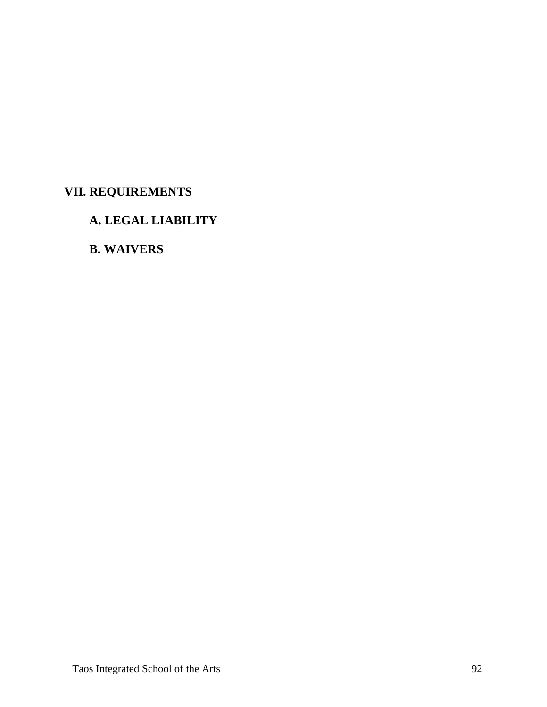# **VII. REQUIREMENTS**

# **A. LEGAL LIABILITY**

# **B. WAIVERS**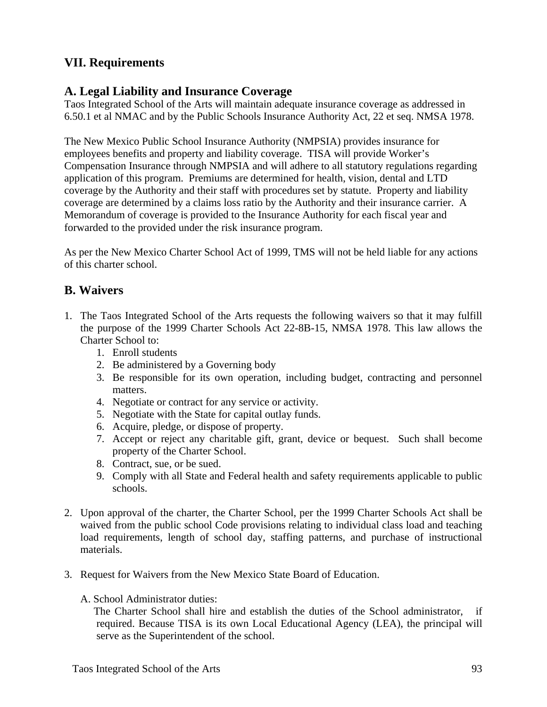# **VII. Requirements**

### **A. Legal Liability and Insurance Coverage**

Taos Integrated School of the Arts will maintain adequate insurance coverage as addressed in 6.50.1 et al NMAC and by the Public Schools Insurance Authority Act, 22 et seq. NMSA 1978.

The New Mexico Public School Insurance Authority (NMPSIA) provides insurance for employees benefits and property and liability coverage. TISA will provide Worker's Compensation Insurance through NMPSIA and will adhere to all statutory regulations regarding application of this program. Premiums are determined for health, vision, dental and LTD coverage by the Authority and their staff with procedures set by statute. Property and liability coverage are determined by a claims loss ratio by the Authority and their insurance carrier. A Memorandum of coverage is provided to the Insurance Authority for each fiscal year and forwarded to the provided under the risk insurance program.

As per the New Mexico Charter School Act of 1999, TMS will not be held liable for any actions of this charter school.

## **B. Waivers**

- 1. The Taos Integrated School of the Arts requests the following waivers so that it may fulfill the purpose of the 1999 Charter Schools Act 22-8B-15, NMSA 1978. This law allows the Charter School to:
	- 1. Enroll students
	- 2. Be administered by a Governing body
	- 3. Be responsible for its own operation, including budget, contracting and personnel matters.
	- 4. Negotiate or contract for any service or activity.
	- 5. Negotiate with the State for capital outlay funds.
	- 6. Acquire, pledge, or dispose of property.
	- 7. Accept or reject any charitable gift, grant, device or bequest. Such shall become property of the Charter School.
	- 8. Contract, sue, or be sued.
	- 9. Comply with all State and Federal health and safety requirements applicable to public schools.
- 2. Upon approval of the charter, the Charter School, per the 1999 Charter Schools Act shall be waived from the public school Code provisions relating to individual class load and teaching load requirements, length of school day, staffing patterns, and purchase of instructional materials.
- 3. Request for Waivers from the New Mexico State Board of Education.
	- A. School Administrator duties:

 The Charter School shall hire and establish the duties of the School administrator, if required. Because TISA is its own Local Educational Agency (LEA), the principal will serve as the Superintendent of the school.